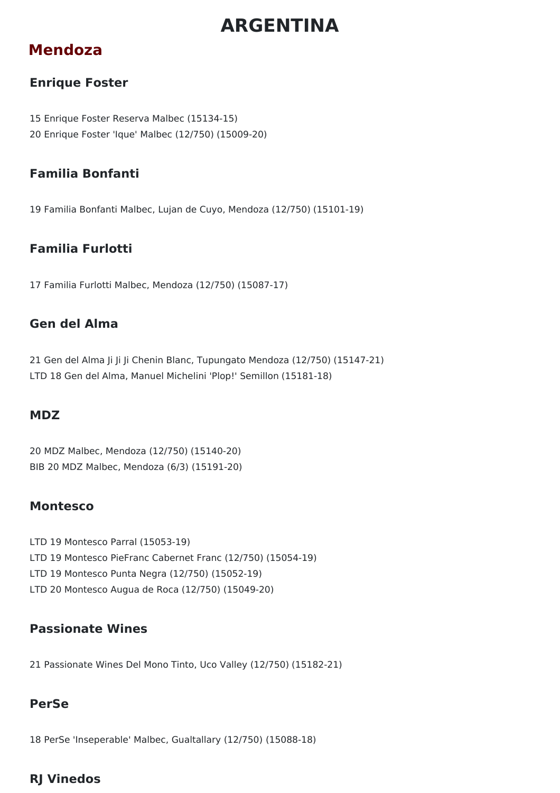# **ARGENTINA**

# **Mendoza**

### **Enrique Foster**

15 Enrique Foster Reserva Malbec (15134-15) 20 Enrique Foster 'Ique' Malbec (12/750) (15009-20)

### **Familia Bonfanti**

19 Familia Bonfanti Malbec, Lujan de Cuyo, Mendoza (12/750) (15101-19)

### **Familia Furlotti**

17 Familia Furlotti Malbec, Mendoza (12/750) (15087-17)

### **Gen del Alma**

21 Gen del Alma Ji Ji Ji Chenin Blanc, Tupungato Mendoza (12/750) (15147-21) LTD 18 Gen del Alma, Manuel Michelini 'Plop!' Semillon (15181-18)

### **MDZ**

20 MDZ Malbec, Mendoza (12/750) (15140-20) BIB 20 MDZ Malbec, Mendoza (6/3) (15191-20)

### **Montesco**

- LTD 19 Montesco Parral (15053-19) LTD 19 Montesco PieFranc Cabernet Franc (12/750) (15054-19)
- LTD 19 Montesco Punta Negra (12/750) (15052-19)
- LTD 20 Montesco Augua de Roca (12/750) (15049-20)

### **Passionate Wines**

21 Passionate Wines Del Mono Tinto, Uco Valley (12/750) (15182-21)

### **PerSe**

18 PerSe 'Inseperable' Malbec, Gualtallary (12/750) (15088-18)

### **RJ Vinedos**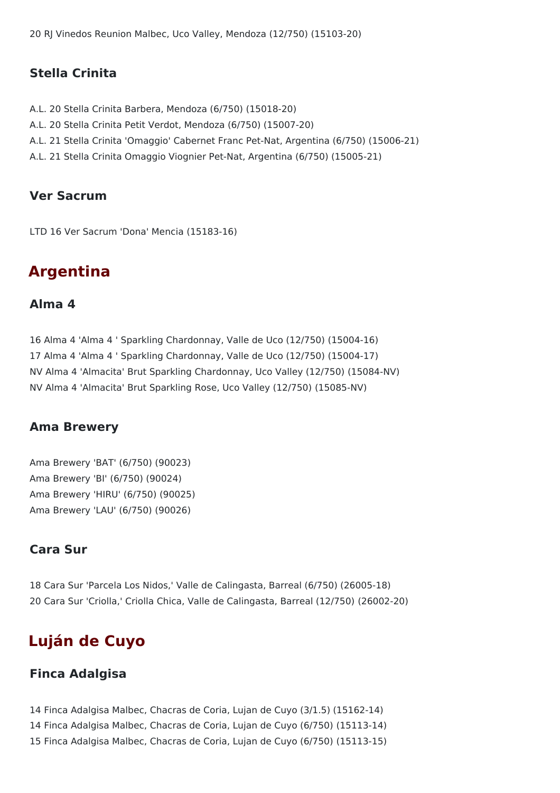20 RJ Vinedos Reunion Malbec, Uco Valley, Mendoza (12/750) (15103-20)

### **Stella Crinita**

- A.L. 20 Stella Crinita Barbera, Mendoza (6/750) (15018-20)
- A.L. 20 Stella Crinita Petit Verdot, Mendoza (6/750) (15007-20)
- A.L. 21 Stella Crinita 'Omaggio' Cabernet Franc Pet-Nat, Argentina (6/750) (15006-21)
- A.L. 21 Stella Crinita Omaggio Viognier Pet-Nat, Argentina (6/750) (15005-21)

### **Ver Sacrum**

LTD 16 Ver Sacrum 'Dona' Mencia (15183-16)

# **Argentina**

### **Alma 4**

16 Alma 4 'Alma 4 ' Sparkling Chardonnay, Valle de Uco (12/750) (15004-16) 17 Alma 4 'Alma 4 ' Sparkling Chardonnay, Valle de Uco (12/750) (15004-17) NV Alma 4 'Almacita' Brut Sparkling Chardonnay, Uco Valley (12/750) (15084-NV) NV Alma 4 'Almacita' Brut Sparkling Rose, Uco Valley (12/750) (15085-NV)

### **Ama Brewery**

Ama Brewery 'BAT' (6/750) (90023) Ama Brewery 'BI' (6/750) (90024) Ama Brewery 'HIRU' (6/750) (90025) Ama Brewery 'LAU' (6/750) (90026)

### **Cara Sur**

18 Cara Sur 'Parcela Los Nidos,' Valle de Calingasta, Barreal (6/750) (26005-18) 20 Cara Sur 'Criolla,' Criolla Chica, Valle de Calingasta, Barreal (12/750) (26002-20)

# **Luján de Cuyo**

### **Finca Adalgisa**

14 Finca Adalgisa Malbec, Chacras de Coria, Lujan de Cuyo (3/1.5) (15162-14) 14 Finca Adalgisa Malbec, Chacras de Coria, Lujan de Cuyo (6/750) (15113-14) 15 Finca Adalgisa Malbec, Chacras de Coria, Lujan de Cuyo (6/750) (15113-15)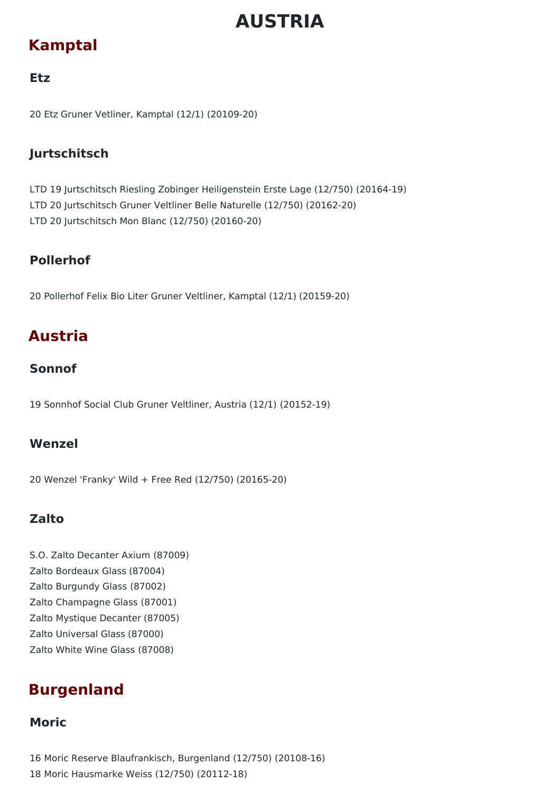# **AUSTRIA**

# **Kamptal**

### **Etz**

20 Etz Gruner Vetliner, Kamptal (12/1) (20109-20)

### **Jurtschitsch**

LTD 19 Jurtschitsch Riesling Zobinger Heiligenstein Erste Lage (12/750) (20164-19) LTD 20 Jurtschitsch Gruner Veltliner Belle Naturelle (12/750) (20162-20) LTD 20 Jurtschitsch Mon Blanc (12/750) (20160-20)

### **Pollerhof**

20 Pollerhof Felix Bio Liter Gruner Veltliner, Kamptal (12/1) (20159-20)

# **Austria**

### **Sonnof**

19 Sonnhof Social Club Gruner Veltliner, Austria (12/1) (20152-19)

### **Wenzel**

20 Wenzel 'Franky' Wild + Free Red (12/750) (20165-20)

### **Zalto**

S.O. Zalto Decanter Axium (87009) Zalto Bordeaux Glass (87004) Zalto Burgundy Glass (87002) Zalto Champagne Glass (87001) Zalto Mystique Decanter (87005) Zalto Universal Glass (87000) Zalto White Wine Glass (87008)

# **Burgenland**

### **Moric**

16 Moric Reserve Blaufrankisch, Burgenland (12/750) (20108-16) 18 Moric Hausmarke Weiss (12/750) (20112-18)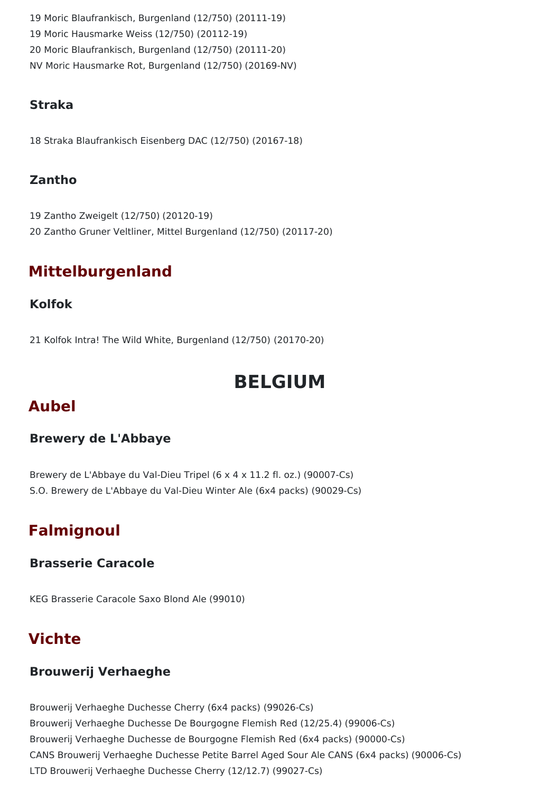Moric Blaufrankisch, Burgenland (12/750) (20111-19) Moric Hausmarke Weiss (12/750) (20112-19) Moric Blaufrankisch, Burgenland (12/750) (20111-20) NV Moric Hausmarke Rot, Burgenland (12/750) (20169-NV)

### **Straka**

18 Straka Blaufrankisch Eisenberg DAC (12/750) (20167-18)

### **Zantho**

19 Zantho Zweigelt (12/750) (20120-19) 20 Zantho Gruner Veltliner, Mittel Burgenland (12/750) (20117-20)

# **Mittelburgenland**

### **Kolfok**

21 Kolfok Intra! The Wild White, Burgenland (12/750) (20170-20)

# **BELGIUM**

# **Aubel**

### **Brewery de L'Abbaye**

Brewery de L'Abbaye du Val-Dieu Tripel (6 x 4 x 11.2 fl. oz.) (90007-Cs) S.O. Brewery de L'Abbaye du Val-Dieu Winter Ale (6x4 packs) (90029-Cs)

# **Falmignoul**

### **Brasserie Caracole**

KEG Brasserie Caracole Saxo Blond Ale (99010)

# **Vichte**

### **Brouwerij Verhaeghe**

Brouwerij Verhaeghe Duchesse Cherry (6x4 packs) (99026-Cs) Brouwerij Verhaeghe Duchesse De Bourgogne Flemish Red (12/25.4) (99006-Cs) Brouwerij Verhaeghe Duchesse de Bourgogne Flemish Red (6x4 packs) (90000-Cs) CANS Brouwerij Verhaeghe Duchesse Petite Barrel Aged Sour Ale CANS (6x4 packs) (90006-Cs) LTD Brouwerij Verhaeghe Duchesse Cherry (12/12.7) (99027-Cs)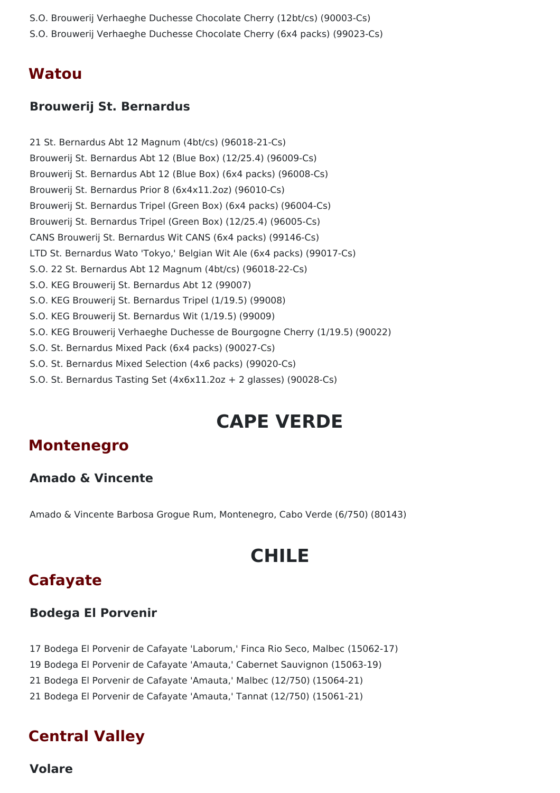- S.O. Brouwerij Verhaeghe Duchesse Chocolate Cherry (12bt/cs) (90003-Cs)
- S.O. Brouwerij Verhaeghe Duchesse Chocolate Cherry (6x4 packs) (99023-Cs)

### **Watou**

#### **Brouwerij St. Bernardus**

21 St. Bernardus Abt 12 Magnum (4bt/cs) (96018-21-Cs) Brouwerij St. Bernardus Abt 12 (Blue Box) (12/25.4) (96009-Cs) Brouwerij St. Bernardus Abt 12 (Blue Box) (6x4 packs) (96008-Cs) Brouwerij St. Bernardus Prior 8 (6x4x11.2oz) (96010-Cs) Brouwerij St. Bernardus Tripel (Green Box) (6x4 packs) (96004-Cs) Brouwerij St. Bernardus Tripel (Green Box) (12/25.4) (96005-Cs) CANS Brouwerij St. Bernardus Wit CANS (6x4 packs) (99146-Cs) LTD St. Bernardus Wato 'Tokyo,' Belgian Wit Ale (6x4 packs) (99017-Cs) S.O. 22 St. Bernardus Abt 12 Magnum (4bt/cs) (96018-22-Cs) S.O. KEG Brouwerij St. Bernardus Abt 12 (99007) S.O. KEG Brouwerij St. Bernardus Tripel (1/19.5) (99008) S.O. KEG Brouwerij St. Bernardus Wit (1/19.5) (99009) S.O. KEG Brouwerij Verhaeghe Duchesse de Bourgogne Cherry (1/19.5) (90022) S.O. St. Bernardus Mixed Pack (6x4 packs) (90027-Cs) S.O. St. Bernardus Mixed Selection (4x6 packs) (99020-Cs) S.O. St. Bernardus Tasting Set (4x6x11.2oz + 2 glasses) (90028-Cs)

# **CAPE VERDE**

### **Montenegro**

### **Amado & Vincente**

Amado & Vincente Barbosa Grogue Rum, Montenegro, Cabo Verde (6/750) (80143)

# **CHILE**

## **Cafayate**

#### **Bodega El Porvenir**

17 Bodega El Porvenir de Cafayate 'Laborum,' Finca Rio Seco, Malbec (15062-17)

19 Bodega El Porvenir de Cafayate 'Amauta,' Cabernet Sauvignon (15063-19)

21 Bodega El Porvenir de Cafayate 'Amauta,' Malbec (12/750) (15064-21)

21 Bodega El Porvenir de Cafayate 'Amauta,' Tannat (12/750) (15061-21)

## **Central Valley**

**Volare**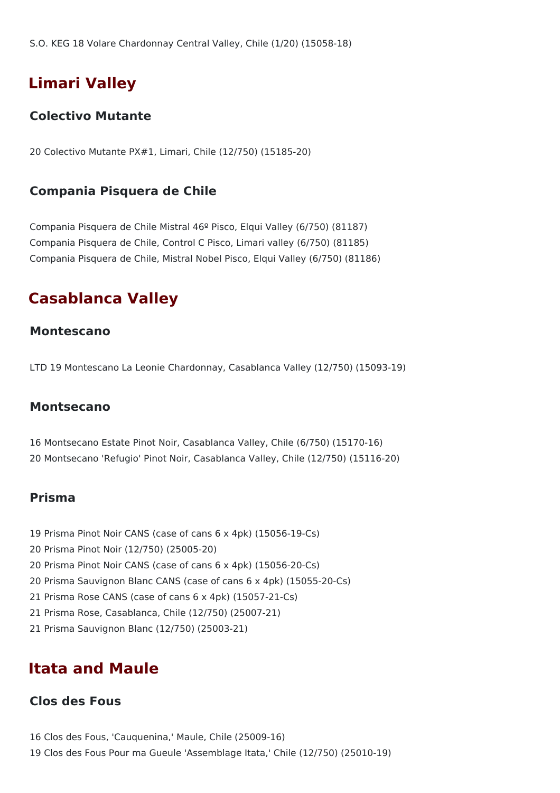# **Limari Valley**

### **Colectivo Mutante**

20 Colectivo Mutante PX#1, Limari, Chile (12/750) (15185-20)

### **Compania Pisquera de Chile**

Compania Pisquera de Chile Mistral 46º Pisco, Elqui Valley (6/750) (81187) Compania Pisquera de Chile, Control C Pisco, Limari valley (6/750) (81185) Compania Pisquera de Chile, Mistral Nobel Pisco, Elqui Valley (6/750) (81186)

# **Casablanca Valley**

### **Montescano**

LTD 19 Montescano La Leonie Chardonnay, Casablanca Valley (12/750) (15093-19)

### **Montsecano**

16 Montsecano Estate Pinot Noir, Casablanca Valley, Chile (6/750) (15170-16) 20 Montsecano 'Refugio' Pinot Noir, Casablanca Valley, Chile (12/750) (15116-20)

### **Prisma**

- 19 Prisma Pinot Noir CANS (case of cans 6 x 4pk) (15056-19-Cs)
- 20 Prisma Pinot Noir (12/750) (25005-20)
- 20 Prisma Pinot Noir CANS (case of cans 6 x 4pk) (15056-20-Cs)
- 20 Prisma Sauvignon Blanc CANS (case of cans 6 x 4pk) (15055-20-Cs)
- 21 Prisma Rose CANS (case of cans 6 x 4pk) (15057-21-Cs)
- 21 Prisma Rose, Casablanca, Chile (12/750) (25007-21)
- 21 Prisma Sauvignon Blanc (12/750) (25003-21)

### **Itata and Maule**

#### **Clos des Fous**

16 Clos des Fous, 'Cauquenina,' Maule, Chile (25009-16) 19 Clos des Fous Pour ma Gueule 'Assemblage Itata,' Chile (12/750) (25010-19)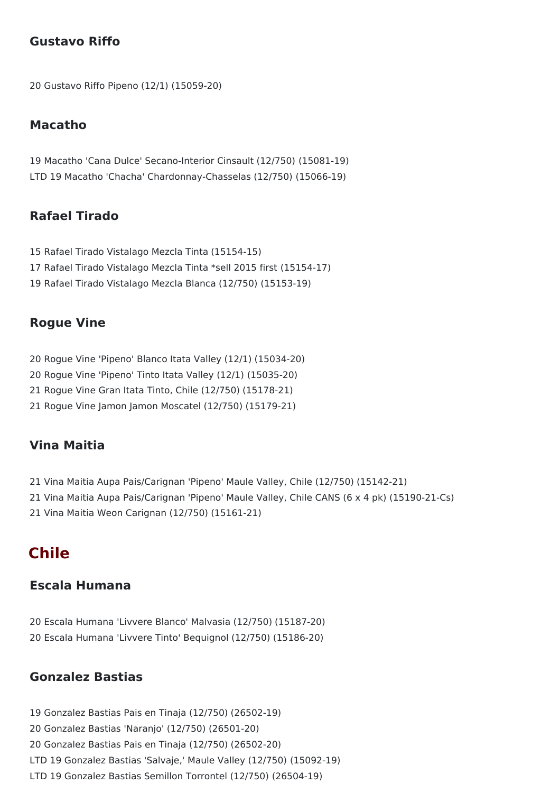### **Gustavo Riffo**

Gustavo Riffo Pipeno (12/1) (15059-20)

#### **Macatho**

 Macatho 'Cana Dulce' Secano-Interior Cinsault (12/750) (15081-19) LTD 19 Macatho 'Chacha' Chardonnay-Chasselas (12/750) (15066-19)

### **Rafael Tirado**

 Rafael Tirado Vistalago Mezcla Tinta (15154-15) Rafael Tirado Vistalago Mezcla Tinta \*sell 2015 first (15154-17) Rafael Tirado Vistalago Mezcla Blanca (12/750) (15153-19)

#### **Rogue Vine**

- Rogue Vine 'Pipeno' Blanco Itata Valley (12/1) (15034-20)
- Rogue Vine 'Pipeno' Tinto Itata Valley (12/1) (15035-20)
- Rogue Vine Gran Itata Tinto, Chile (12/750) (15178-21)
- Rogue Vine Jamon Jamon Moscatel (12/750) (15179-21)

#### **Vina Maitia**

 Vina Maitia Aupa Pais/Carignan 'Pipeno' Maule Valley, Chile (12/750) (15142-21) Vina Maitia Aupa Pais/Carignan 'Pipeno' Maule Valley, Chile CANS (6 x 4 pk) (15190-21-Cs) Vina Maitia Weon Carignan (12/750) (15161-21)

## **Chile**

#### **Escala Humana**

 Escala Humana 'Livvere Blanco' Malvasia (12/750) (15187-20) Escala Humana 'Livvere Tinto' Bequignol (12/750) (15186-20)

### **Gonzalez Bastias**

 Gonzalez Bastias Pais en Tinaja (12/750) (26502-19) Gonzalez Bastias 'Naranjo' (12/750) (26501-20) Gonzalez Bastias Pais en Tinaja (12/750) (26502-20) LTD 19 Gonzalez Bastias 'Salvaje,' Maule Valley (12/750) (15092-19) LTD 19 Gonzalez Bastias Semillon Torrontel (12/750) (26504-19)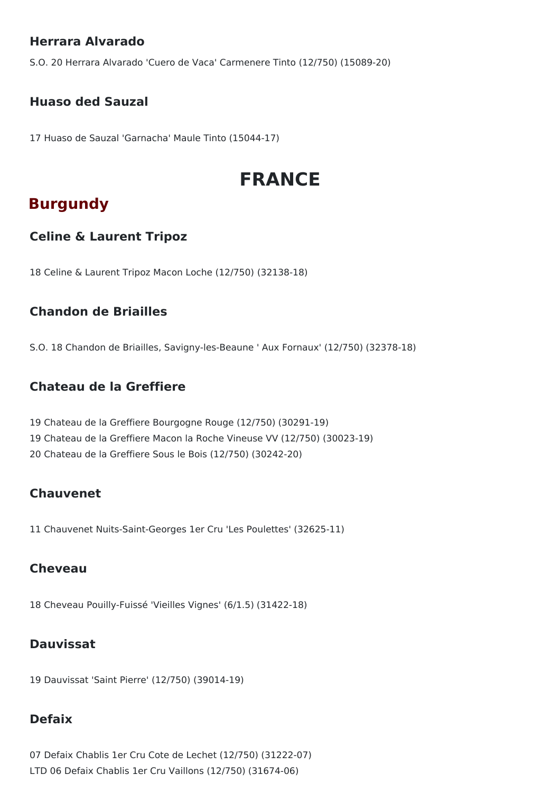### **Herrara Alvarado**

S.O. 20 Herrara Alvarado 'Cuero de Vaca' Carmenere Tinto (12/750) (15089-20)

### **Huaso ded Sauzal**

17 Huaso de Sauzal 'Garnacha' Maule Tinto (15044-17)

# **FRANCE**

# **Burgundy**

### **Celine & Laurent Tripoz**

18 Celine & Laurent Tripoz Macon Loche (12/750) (32138-18)

### **Chandon de Briailles**

S.O. 18 Chandon de Briailles, Savigny-les-Beaune ' Aux Fornaux' (12/750) (32378-18)

### **Chateau de la Greffiere**

19 Chateau de la Greffiere Bourgogne Rouge (12/750) (30291-19) 19 Chateau de la Greffiere Macon la Roche Vineuse VV (12/750) (30023-19) 20 Chateau de la Greffiere Sous le Bois (12/750) (30242-20)

### **Chauvenet**

11 Chauvenet Nuits-Saint-Georges 1er Cru 'Les Poulettes' (32625-11)

### **Cheveau**

18 Cheveau Pouilly-Fuissé 'Vieilles Vignes' (6/1.5) (31422-18)

### **Dauvissat**

19 Dauvissat 'Saint Pierre' (12/750) (39014-19)

### **Defaix**

07 Defaix Chablis 1er Cru Cote de Lechet (12/750) (31222-07) LTD 06 Defaix Chablis 1er Cru Vaillons (12/750) (31674-06)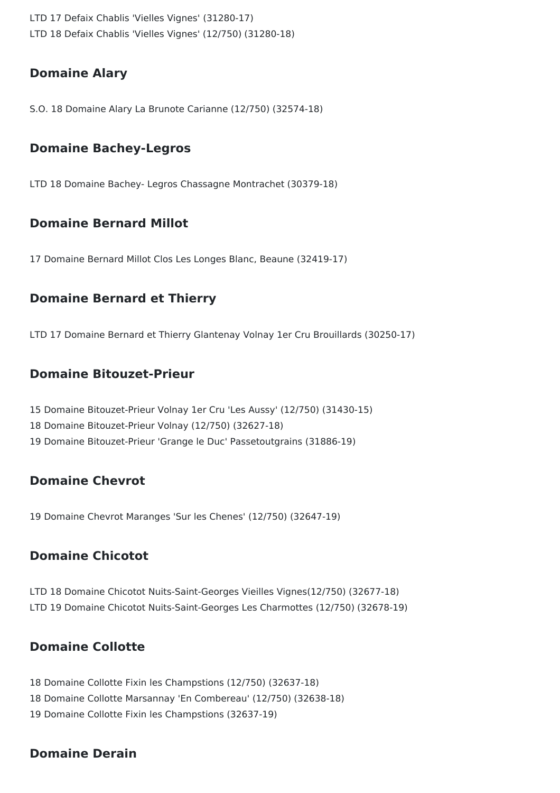LTD 17 Defaix Chablis 'Vielles Vignes' (31280-17) LTD 18 Defaix Chablis 'Vielles Vignes' (12/750) (31280-18)

### **Domaine Alary**

S.O. 18 Domaine Alary La Brunote Carianne (12/750) (32574-18)

### **Domaine Bachey-Legros**

LTD 18 Domaine Bachey- Legros Chassagne Montrachet (30379-18)

### **Domaine Bernard Millot**

17 Domaine Bernard Millot Clos Les Longes Blanc, Beaune (32419-17)

### **Domaine Bernard et Thierry**

LTD 17 Domaine Bernard et Thierry Glantenay Volnay 1er Cru Brouillards (30250-17)

### **Domaine Bitouzet-Prieur**

15 Domaine Bitouzet-Prieur Volnay 1er Cru 'Les Aussy' (12/750) (31430-15) 18 Domaine Bitouzet-Prieur Volnay (12/750) (32627-18) 19 Domaine Bitouzet-Prieur 'Grange le Duc' Passetoutgrains (31886-19)

### **Domaine Chevrot**

19 Domaine Chevrot Maranges 'Sur les Chenes' (12/750) (32647-19)

### **Domaine Chicotot**

LTD 18 Domaine Chicotot Nuits-Saint-Georges Vieilles Vignes(12/750) (32677-18) LTD 19 Domaine Chicotot Nuits-Saint-Georges Les Charmottes (12/750) (32678-19)

### **Domaine Collotte**

18 Domaine Collotte Fixin les Champstions (12/750) (32637-18) 18 Domaine Collotte Marsannay 'En Combereau' (12/750) (32638-18) 19 Domaine Collotte Fixin les Champstions (32637-19)

### **Domaine Derain**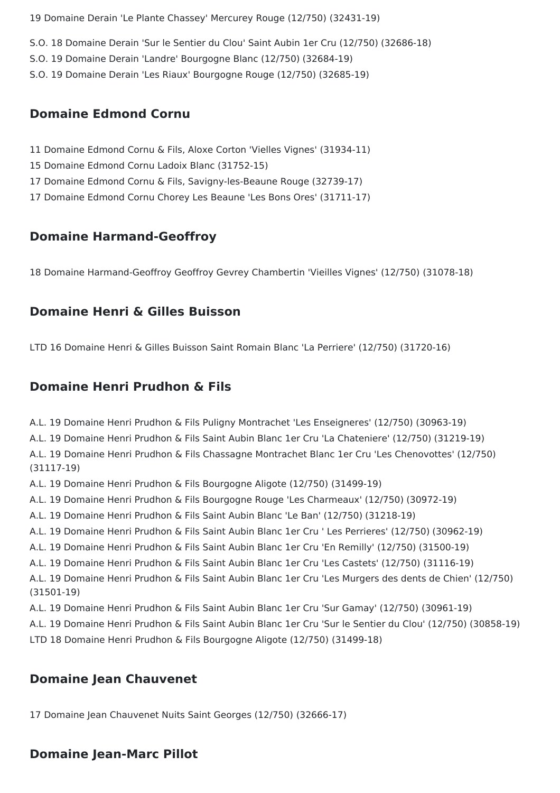19 Domaine Derain 'Le Plante Chassey' Mercurey Rouge (12/750) (32431-19)

- S.O. 18 Domaine Derain 'Sur le Sentier du Clou' Saint Aubin 1er Cru (12/750) (32686-18)
- S.O. 19 Domaine Derain 'Landre' Bourgogne Blanc (12/750) (32684-19)
- S.O. 19 Domaine Derain 'Les Riaux' Bourgogne Rouge (12/750) (32685-19)

#### **Domaine Edmond Cornu**

- 11 Domaine Edmond Cornu & Fils, Aloxe Corton 'Vielles Vignes' (31934-11)
- 15 Domaine Edmond Cornu Ladoix Blanc (31752-15)
- 17 Domaine Edmond Cornu & Fils, Savigny-les-Beaune Rouge (32739-17)
- 17 Domaine Edmond Cornu Chorey Les Beaune 'Les Bons Ores' (31711-17)

#### **Domaine Harmand-Geoffroy**

18 Domaine Harmand-Geoffroy Geoffroy Gevrey Chambertin 'Vieilles Vignes' (12/750) (31078-18)

### **Domaine Henri & Gilles Buisson**

LTD 16 Domaine Henri & Gilles Buisson Saint Romain Blanc 'La Perriere' (12/750) (31720-16)

### **Domaine Henri Prudhon & Fils**

A.L. 19 Domaine Henri Prudhon & Fils Puligny Montrachet 'Les Enseigneres' (12/750) (30963-19)

A.L. 19 Domaine Henri Prudhon & Fils Saint Aubin Blanc 1er Cru 'La Chateniere' (12/750) (31219-19)

A.L. 19 Domaine Henri Prudhon & Fils Chassagne Montrachet Blanc 1er Cru 'Les Chenovottes' (12/750) (31117-19)

- A.L. 19 Domaine Henri Prudhon & Fils Bourgogne Aligote (12/750) (31499-19)
- A.L. 19 Domaine Henri Prudhon & Fils Bourgogne Rouge 'Les Charmeaux' (12/750) (30972-19)
- A.L. 19 Domaine Henri Prudhon & Fils Saint Aubin Blanc 'Le Ban' (12/750) (31218-19)
- A.L. 19 Domaine Henri Prudhon & Fils Saint Aubin Blanc 1er Cru ' Les Perrieres' (12/750) (30962-19)
- A.L. 19 Domaine Henri Prudhon & Fils Saint Aubin Blanc 1er Cru 'En Remilly' (12/750) (31500-19)
- A.L. 19 Domaine Henri Prudhon & Fils Saint Aubin Blanc 1er Cru 'Les Castets' (12/750) (31116-19)

A.L. 19 Domaine Henri Prudhon & Fils Saint Aubin Blanc 1er Cru 'Les Murgers des dents de Chien' (12/750) (31501-19)

- A.L. 19 Domaine Henri Prudhon & Fils Saint Aubin Blanc 1er Cru 'Sur Gamay' (12/750) (30961-19)
- A.L. 19 Domaine Henri Prudhon & Fils Saint Aubin Blanc 1er Cru 'Sur le Sentier du Clou' (12/750) (30858-19)
- LTD 18 Domaine Henri Prudhon & Fils Bourgogne Aligote (12/750) (31499-18)

### **Domaine Jean Chauvenet**

17 Domaine Jean Chauvenet Nuits Saint Georges (12/750) (32666-17)

### **Domaine Jean-Marc Pillot**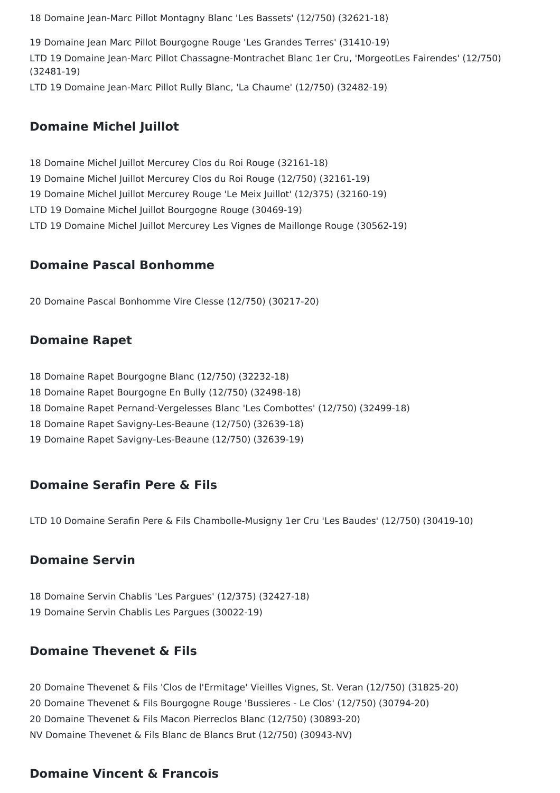18 Domaine Jean-Marc Pillot Montagny Blanc 'Les Bassets' (12/750) (32621-18)

19 Domaine Jean Marc Pillot Bourgogne Rouge 'Les Grandes Terres' (31410-19) LTD 19 Domaine Jean-Marc Pillot Chassagne-Montrachet Blanc 1er Cru, 'MorgeotLes Fairendes' (12/750) (32481-19) LTD 19 Domaine Jean-Marc Pillot Rully Blanc, 'La Chaume' (12/750) (32482-19)

#### **Domaine Michel Juillot**

18 Domaine Michel Juillot Mercurey Clos du Roi Rouge (32161-18) 19 Domaine Michel Juillot Mercurey Clos du Roi Rouge (12/750) (32161-19) 19 Domaine Michel Juillot Mercurey Rouge 'Le Meix Juillot' (12/375) (32160-19) LTD 19 Domaine Michel Juillot Bourgogne Rouge (30469-19) LTD 19 Domaine Michel Juillot Mercurey Les Vignes de Maillonge Rouge (30562-19)

#### **Domaine Pascal Bonhomme**

20 Domaine Pascal Bonhomme Vire Clesse (12/750) (30217-20)

#### **Domaine Rapet**

18 Domaine Rapet Bourgogne Blanc (12/750) (32232-18)

- 18 Domaine Rapet Bourgogne En Bully (12/750) (32498-18)
- 18 Domaine Rapet Pernand-Vergelesses Blanc 'Les Combottes' (12/750) (32499-18)
- 18 Domaine Rapet Savigny-Les-Beaune (12/750) (32639-18)
- 19 Domaine Rapet Savigny-Les-Beaune (12/750) (32639-19)

#### **Domaine Serafin Pere & Fils**

LTD 10 Domaine Serafin Pere & Fils Chambolle-Musigny 1er Cru 'Les Baudes' (12/750) (30419-10)

### **Domaine Servin**

18 Domaine Servin Chablis 'Les Pargues' (12/375) (32427-18) 19 Domaine Servin Chablis Les Pargues (30022-19)

### **Domaine Thevenet & Fils**

 Domaine Thevenet & Fils 'Clos de l'Ermitage' Vieilles Vignes, St. Veran (12/750) (31825-20) Domaine Thevenet & Fils Bourgogne Rouge 'Bussieres - Le Clos' (12/750) (30794-20) Domaine Thevenet & Fils Macon Pierreclos Blanc (12/750) (30893-20) NV Domaine Thevenet & Fils Blanc de Blancs Brut (12/750) (30943-NV)

### **Domaine Vincent & Francois**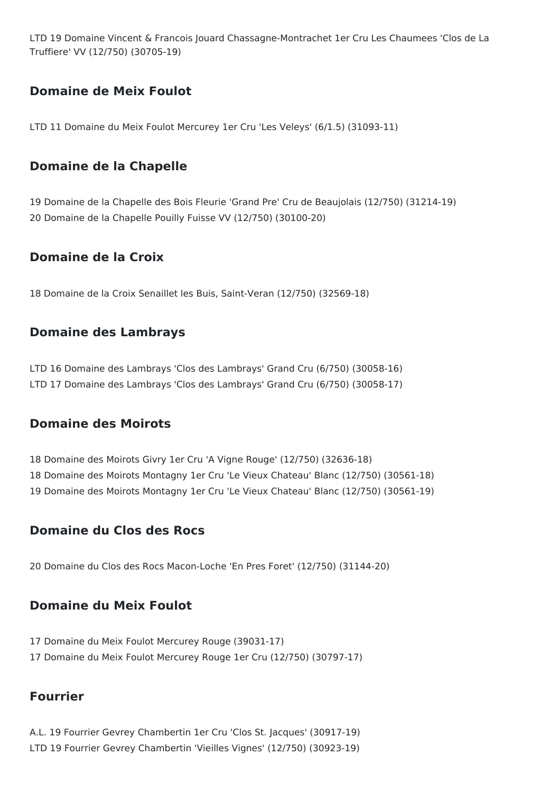LTD 19 Domaine Vincent & Francois Jouard Chassagne-Montrachet 1er Cru Les Chaumees 'Clos de La Truffiere' VV (12/750) (30705-19)

### **Domaine de Meix Foulot**

LTD 11 Domaine du Meix Foulot Mercurey 1er Cru 'Les Veleys' (6/1.5) (31093-11)

### **Domaine de la Chapelle**

19 Domaine de la Chapelle des Bois Fleurie 'Grand Pre' Cru de Beaujolais (12/750) (31214-19) 20 Domaine de la Chapelle Pouilly Fuisse VV (12/750) (30100-20)

### **Domaine de la Croix**

18 Domaine de la Croix Senaillet les Buis, Saint-Veran (12/750) (32569-18)

### **Domaine des Lambrays**

LTD 16 Domaine des Lambrays 'Clos des Lambrays' Grand Cru (6/750) (30058-16) LTD 17 Domaine des Lambrays 'Clos des Lambrays' Grand Cru (6/750) (30058-17)

### **Domaine des Moirots**

18 Domaine des Moirots Givry 1er Cru 'A Vigne Rouge' (12/750) (32636-18) 18 Domaine des Moirots Montagny 1er Cru 'Le Vieux Chateau' Blanc (12/750) (30561-18) 19 Domaine des Moirots Montagny 1er Cru 'Le Vieux Chateau' Blanc (12/750) (30561-19)

### **Domaine du Clos des Rocs**

20 Domaine du Clos des Rocs Macon-Loche 'En Pres Foret' (12/750) (31144-20)

### **Domaine du Meix Foulot**

- 17 Domaine du Meix Foulot Mercurey Rouge (39031-17)
- 17 Domaine du Meix Foulot Mercurey Rouge 1er Cru (12/750) (30797-17)

### **Fourrier**

A.L. 19 Fourrier Gevrey Chambertin 1er Cru 'Clos St. Jacques' (30917-19) LTD 19 Fourrier Gevrey Chambertin 'Vieilles Vignes' (12/750) (30923-19)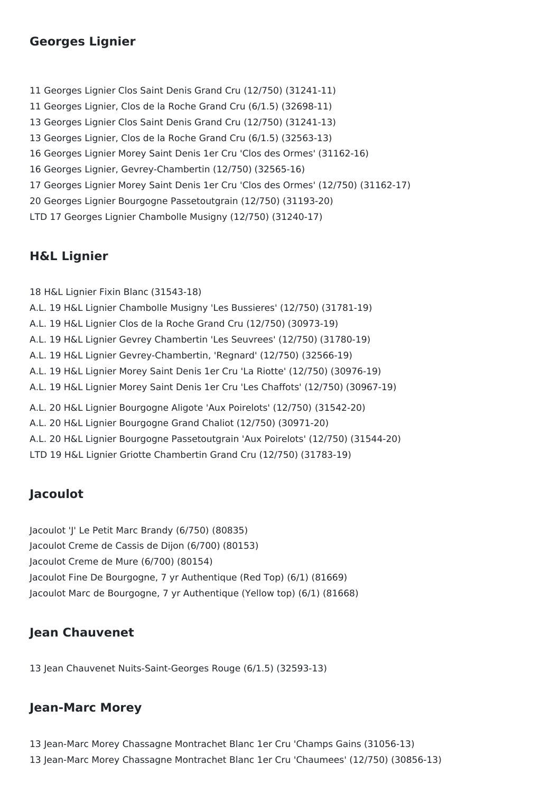### **Georges Lignier**

 Georges Lignier Clos Saint Denis Grand Cru (12/750) (31241-11) Georges Lignier, Clos de la Roche Grand Cru (6/1.5) (32698-11) Georges Lignier Clos Saint Denis Grand Cru (12/750) (31241-13) Georges Lignier, Clos de la Roche Grand Cru (6/1.5) (32563-13) Georges Lignier Morey Saint Denis 1er Cru 'Clos des Ormes' (31162-16) Georges Lignier, Gevrey-Chambertin (12/750) (32565-16) Georges Lignier Morey Saint Denis 1er Cru 'Clos des Ormes' (12/750) (31162-17) Georges Lignier Bourgogne Passetoutgrain (12/750) (31193-20) LTD 17 Georges Lignier Chambolle Musigny (12/750) (31240-17)

### **H&L Lignier**

18 H&L Lignier Fixin Blanc (31543-18) A.L. 19 H&L Lignier Chambolle Musigny 'Les Bussieres' (12/750) (31781-19) A.L. 19 H&L Lignier Clos de la Roche Grand Cru (12/750) (30973-19) A.L. 19 H&L Lignier Gevrey Chambertin 'Les Seuvrees' (12/750) (31780-19) A.L. 19 H&L Lignier Gevrey-Chambertin, 'Regnard' (12/750) (32566-19) A.L. 19 H&L Lignier Morey Saint Denis 1er Cru 'La Riotte' (12/750) (30976-19) A.L. 19 H&L Lignier Morey Saint Denis 1er Cru 'Les Chaffots' (12/750) (30967-19) A.L. 20 H&L Lignier Bourgogne Aligote 'Aux Poirelots' (12/750) (31542-20) A.L. 20 H&L Lignier Bourgogne Grand Chaliot (12/750) (30971-20) A.L. 20 H&L Lignier Bourgogne Passetoutgrain 'Aux Poirelots' (12/750) (31544-20) LTD 19 H&L Lignier Griotte Chambertin Grand Cru (12/750) (31783-19)

### **Jacoulot**

Jacoulot 'J' Le Petit Marc Brandy (6/750) (80835) Jacoulot Creme de Cassis de Dijon (6/700) (80153) Jacoulot Creme de Mure (6/700) (80154) Jacoulot Fine De Bourgogne, 7 yr Authentique (Red Top) (6/1) (81669) Jacoulot Marc de Bourgogne, 7 yr Authentique (Yellow top) (6/1) (81668)

### **Jean Chauvenet**

13 Jean Chauvenet Nuits-Saint-Georges Rouge (6/1.5) (32593-13)

### **Jean-Marc Morey**

13 Jean-Marc Morey Chassagne Montrachet Blanc 1er Cru 'Champs Gains (31056-13) 13 Jean-Marc Morey Chassagne Montrachet Blanc 1er Cru 'Chaumees' (12/750) (30856-13)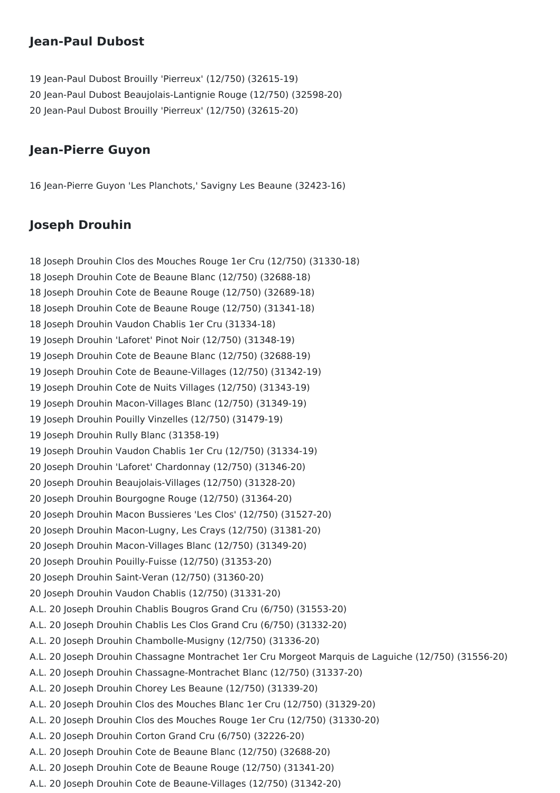### **Jean-Paul Dubost**

 Jean-Paul Dubost Brouilly 'Pierreux' (12/750) (32615-19) Jean-Paul Dubost Beaujolais-Lantignie Rouge (12/750) (32598-20) Jean-Paul Dubost Brouilly 'Pierreux' (12/750) (32615-20)

#### **Jean-Pierre Guyon**

Jean-Pierre Guyon 'Les Planchots,' Savigny Les Beaune (32423-16)

### **Joseph Drouhin**

 Joseph Drouhin Clos des Mouches Rouge 1er Cru (12/750) (31330-18) Joseph Drouhin Cote de Beaune Blanc (12/750) (32688-18) Joseph Drouhin Cote de Beaune Rouge (12/750) (32689-18) Joseph Drouhin Cote de Beaune Rouge (12/750) (31341-18) Joseph Drouhin Vaudon Chablis 1er Cru (31334-18) Joseph Drouhin 'Laforet' Pinot Noir (12/750) (31348-19) Joseph Drouhin Cote de Beaune Blanc (12/750) (32688-19) Joseph Drouhin Cote de Beaune-Villages (12/750) (31342-19) Joseph Drouhin Cote de Nuits Villages (12/750) (31343-19) Joseph Drouhin Macon-Villages Blanc (12/750) (31349-19) Joseph Drouhin Pouilly Vinzelles (12/750) (31479-19) Joseph Drouhin Rully Blanc (31358-19) Joseph Drouhin Vaudon Chablis 1er Cru (12/750) (31334-19) Joseph Drouhin 'Laforet' Chardonnay (12/750) (31346-20) Joseph Drouhin Beaujolais-Villages (12/750) (31328-20) Joseph Drouhin Bourgogne Rouge (12/750) (31364-20) Joseph Drouhin Macon Bussieres 'Les Clos' (12/750) (31527-20) Joseph Drouhin Macon-Lugny, Les Crays (12/750) (31381-20) Joseph Drouhin Macon-Villages Blanc (12/750) (31349-20) Joseph Drouhin Pouilly-Fuisse (12/750) (31353-20) Joseph Drouhin Saint-Veran (12/750) (31360-20) Joseph Drouhin Vaudon Chablis (12/750) (31331-20) A.L. 20 Joseph Drouhin Chablis Bougros Grand Cru (6/750) (31553-20) A.L. 20 Joseph Drouhin Chablis Les Clos Grand Cru (6/750) (31332-20) A.L. 20 Joseph Drouhin Chambolle-Musigny (12/750) (31336-20) A.L. 20 Joseph Drouhin Chassagne Montrachet 1er Cru Morgeot Marquis de Laguiche (12/750) (31556-20) A.L. 20 Joseph Drouhin Chassagne-Montrachet Blanc (12/750) (31337-20) A.L. 20 Joseph Drouhin Chorey Les Beaune (12/750) (31339-20) A.L. 20 Joseph Drouhin Clos des Mouches Blanc 1er Cru (12/750) (31329-20) A.L. 20 Joseph Drouhin Clos des Mouches Rouge 1er Cru (12/750) (31330-20) A.L. 20 Joseph Drouhin Corton Grand Cru (6/750) (32226-20) A.L. 20 Joseph Drouhin Cote de Beaune Blanc (12/750) (32688-20) A.L. 20 Joseph Drouhin Cote de Beaune Rouge (12/750) (31341-20) A.L. 20 Joseph Drouhin Cote de Beaune-Villages (12/750) (31342-20)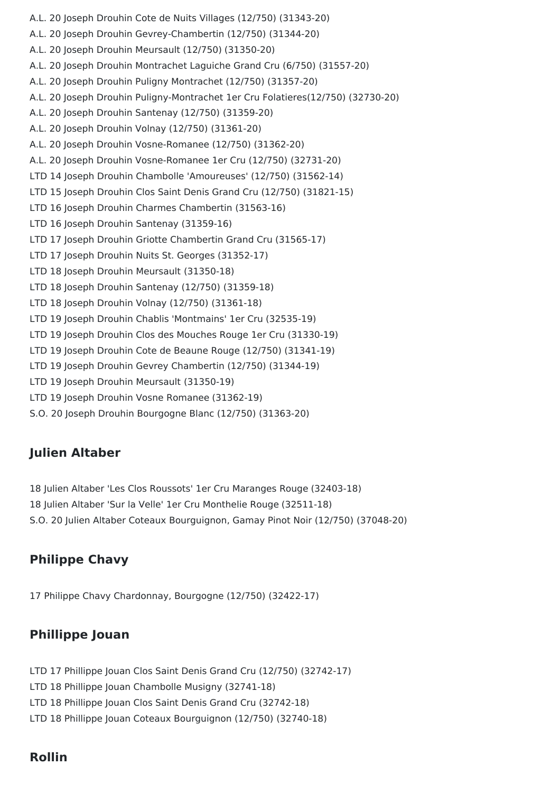A.L. 20 Joseph Drouhin Cote de Nuits Villages (12/750) (31343-20) A.L. 20 Joseph Drouhin Gevrey-Chambertin (12/750) (31344-20) A.L. 20 Joseph Drouhin Meursault (12/750) (31350-20) A.L. 20 Joseph Drouhin Montrachet Laguiche Grand Cru (6/750) (31557-20) A.L. 20 Joseph Drouhin Puligny Montrachet (12/750) (31357-20) A.L. 20 Joseph Drouhin Puligny-Montrachet 1er Cru Folatieres(12/750) (32730-20) A.L. 20 Joseph Drouhin Santenay (12/750) (31359-20) A.L. 20 Joseph Drouhin Volnay (12/750) (31361-20) A.L. 20 Joseph Drouhin Vosne-Romanee (12/750) (31362-20) A.L. 20 Joseph Drouhin Vosne-Romanee 1er Cru (12/750) (32731-20) LTD 14 Joseph Drouhin Chambolle 'Amoureuses' (12/750) (31562-14) LTD 15 Joseph Drouhin Clos Saint Denis Grand Cru (12/750) (31821-15) LTD 16 Joseph Drouhin Charmes Chambertin (31563-16) LTD 16 Joseph Drouhin Santenay (31359-16) LTD 17 Joseph Drouhin Griotte Chambertin Grand Cru (31565-17) LTD 17 Joseph Drouhin Nuits St. Georges (31352-17) LTD 18 Joseph Drouhin Meursault (31350-18) LTD 18 Joseph Drouhin Santenay (12/750) (31359-18) LTD 18 Joseph Drouhin Volnay (12/750) (31361-18) LTD 19 Joseph Drouhin Chablis 'Montmains' 1er Cru (32535-19) LTD 19 Joseph Drouhin Clos des Mouches Rouge 1er Cru (31330-19) LTD 19 Joseph Drouhin Cote de Beaune Rouge (12/750) (31341-19) LTD 19 Joseph Drouhin Gevrey Chambertin (12/750) (31344-19) LTD 19 Joseph Drouhin Meursault (31350-19) LTD 19 Joseph Drouhin Vosne Romanee (31362-19) S.O. 20 Joseph Drouhin Bourgogne Blanc (12/750) (31363-20)

### **Julien Altaber**

18 Julien Altaber 'Les Clos Roussots' 1er Cru Maranges Rouge (32403-18) 18 Julien Altaber 'Sur la Velle' 1er Cru Monthelie Rouge (32511-18) S.O. 20 Julien Altaber Coteaux Bourguignon, Gamay Pinot Noir (12/750) (37048-20)

### **Philippe Chavy**

17 Philippe Chavy Chardonnay, Bourgogne (12/750) (32422-17)

### **Phillippe Jouan**

- LTD 17 Phillippe Jouan Clos Saint Denis Grand Cru (12/750) (32742-17)
- LTD 18 Phillippe Jouan Chambolle Musigny (32741-18)
- LTD 18 Phillippe Jouan Clos Saint Denis Grand Cru (32742-18)
- LTD 18 Phillippe Jouan Coteaux Bourguignon (12/750) (32740-18)

### **Rollin**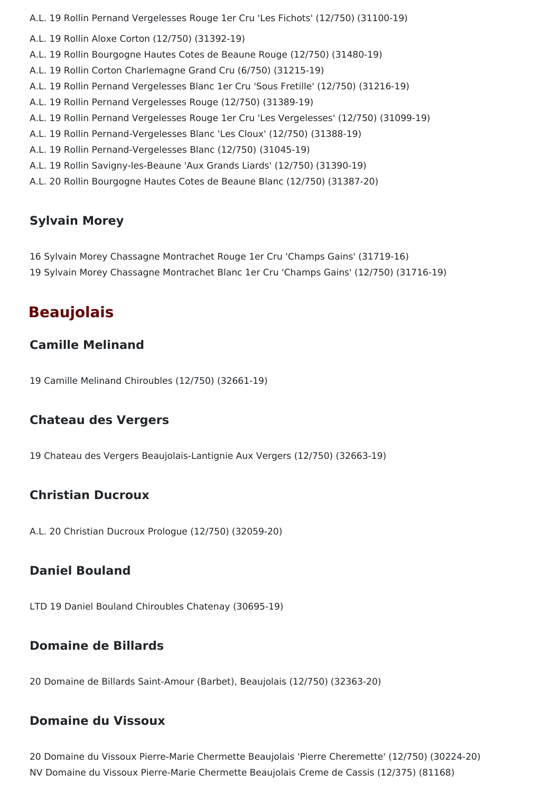A.L. 19 Rollin Pernand Vergelesses Rouge 1er Cru 'Les Fichots' (12/750) (31100-19)

- A.L. 19 Rollin Aloxe Corton (12/750) (31392-19)
- A.L. 19 Rollin Bourgogne Hautes Cotes de Beaune Rouge (12/750) (31480-19)
- A.L. 19 Rollin Corton Charlemagne Grand Cru (6/750) (31215-19)
- A.L. 19 Rollin Pernand Vergelesses Blanc 1er Cru 'Sous Fretille' (12/750) (31216-19)
- A.L. 19 Rollin Pernand Vergelesses Rouge (12/750) (31389-19)
- A.L. 19 Rollin Pernand Vergelesses Rouge 1er Cru 'Les Vergelesses' (12/750) (31099-19)
- A.L. 19 Rollin Pernand-Vergelesses Blanc 'Les Cloux' (12/750) (31388-19)
- A.L. 19 Rollin Pernand-Vergelesses Blanc (12/750) (31045-19)
- A.L. 19 Rollin Savigny-les-Beaune 'Aux Grands Liards' (12/750) (31390-19)
- A.L. 20 Rollin Bourgogne Hautes Cotes de Beaune Blanc (12/750) (31387-20)

### **Sylvain Morey**

16 Sylvain Morey Chassagne Montrachet Rouge 1er Cru 'Champs Gains' (31719-16) 19 Sylvain Morey Chassagne Montrachet Blanc 1er Cru 'Champs Gains' (12/750) (31716-19)

# **Beaujolais**

### **Camille Melinand**

19 Camille Melinand Chiroubles (12/750) (32661-19)

### **Chateau des Vergers**

19 Chateau des Vergers Beaujolais-Lantignie Aux Vergers (12/750) (32663-19)

### **Christian Ducroux**

A.L. 20 Christian Ducroux Prologue (12/750) (32059-20)

### **Daniel Bouland**

LTD 19 Daniel Bouland Chiroubles Chatenay (30695-19)

### **Domaine de Billards**

20 Domaine de Billards Saint-Amour (Barbet), Beaujolais (12/750) (32363-20)

### **Domaine du Vissoux**

20 Domaine du Vissoux Pierre-Marie Chermette Beaujolais 'Pierre Cheremette' (12/750) (30224-20) NV Domaine du Vissoux Pierre-Marie Chermette Beaujolais Creme de Cassis (12/375) (81168)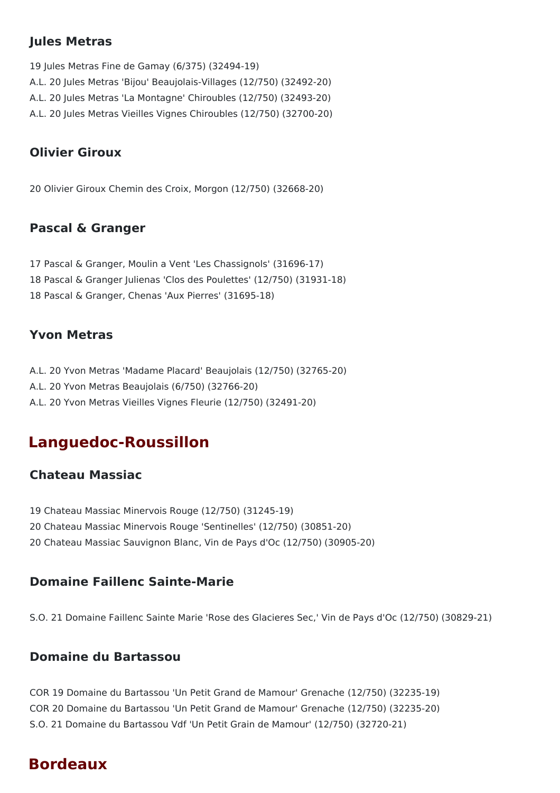### **Jules Metras**

19 Jules Metras Fine de Gamay (6/375) (32494-19) A.L. 20 Jules Metras 'Bijou' Beaujolais-Villages (12/750) (32492-20) A.L. 20 Jules Metras 'La Montagne' Chiroubles (12/750) (32493-20) A.L. 20 Jules Metras Vieilles Vignes Chiroubles (12/750) (32700-20)

### **Olivier Giroux**

20 Olivier Giroux Chemin des Croix, Morgon (12/750) (32668-20)

### **Pascal & Granger**

17 Pascal & Granger, Moulin a Vent 'Les Chassignols' (31696-17) 18 Pascal & Granger Julienas 'Clos des Poulettes' (12/750) (31931-18) 18 Pascal & Granger, Chenas 'Aux Pierres' (31695-18)

### **Yvon Metras**

A.L. 20 Yvon Metras 'Madame Placard' Beaujolais (12/750) (32765-20)

- A.L. 20 Yvon Metras Beaujolais (6/750) (32766-20)
- A.L. 20 Yvon Metras Vieilles Vignes Fleurie (12/750) (32491-20)

# **Languedoc‐Roussillon**

### **Chateau Massiac**

- 19 Chateau Massiac Minervois Rouge (12/750) (31245-19)
- 20 Chateau Massiac Minervois Rouge 'Sentinelles' (12/750) (30851-20)
- 20 Chateau Massiac Sauvignon Blanc, Vin de Pays d'Oc (12/750) (30905-20)

### **Domaine Faillenc Sainte-Marie**

S.O. 21 Domaine Faillenc Sainte Marie 'Rose des Glacieres Sec,' Vin de Pays d'Oc (12/750) (30829-21)

### **Domaine du Bartassou**

COR 19 Domaine du Bartassou 'Un Petit Grand de Mamour' Grenache (12/750) (32235-19) COR 20 Domaine du Bartassou 'Un Petit Grand de Mamour' Grenache (12/750) (32235-20) S.O. 21 Domaine du Bartassou Vdf 'Un Petit Grain de Mamour' (12/750) (32720-21)

# **Bordeaux**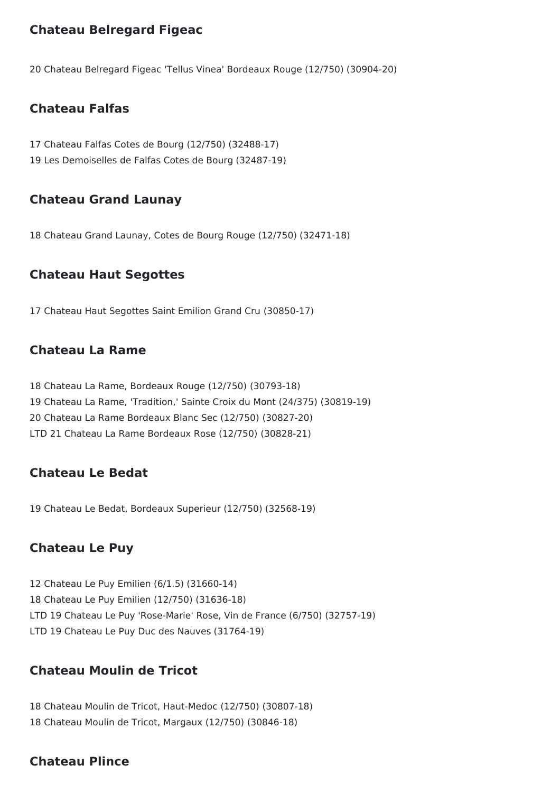### **Chateau Belregard Figeac**

20 Chateau Belregard Figeac 'Tellus Vinea' Bordeaux Rouge (12/750) (30904-20)

### **Chateau Falfas**

17 Chateau Falfas Cotes de Bourg (12/750) (32488-17) 19 Les Demoiselles de Falfas Cotes de Bourg (32487-19)

### **Chateau Grand Launay**

18 Chateau Grand Launay, Cotes de Bourg Rouge (12/750) (32471-18)

### **Chateau Haut Segottes**

17 Chateau Haut Segottes Saint Emilion Grand Cru (30850-17)

### **Chateau La Rame**

 Chateau La Rame, Bordeaux Rouge (12/750) (30793-18) Chateau La Rame, 'Tradition,' Sainte Croix du Mont (24/375) (30819-19) Chateau La Rame Bordeaux Blanc Sec (12/750) (30827-20) LTD 21 Chateau La Rame Bordeaux Rose (12/750) (30828-21)

### **Chateau Le Bedat**

19 Chateau Le Bedat, Bordeaux Superieur (12/750) (32568-19)

### **Chateau Le Puy**

12 Chateau Le Puy Emilien (6/1.5) (31660-14) 18 Chateau Le Puy Emilien (12/750) (31636-18) LTD 19 Chateau Le Puy 'Rose-Marie' Rose, Vin de France (6/750) (32757-19) LTD 19 Chateau Le Puy Duc des Nauves (31764-19)

### **Chateau Moulin de Tricot**

18 Chateau Moulin de Tricot, Haut-Medoc (12/750) (30807-18) 18 Chateau Moulin de Tricot, Margaux (12/750) (30846-18)

### **Chateau Plince**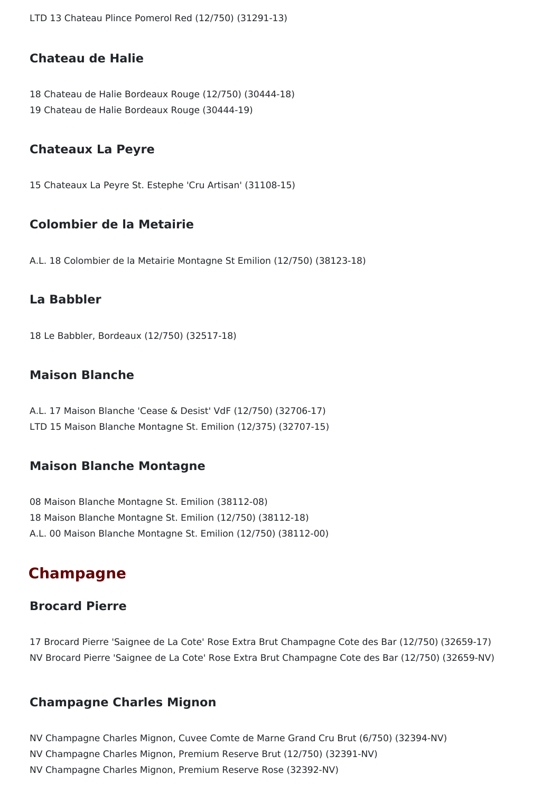LTD 13 Chateau Plince Pomerol Red (12/750) (31291-13)

### **Chateau de Halie**

18 Chateau de Halie Bordeaux Rouge (12/750) (30444-18) 19 Chateau de Halie Bordeaux Rouge (30444-19)

#### **Chateaux La Peyre**

15 Chateaux La Peyre St. Estephe 'Cru Artisan' (31108-15)

### **Colombier de la Metairie**

A.L. 18 Colombier de la Metairie Montagne St Emilion (12/750) (38123-18)

#### **La Babbler**

18 Le Babbler, Bordeaux (12/750) (32517-18)

### **Maison Blanche**

A.L. 17 Maison Blanche 'Cease & Desist' VdF (12/750) (32706-17) LTD 15 Maison Blanche Montagne St. Emilion (12/375) (32707-15)

#### **Maison Blanche Montagne**

08 Maison Blanche Montagne St. Emilion (38112-08) 18 Maison Blanche Montagne St. Emilion (12/750) (38112-18) A.L. 00 Maison Blanche Montagne St. Emilion (12/750) (38112-00)

## **Champagne**

#### **Brocard Pierre**

17 Brocard Pierre 'Saignee de La Cote' Rose Extra Brut Champagne Cote des Bar (12/750) (32659-17) NV Brocard Pierre 'Saignee de La Cote' Rose Extra Brut Champagne Cote des Bar (12/750) (32659-NV)

#### **Champagne Charles Mignon**

NV Champagne Charles Mignon, Cuvee Comte de Marne Grand Cru Brut (6/750) (32394-NV) NV Champagne Charles Mignon, Premium Reserve Brut (12/750) (32391-NV) NV Champagne Charles Mignon, Premium Reserve Rose (32392-NV)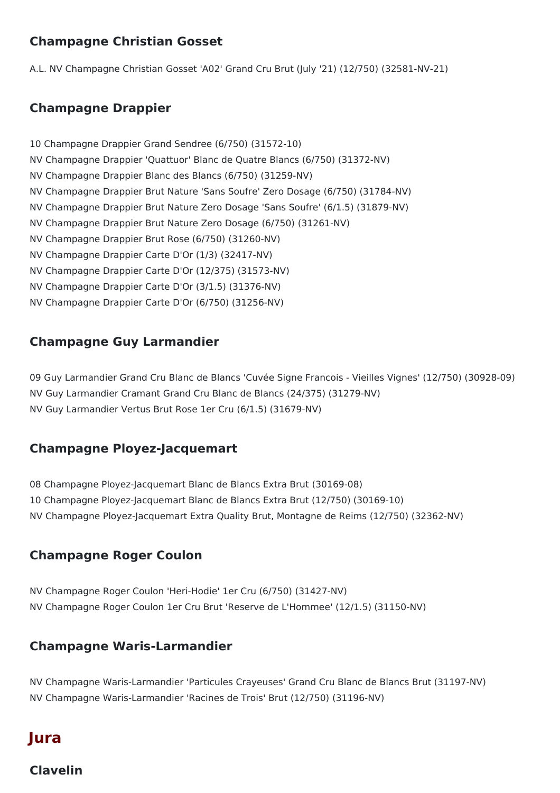### **Champagne Christian Gosset**

A.L. NV Champagne Christian Gosset 'A02' Grand Cru Brut (July '21) (12/750) (32581-NV-21)

### **Champagne Drappier**

10 Champagne Drappier Grand Sendree (6/750) (31572-10) NV Champagne Drappier 'Quattuor' Blanc de Quatre Blancs (6/750) (31372-NV) NV Champagne Drappier Blanc des Blancs (6/750) (31259-NV) NV Champagne Drappier Brut Nature 'Sans Soufre' Zero Dosage (6/750) (31784-NV) NV Champagne Drappier Brut Nature Zero Dosage 'Sans Soufre' (6/1.5) (31879-NV) NV Champagne Drappier Brut Nature Zero Dosage (6/750) (31261-NV) NV Champagne Drappier Brut Rose (6/750) (31260-NV) NV Champagne Drappier Carte D'Or (1/3) (32417-NV) NV Champagne Drappier Carte D'Or (12/375) (31573-NV) NV Champagne Drappier Carte D'Or (3/1.5) (31376-NV) NV Champagne Drappier Carte D'Or (6/750) (31256-NV)

### **Champagne Guy Larmandier**

09 Guy Larmandier Grand Cru Blanc de Blancs 'Cuvée Signe Francois - Vieilles Vignes' (12/750) (30928-09) NV Guy Larmandier Cramant Grand Cru Blanc de Blancs (24/375) (31279-NV) NV Guy Larmandier Vertus Brut Rose 1er Cru (6/1.5) (31679-NV)

### **Champagne Ployez-Jacquemart**

08 Champagne Ployez-Jacquemart Blanc de Blancs Extra Brut (30169-08) 10 Champagne Ployez-Jacquemart Blanc de Blancs Extra Brut (12/750) (30169-10) NV Champagne Ployez-Jacquemart Extra Quality Brut, Montagne de Reims (12/750) (32362-NV)

### **Champagne Roger Coulon**

NV Champagne Roger Coulon 'Heri-Hodie' 1er Cru (6/750) (31427-NV) NV Champagne Roger Coulon 1er Cru Brut 'Reserve de L'Hommee' (12/1.5) (31150-NV)

### **Champagne Waris-Larmandier**

NV Champagne Waris-Larmandier 'Particules Crayeuses' Grand Cru Blanc de Blancs Brut (31197-NV) NV Champagne Waris-Larmandier 'Racines de Trois' Brut (12/750) (31196-NV)

# **Jura**

### **Clavelin**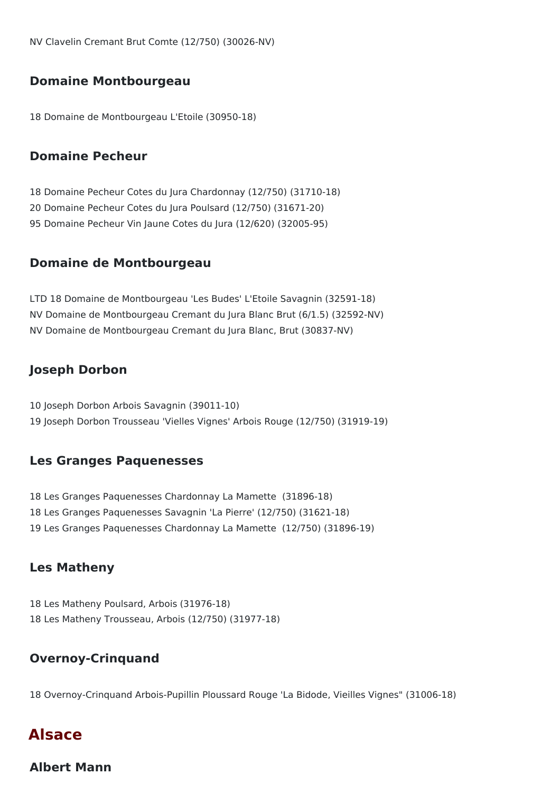NV Clavelin Cremant Brut Comte (12/750) (30026-NV)

#### **Domaine Montbourgeau**

18 Domaine de Montbourgeau L'Etoile (30950-18)

#### **Domaine Pecheur**

18 Domaine Pecheur Cotes du Jura Chardonnay (12/750) (31710-18) 20 Domaine Pecheur Cotes du Jura Poulsard (12/750) (31671-20) 95 Domaine Pecheur Vin Jaune Cotes du Jura (12/620) (32005-95)

#### **Domaine de Montbourgeau**

LTD 18 Domaine de Montbourgeau 'Les Budes' L'Etoile Savagnin (32591-18) NV Domaine de Montbourgeau Cremant du Jura Blanc Brut (6/1.5) (32592-NV) NV Domaine de Montbourgeau Cremant du Jura Blanc, Brut (30837-NV)

#### **Joseph Dorbon**

10 Joseph Dorbon Arbois Savagnin (39011-10) 19 Joseph Dorbon Trousseau 'Vielles Vignes' Arbois Rouge (12/750) (31919-19)

#### **Les Granges Paquenesses**

18 Les Granges Paquenesses Chardonnay La Mamette (31896-18) 18 Les Granges Paquenesses Savagnin 'La Pierre' (12/750) (31621-18) 19 Les Granges Paquenesses Chardonnay La Mamette (12/750) (31896-19)

### **Les Matheny**

18 Les Matheny Poulsard, Arbois (31976-18) 18 Les Matheny Trousseau, Arbois (12/750) (31977-18)

### **Overnoy-Crinquand**

18 Overnoy-Crinquand Arbois-Pupillin Ploussard Rouge 'La Bidode, Vieilles Vignes" (31006-18)

### **Alsace**

**Albert Mann**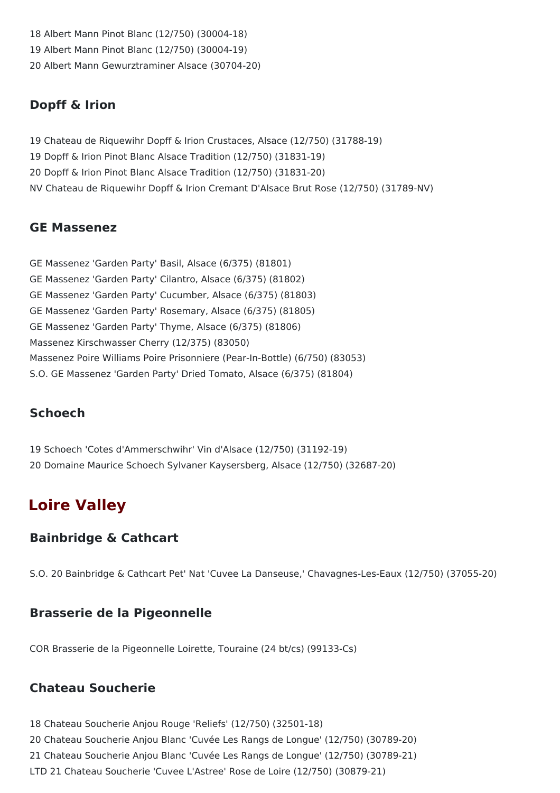18 Albert Mann Pinot Blanc (12/750) (30004-18) 19 Albert Mann Pinot Blanc (12/750) (30004-19) 20 Albert Mann Gewurztraminer Alsace (30704-20)

### **Dopff & Irion**

 Chateau de Riquewihr Dopff & Irion Crustaces, Alsace (12/750) (31788-19) Dopff & Irion Pinot Blanc Alsace Tradition (12/750) (31831-19) Dopff & Irion Pinot Blanc Alsace Tradition (12/750) (31831-20) NV Chateau de Riquewihr Dopff & Irion Cremant D'Alsace Brut Rose (12/750) (31789-NV)

### **GE Massenez**

GE Massenez 'Garden Party' Basil, Alsace (6/375) (81801) GE Massenez 'Garden Party' Cilantro, Alsace (6/375) (81802) GE Massenez 'Garden Party' Cucumber, Alsace (6/375) (81803) GE Massenez 'Garden Party' Rosemary, Alsace (6/375) (81805) GE Massenez 'Garden Party' Thyme, Alsace (6/375) (81806) Massenez Kirschwasser Cherry (12/375) (83050) Massenez Poire Williams Poire Prisonniere (Pear-In-Bottle) (6/750) (83053) S.O. GE Massenez 'Garden Party' Dried Tomato, Alsace (6/375) (81804)

### **Schoech**

19 Schoech 'Cotes d'Ammerschwihr' Vin d'Alsace (12/750) (31192-19) 20 Domaine Maurice Schoech Sylvaner Kaysersberg, Alsace (12/750) (32687-20)

# **Loire Valley**

### **Bainbridge & Cathcart**

S.O. 20 Bainbridge & Cathcart Pet' Nat 'Cuvee La Danseuse,' Chavagnes-Les-Eaux (12/750) (37055-20)

### **Brasserie de la Pigeonnelle**

COR Brasserie de la Pigeonnelle Loirette, Touraine (24 bt/cs) (99133-Cs)

### **Chateau Soucherie**

18 Chateau Soucherie Anjou Rouge 'Reliefs' (12/750) (32501-18)

20 Chateau Soucherie Anjou Blanc 'Cuvée Les Rangs de Longue' (12/750) (30789-20)

21 Chateau Soucherie Anjou Blanc 'Cuvée Les Rangs de Longue' (12/750) (30789-21)

LTD 21 Chateau Soucherie 'Cuvee L'Astree' Rose de Loire (12/750) (30879-21)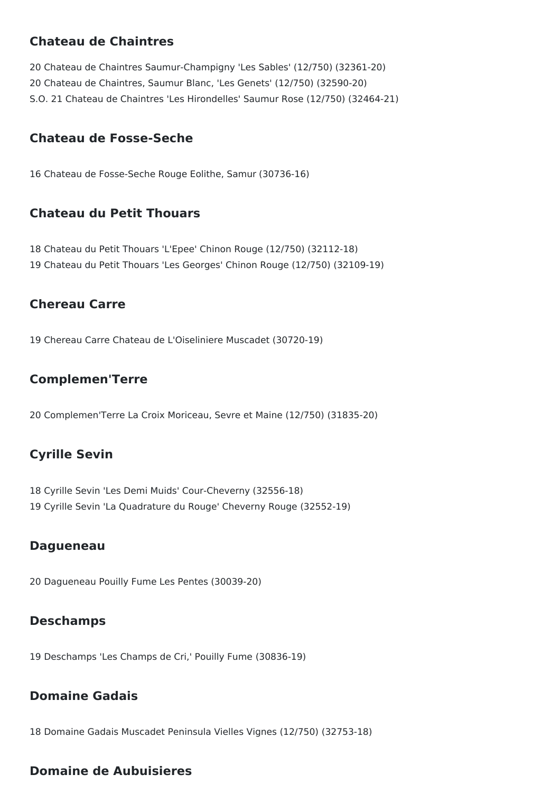### **Chateau de Chaintres**

20 Chateau de Chaintres Saumur-Champigny 'Les Sables' (12/750) (32361-20) 20 Chateau de Chaintres, Saumur Blanc, 'Les Genets' (12/750) (32590-20) S.O. 21 Chateau de Chaintres 'Les Hirondelles' Saumur Rose (12/750) (32464-21)

### **Chateau de Fosse-Seche**

16 Chateau de Fosse-Seche Rouge Eolithe, Samur (30736-16)

### **Chateau du Petit Thouars**

18 Chateau du Petit Thouars 'L'Epee' Chinon Rouge (12/750) (32112-18) 19 Chateau du Petit Thouars 'Les Georges' Chinon Rouge (12/750) (32109-19)

### **Chereau Carre**

19 Chereau Carre Chateau de L'Oiseliniere Muscadet (30720-19)

### **Complemen'Terre**

20 Complemen'Terre La Croix Moriceau, Sevre et Maine (12/750) (31835-20)

### **Cyrille Sevin**

18 Cyrille Sevin 'Les Demi Muids' Cour-Cheverny (32556-18) 19 Cyrille Sevin 'La Quadrature du Rouge' Cheverny Rouge (32552-19)

#### **Dagueneau**

20 Dagueneau Pouilly Fume Les Pentes (30039-20)

### **Deschamps**

19 Deschamps 'Les Champs de Cri,' Pouilly Fume (30836-19)

### **Domaine Gadais**

18 Domaine Gadais Muscadet Peninsula Vielles Vignes (12/750) (32753-18)

### **Domaine de Aubuisieres**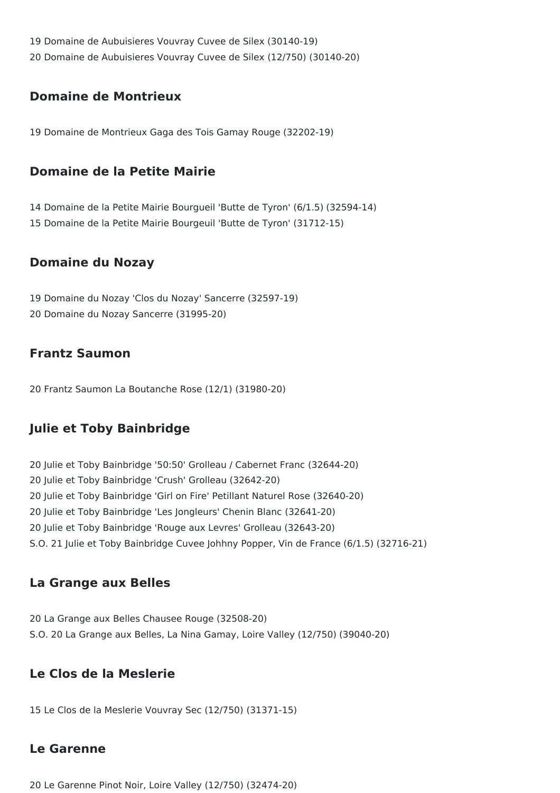Domaine de Aubuisieres Vouvray Cuvee de Silex (30140-19) Domaine de Aubuisieres Vouvray Cuvee de Silex (12/750) (30140-20)

### **Domaine de Montrieux**

Domaine de Montrieux Gaga des Tois Gamay Rouge (32202-19)

### **Domaine de la Petite Mairie**

 Domaine de la Petite Mairie Bourgueil 'Butte de Tyron' (6/1.5) (32594-14) Domaine de la Petite Mairie Bourgeuil 'Butte de Tyron' (31712-15)

### **Domaine du Nozay**

 Domaine du Nozay 'Clos du Nozay' Sancerre (32597-19) Domaine du Nozay Sancerre (31995-20)

### **Frantz Saumon**

Frantz Saumon La Boutanche Rose (12/1) (31980-20)

### **Julie et Toby Bainbridge**

 Julie et Toby Bainbridge '50:50' Grolleau / Cabernet Franc (32644-20) Julie et Toby Bainbridge 'Crush' Grolleau (32642-20) Julie et Toby Bainbridge 'Girl on Fire' Petillant Naturel Rose (32640-20) Julie et Toby Bainbridge 'Les Jongleurs' Chenin Blanc (32641-20) Julie et Toby Bainbridge 'Rouge aux Levres' Grolleau (32643-20) S.O. 21 Julie et Toby Bainbridge Cuvee Johhny Popper, Vin de France (6/1.5) (32716-21)

### **La Grange aux Belles**

 La Grange aux Belles Chausee Rouge (32508-20) S.O. 20 La Grange aux Belles, La Nina Gamay, Loire Valley (12/750) (39040-20)

### **Le Clos de la Meslerie**

Le Clos de la Meslerie Vouvray Sec (12/750) (31371-15)

### **Le Garenne**

Le Garenne Pinot Noir, Loire Valley (12/750) (32474-20)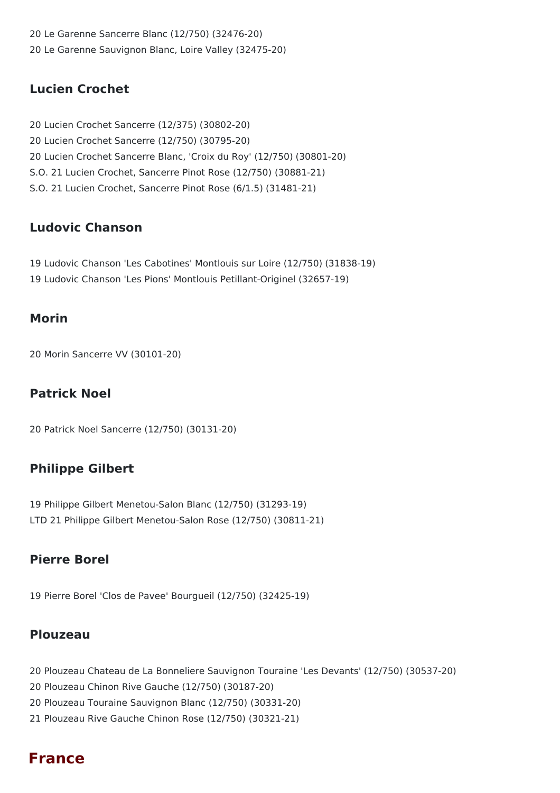20 Le Garenne Sancerre Blanc (12/750) (32476-20) 20 Le Garenne Sauvignon Blanc, Loire Valley (32475-20)

### **Lucien Crochet**

20 Lucien Crochet Sancerre (12/375) (30802-20) 20 Lucien Crochet Sancerre (12/750) (30795-20) 20 Lucien Crochet Sancerre Blanc, 'Croix du Roy' (12/750) (30801-20) S.O. 21 Lucien Crochet, Sancerre Pinot Rose (12/750) (30881-21) S.O. 21 Lucien Crochet, Sancerre Pinot Rose (6/1.5) (31481-21)

### **Ludovic Chanson**

19 Ludovic Chanson 'Les Cabotines' Montlouis sur Loire (12/750) (31838-19) 19 Ludovic Chanson 'Les Pions' Montlouis Petillant-Originel (32657-19)

### **Morin**

20 Morin Sancerre VV (30101-20)

### **Patrick Noel**

20 Patrick Noel Sancerre (12/750) (30131-20)

### **Philippe Gilbert**

19 Philippe Gilbert Menetou-Salon Blanc (12/750) (31293-19) LTD 21 Philippe Gilbert Menetou-Salon Rose (12/750) (30811-21)

### **Pierre Borel**

19 Pierre Borel 'Clos de Pavee' Bourgueil (12/750) (32425-19)

### **Plouzeau**

- 20 Plouzeau Chateau de La Bonneliere Sauvignon Touraine 'Les Devants' (12/750) (30537-20) 20 Plouzeau Chinon Rive Gauche (12/750) (30187-20) 20 Plouzeau Touraine Sauvignon Blanc (12/750) (30331-20) 21 Plouzeau Rive Gauche Chinon Rose (12/750) (30321-21)
- 

### **France**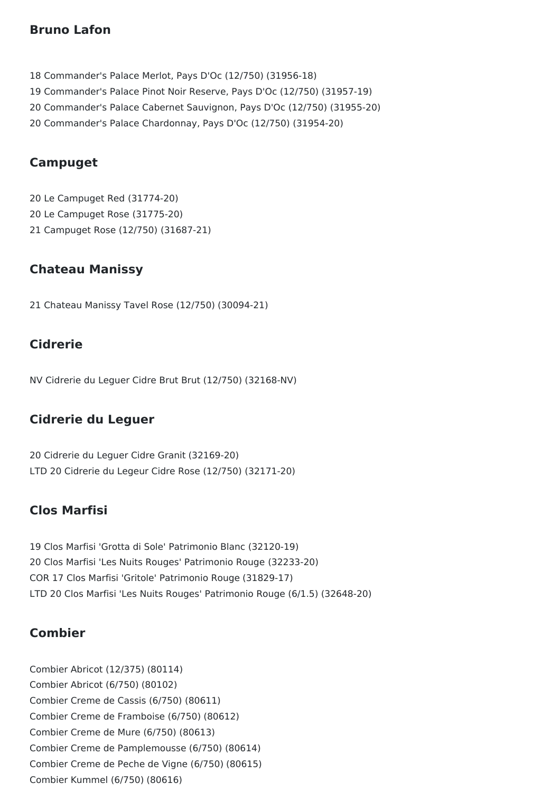### **Bruno Lafon**

- 18 Commander's Palace Merlot, Pays D'Oc (12/750) (31956-18)
- 19 Commander's Palace Pinot Noir Reserve, Pays D'Oc (12/750) (31957-19)
- 20 Commander's Palace Cabernet Sauvignon, Pays D'Oc (12/750) (31955-20)
- 20 Commander's Palace Chardonnay, Pays D'Oc (12/750) (31954-20)

### **Campuget**

20 Le Campuget Red (31774-20) 20 Le Campuget Rose (31775-20) 21 Campuget Rose (12/750) (31687-21)

### **Chateau Manissy**

21 Chateau Manissy Tavel Rose (12/750) (30094-21)

### **Cidrerie**

NV Cidrerie du Leguer Cidre Brut Brut (12/750) (32168-NV)

### **Cidrerie du Leguer**

20 Cidrerie du Leguer Cidre Granit (32169-20) LTD 20 Cidrerie du Legeur Cidre Rose (12/750) (32171-20)

### **Clos Marfisi**

19 Clos Marfisi 'Grotta di Sole' Patrimonio Blanc (32120-19) 20 Clos Marfisi 'Les Nuits Rouges' Patrimonio Rouge (32233-20) COR 17 Clos Marfisi 'Gritole' Patrimonio Rouge (31829-17) LTD 20 Clos Marfisi 'Les Nuits Rouges' Patrimonio Rouge (6/1.5) (32648-20)

### **Combier**

Combier Abricot (12/375) (80114) Combier Abricot (6/750) (80102) Combier Creme de Cassis (6/750) (80611) Combier Creme de Framboise (6/750) (80612) Combier Creme de Mure (6/750) (80613) Combier Creme de Pamplemousse (6/750) (80614) Combier Creme de Peche de Vigne (6/750) (80615) Combier Kummel (6/750) (80616)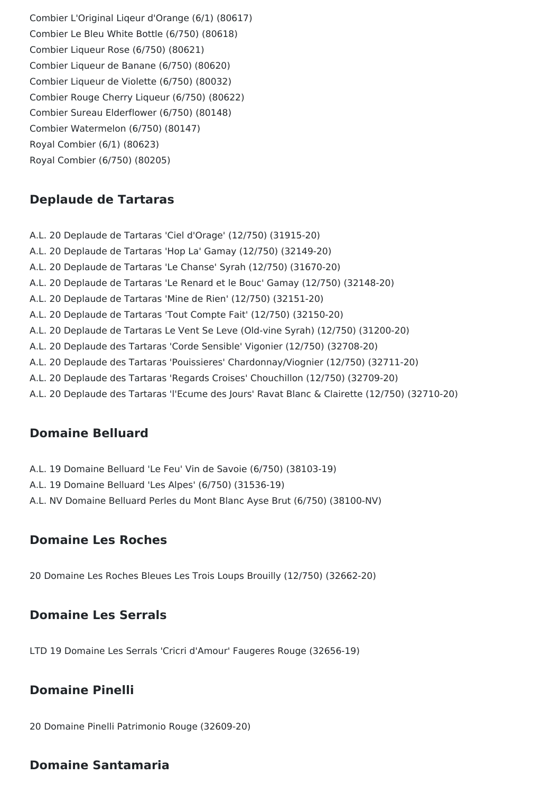Combier L'Original Liqeur d'Orange (6/1) (80617) Combier Le Bleu White Bottle (6/750) (80618) Combier Liqueur Rose (6/750) (80621) Combier Liqueur de Banane (6/750) (80620) Combier Liqueur de Violette (6/750) (80032) Combier Rouge Cherry Liqueur (6/750) (80622) Combier Sureau Elderflower (6/750) (80148) Combier Watermelon (6/750) (80147) Royal Combier (6/1) (80623) Royal Combier (6/750) (80205)

### **Deplaude de Tartaras**

A.L. 20 Deplaude de Tartaras 'Ciel d'Orage' (12/750) (31915-20) A.L. 20 Deplaude de Tartaras 'Hop La' Gamay (12/750) (32149-20) A.L. 20 Deplaude de Tartaras 'Le Chanse' Syrah (12/750) (31670-20) A.L. 20 Deplaude de Tartaras 'Le Renard et le Bouc' Gamay (12/750) (32148-20) A.L. 20 Deplaude de Tartaras 'Mine de Rien' (12/750) (32151-20) A.L. 20 Deplaude de Tartaras 'Tout Compte Fait' (12/750) (32150-20) A.L. 20 Deplaude de Tartaras Le Vent Se Leve (Old-vine Syrah) (12/750) (31200-20) A.L. 20 Deplaude des Tartaras 'Corde Sensible' Vigonier (12/750) (32708-20) A.L. 20 Deplaude des Tartaras 'Pouissieres' Chardonnay/Viognier (12/750) (32711-20) A.L. 20 Deplaude des Tartaras 'Regards Croises' Chouchillon (12/750) (32709-20) A.L. 20 Deplaude des Tartaras 'l'Ecume des Jours' Ravat Blanc & Clairette (12/750) (32710-20)

### **Domaine Belluard**

- A.L. 19 Domaine Belluard 'Le Feu' Vin de Savoie (6/750) (38103-19)
- A.L. 19 Domaine Belluard 'Les Alpes' (6/750) (31536-19)
- A.L. NV Domaine Belluard Perles du Mont Blanc Ayse Brut (6/750) (38100-NV)

### **Domaine Les Roches**

20 Domaine Les Roches Bleues Les Trois Loups Brouilly (12/750) (32662-20)

### **Domaine Les Serrals**

LTD 19 Domaine Les Serrals 'Cricri d'Amour' Faugeres Rouge (32656-19)

### **Domaine Pinelli**

20 Domaine Pinelli Patrimonio Rouge (32609-20)

### **Domaine Santamaria**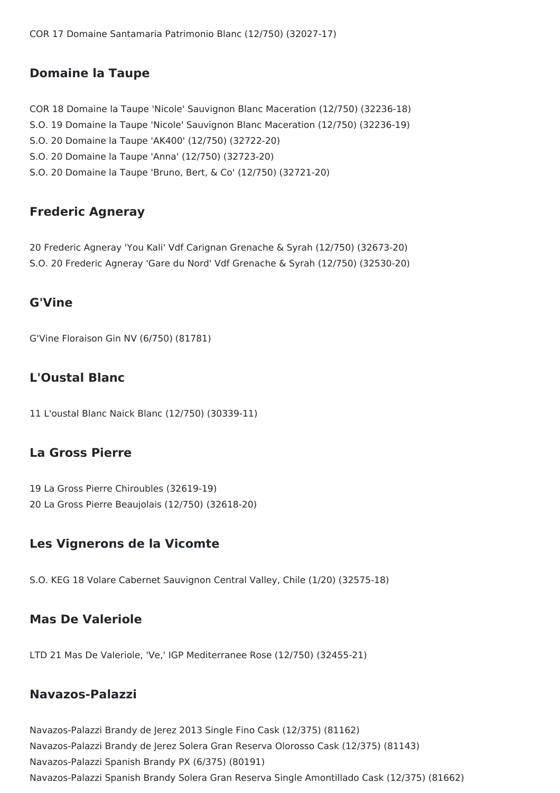COR 17 Domaine Santamaria Patrimonio Blanc (12/750) (32027-17)

#### **Domaine la Taupe**

COR 18 Domaine la Taupe 'Nicole' Sauvignon Blanc Maceration (12/750) (32236-18) S.O. 19 Domaine la Taupe 'Nicole' Sauvignon Blanc Maceration (12/750) (32236-19) S.O. 20 Domaine la Taupe 'AK400' (12/750) (32722-20) S.O. 20 Domaine la Taupe 'Anna' (12/750) (32723-20) S.O. 20 Domaine la Taupe 'Bruno, Bert, & Co' (12/750) (32721-20)

#### **Frederic Agneray**

20 Frederic Agneray 'You Kali' Vdf Carignan Grenache & Syrah (12/750) (32673-20) S.O. 20 Frederic Agneray 'Gare du Nord' Vdf Grenache & Syrah (12/750) (32530-20)

#### **G'Vine**

G'Vine Floraison Gin NV (6/750) (81781)

### **L'Oustal Blanc**

11 L'oustal Blanc Naick Blanc (12/750) (30339-11)

#### **La Gross Pierre**

19 La Gross Pierre Chiroubles (32619-19) 20 La Gross Pierre Beaujolais (12/750) (32618-20)

### **Les Vignerons de la Vicomte**

S.O. KEG 18 Volare Cabernet Sauvignon Central Valley, Chile (1/20) (32575-18)

#### **Mas De Valeriole**

LTD 21 Mas De Valeriole, 'Ve,' IGP Mediterranee Rose (12/750) (32455-21)

#### **Navazos-Palazzi**

Navazos-Palazzi Brandy de Jerez 2013 Single Fino Cask (12/375) (81162) Navazos-Palazzi Brandy de Jerez Solera Gran Reserva Olorosso Cask (12/375) (81143) Navazos-Palazzi Spanish Brandy PX (6/375) (80191) Navazos-Palazzi Spanish Brandy Solera Gran Reserva Single Amontillado Cask (12/375) (81662)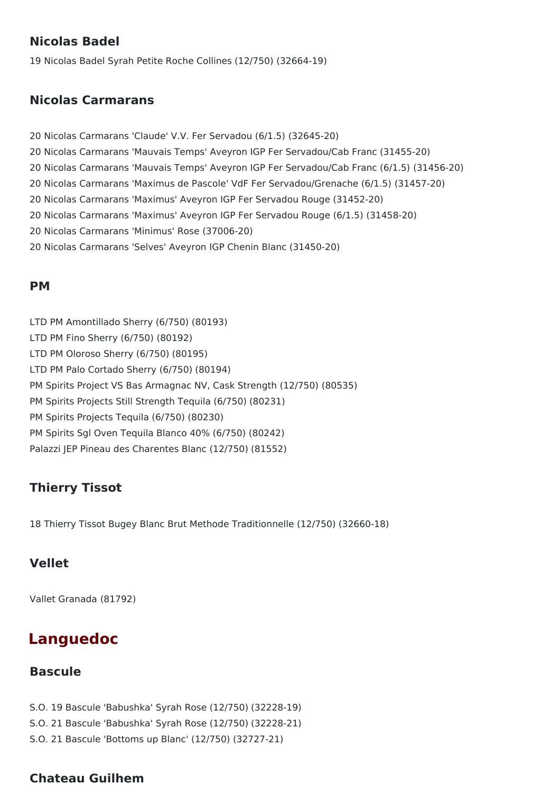### **Nicolas Badel**

19 Nicolas Badel Syrah Petite Roche Collines (12/750) (32664-19)

### **Nicolas Carmarans**

 Nicolas Carmarans 'Claude' V.V. Fer Servadou (6/1.5) (32645-20) Nicolas Carmarans 'Mauvais Temps' Aveyron IGP Fer Servadou/Cab Franc (31455-20) Nicolas Carmarans 'Mauvais Temps' Aveyron IGP Fer Servadou/Cab Franc (6/1.5) (31456-20) Nicolas Carmarans 'Maximus de Pascole' VdF Fer Servadou/Grenache (6/1.5) (31457-20) Nicolas Carmarans 'Maximus' Aveyron IGP Fer Servadou Rouge (31452-20) Nicolas Carmarans 'Maximus' Aveyron IGP Fer Servadou Rouge (6/1.5) (31458-20) Nicolas Carmarans 'Minimus' Rose (37006-20) Nicolas Carmarans 'Selves' Aveyron IGP Chenin Blanc (31450-20)

#### **PM**

LTD PM Amontillado Sherry (6/750) (80193) LTD PM Fino Sherry (6/750) (80192) LTD PM Oloroso Sherry (6/750) (80195) LTD PM Palo Cortado Sherry (6/750) (80194) PM Spirits Project VS Bas Armagnac NV, Cask Strength (12/750) (80535) PM Spirits Projects Still Strength Tequila (6/750) (80231) PM Spirits Projects Tequila (6/750) (80230) PM Spirits Sgl Oven Tequila Blanco 40% (6/750) (80242) Palazzi JEP Pineau des Charentes Blanc (12/750) (81552)

### **Thierry Tissot**

18 Thierry Tissot Bugey Blanc Brut Methode Traditionnelle (12/750) (32660-18)

### **Vellet**

Vallet Granada (81792)

# **Languedoc**

### **Bascule**

S.O. 19 Bascule 'Babushka' Syrah Rose (12/750) (32228-19)

- S.O. 21 Bascule 'Babushka' Syrah Rose (12/750) (32228-21)
- S.O. 21 Bascule 'Bottoms up Blanc' (12/750) (32727-21)

### **Chateau Guilhem**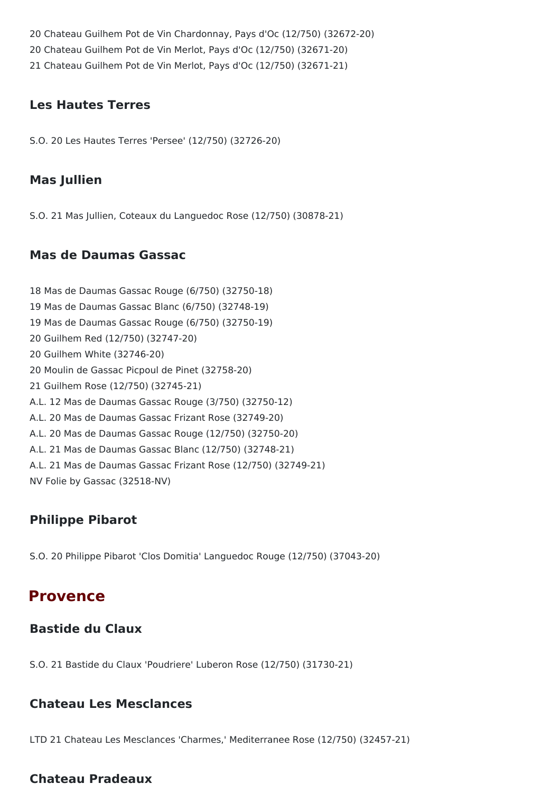20 Chateau Guilhem Pot de Vin Chardonnay, Pays d'Oc (12/750) (32672-20) 20 Chateau Guilhem Pot de Vin Merlot, Pays d'Oc (12/750) (32671-20) 21 Chateau Guilhem Pot de Vin Merlot, Pays d'Oc (12/750) (32671-21)

#### **Les Hautes Terres**

S.O. 20 Les Hautes Terres 'Persee' (12/750) (32726-20)

### **Mas Jullien**

S.O. 21 Mas Jullien, Coteaux du Languedoc Rose (12/750) (30878-21)

### **Mas de Daumas Gassac**

18 Mas de Daumas Gassac Rouge (6/750) (32750-18) 19 Mas de Daumas Gassac Blanc (6/750) (32748-19) 19 Mas de Daumas Gassac Rouge (6/750) (32750-19) 20 Guilhem Red (12/750) (32747-20) 20 Guilhem White (32746-20) 20 Moulin de Gassac Picpoul de Pinet (32758-20) 21 Guilhem Rose (12/750) (32745-21) A.L. 12 Mas de Daumas Gassac Rouge (3/750) (32750-12) A.L. 20 Mas de Daumas Gassac Frizant Rose (32749-20) A.L. 20 Mas de Daumas Gassac Rouge (12/750) (32750-20) A.L. 21 Mas de Daumas Gassac Blanc (12/750) (32748-21) A.L. 21 Mas de Daumas Gassac Frizant Rose (12/750) (32749-21) NV Folie by Gassac (32518-NV)

### **Philippe Pibarot**

S.O. 20 Philippe Pibarot 'Clos Domitia' Languedoc Rouge (12/750) (37043-20)

## **Provence**

### **Bastide du Claux**

S.O. 21 Bastide du Claux 'Poudriere' Luberon Rose (12/750) (31730-21)

### **Chateau Les Mesclances**

LTD 21 Chateau Les Mesclances 'Charmes,' Mediterranee Rose (12/750) (32457-21)

### **Chateau Pradeaux**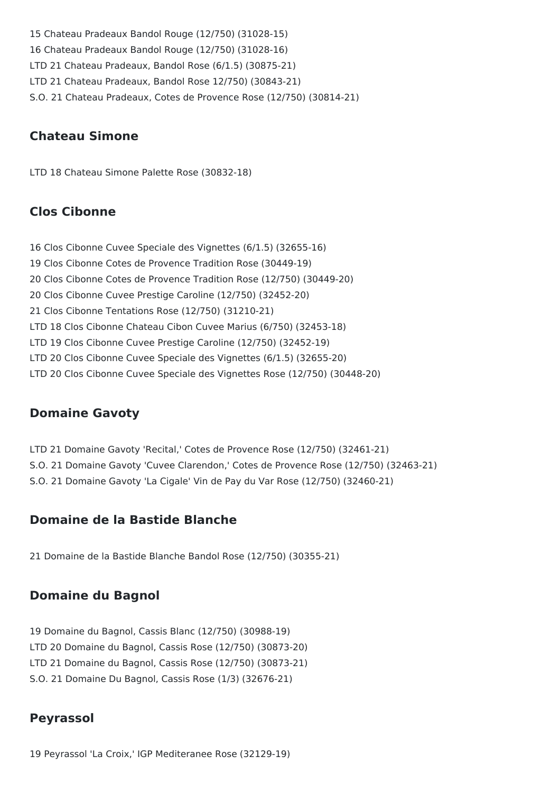15 Chateau Pradeaux Bandol Rouge (12/750) (31028-15) 16 Chateau Pradeaux Bandol Rouge (12/750) (31028-16) LTD 21 Chateau Pradeaux, Bandol Rose (6/1.5) (30875-21) LTD 21 Chateau Pradeaux, Bandol Rose 12/750) (30843-21) S.O. 21 Chateau Pradeaux, Cotes de Provence Rose (12/750) (30814-21)

### **Chateau Simone**

LTD 18 Chateau Simone Palette Rose (30832-18)

### **Clos Cibonne**

16 Clos Cibonne Cuvee Speciale des Vignettes (6/1.5) (32655-16) 19 Clos Cibonne Cotes de Provence Tradition Rose (30449-19) 20 Clos Cibonne Cotes de Provence Tradition Rose (12/750) (30449-20) 20 Clos Cibonne Cuvee Prestige Caroline (12/750) (32452-20) 21 Clos Cibonne Tentations Rose (12/750) (31210-21) LTD 18 Clos Cibonne Chateau Cibon Cuvee Marius (6/750) (32453-18) LTD 19 Clos Cibonne Cuvee Prestige Caroline (12/750) (32452-19) LTD 20 Clos Cibonne Cuvee Speciale des Vignettes (6/1.5) (32655-20) LTD 20 Clos Cibonne Cuvee Speciale des Vignettes Rose (12/750) (30448-20)

### **Domaine Gavoty**

LTD 21 Domaine Gavoty 'Recital,' Cotes de Provence Rose (12/750) (32461-21) S.O. 21 Domaine Gavoty 'Cuvee Clarendon,' Cotes de Provence Rose (12/750) (32463-21) S.O. 21 Domaine Gavoty 'La Cigale' Vin de Pay du Var Rose (12/750) (32460-21)

### **Domaine de la Bastide Blanche**

21 Domaine de la Bastide Blanche Bandol Rose (12/750) (30355-21)

### **Domaine du Bagnol**

19 Domaine du Bagnol, Cassis Blanc (12/750) (30988-19) LTD 20 Domaine du Bagnol, Cassis Rose (12/750) (30873-20) LTD 21 Domaine du Bagnol, Cassis Rose (12/750) (30873-21) S.O. 21 Domaine Du Bagnol, Cassis Rose (1/3) (32676-21)

### **Peyrassol**

19 Peyrassol 'La Croix,' IGP Mediteranee Rose (32129-19)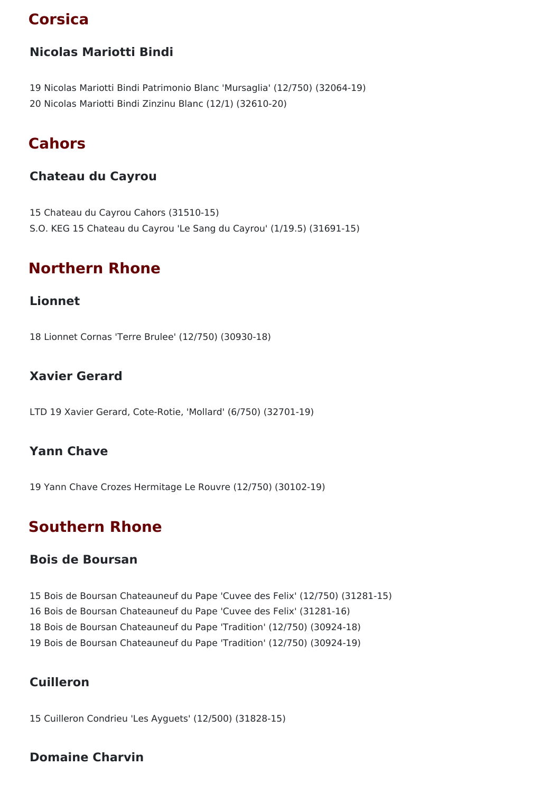# **Corsica**

### **Nicolas Mariotti Bindi**

19 Nicolas Mariotti Bindi Patrimonio Blanc 'Mursaglia' (12/750) (32064-19) 20 Nicolas Mariotti Bindi Zinzinu Blanc (12/1) (32610-20)

# **Cahors**

### **Chateau du Cayrou**

15 Chateau du Cayrou Cahors (31510-15) S.O. KEG 15 Chateau du Cayrou 'Le Sang du Cayrou' (1/19.5) (31691-15)

# **Northern Rhone**

#### **Lionnet**

18 Lionnet Cornas 'Terre Brulee' (12/750) (30930-18)

### **Xavier Gerard**

LTD 19 Xavier Gerard, Cote-Rotie, 'Mollard' (6/750) (32701-19)

### **Yann Chave**

19 Yann Chave Crozes Hermitage Le Rouvre (12/750) (30102-19)

# **Southern Rhone**

#### **Bois de Boursan**

 Bois de Boursan Chateauneuf du Pape 'Cuvee des Felix' (12/750) (31281-15) Bois de Boursan Chateauneuf du Pape 'Cuvee des Felix' (31281-16) Bois de Boursan Chateauneuf du Pape 'Tradition' (12/750) (30924-18) Bois de Boursan Chateauneuf du Pape 'Tradition' (12/750) (30924-19)

### **Cuilleron**

15 Cuilleron Condrieu 'Les Ayguets' (12/500) (31828-15)

#### **Domaine Charvin**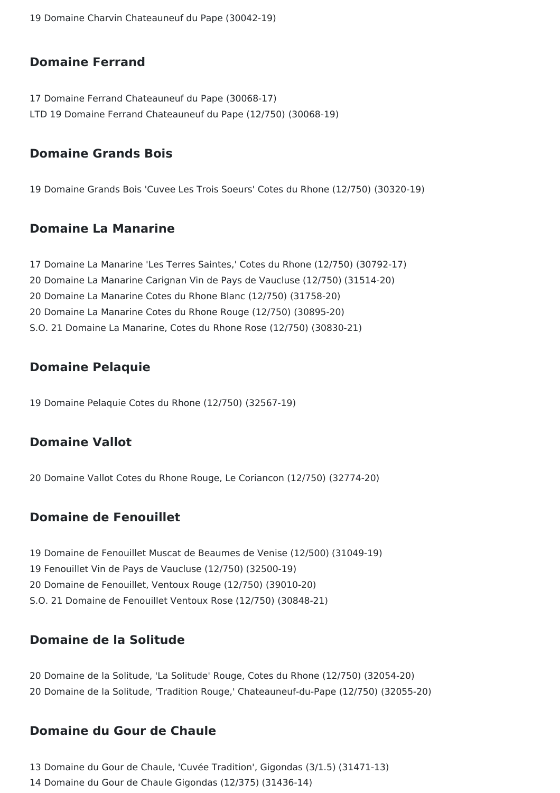19 Domaine Charvin Chateauneuf du Pape (30042-19)

#### **Domaine Ferrand**

17 Domaine Ferrand Chateauneuf du Pape (30068-17) LTD 19 Domaine Ferrand Chateauneuf du Pape (12/750) (30068-19)

#### **Domaine Grands Bois**

19 Domaine Grands Bois 'Cuvee Les Trois Soeurs' Cotes du Rhone (12/750) (30320-19)

#### **Domaine La Manarine**

 Domaine La Manarine 'Les Terres Saintes,' Cotes du Rhone (12/750) (30792-17) Domaine La Manarine Carignan Vin de Pays de Vaucluse (12/750) (31514-20) Domaine La Manarine Cotes du Rhone Blanc (12/750) (31758-20) Domaine La Manarine Cotes du Rhone Rouge (12/750) (30895-20) S.O. 21 Domaine La Manarine, Cotes du Rhone Rose (12/750) (30830-21)

### **Domaine Pelaquie**

19 Domaine Pelaquie Cotes du Rhone (12/750) (32567-19)

### **Domaine Vallot**

20 Domaine Vallot Cotes du Rhone Rouge, Le Coriancon (12/750) (32774-20)

### **Domaine de Fenouillet**

 Domaine de Fenouillet Muscat de Beaumes de Venise (12/500) (31049-19) Fenouillet Vin de Pays de Vaucluse (12/750) (32500-19) Domaine de Fenouillet, Ventoux Rouge (12/750) (39010-20) S.O. 21 Domaine de Fenouillet Ventoux Rose (12/750) (30848-21)

### **Domaine de la Solitude**

20 Domaine de la Solitude, 'La Solitude' Rouge, Cotes du Rhone (12/750) (32054-20) 20 Domaine de la Solitude, 'Tradition Rouge,' Chateauneuf-du-Pape (12/750) (32055-20)

### **Domaine du Gour de Chaule**

13 Domaine du Gour de Chaule, 'Cuvée Tradition', Gigondas (3/1.5) (31471-13) 14 Domaine du Gour de Chaule Gigondas (12/375) (31436-14)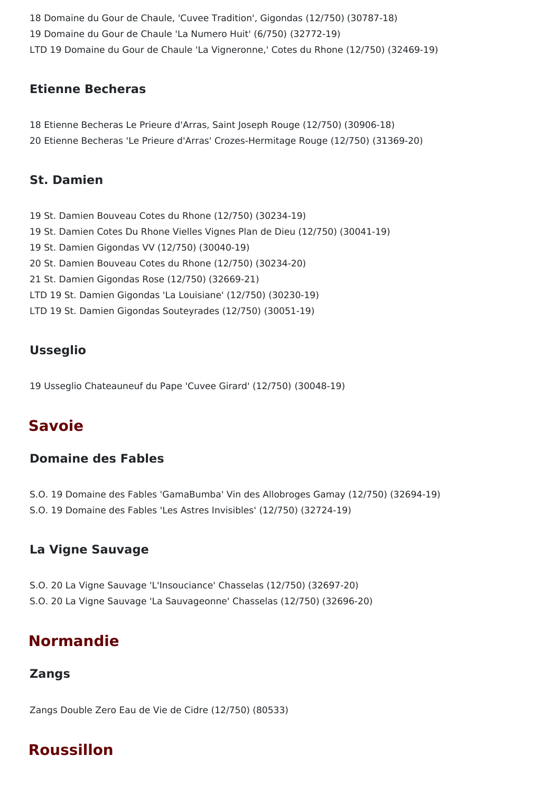18 Domaine du Gour de Chaule, 'Cuvee Tradition', Gigondas (12/750) (30787-18) 19 Domaine du Gour de Chaule 'La Numero Huit' (6/750) (32772-19) LTD 19 Domaine du Gour de Chaule 'La Vigneronne,' Cotes du Rhone (12/750) (32469-19)

### **Etienne Becheras**

18 Etienne Becheras Le Prieure d'Arras, Saint Joseph Rouge (12/750) (30906-18) 20 Etienne Becheras 'Le Prieure d'Arras' Crozes-Hermitage Rouge (12/750) (31369-20)

### **St. Damien**

 St. Damien Bouveau Cotes du Rhone (12/750) (30234-19) St. Damien Cotes Du Rhone Vielles Vignes Plan de Dieu (12/750) (30041-19) St. Damien Gigondas VV (12/750) (30040-19) St. Damien Bouveau Cotes du Rhone (12/750) (30234-20) St. Damien Gigondas Rose (12/750) (32669-21) LTD 19 St. Damien Gigondas 'La Louisiane' (12/750) (30230-19) LTD 19 St. Damien Gigondas Souteyrades (12/750) (30051-19)

### **Usseglio**

19 Usseglio Chateauneuf du Pape 'Cuvee Girard' (12/750) (30048-19)

## **Savoie**

### **Domaine des Fables**

- S.O. 19 Domaine des Fables 'GamaBumba' Vin des Allobroges Gamay (12/750) (32694-19)
- S.O. 19 Domaine des Fables 'Les Astres Invisibles' (12/750) (32724-19)

### **La Vigne Sauvage**

S.O. 20 La Vigne Sauvage 'L'Insouciance' Chasselas (12/750) (32697-20) S.O. 20 La Vigne Sauvage 'La Sauvageonne' Chasselas (12/750) (32696-20)

# **Normandie**

### **Zangs**

Zangs Double Zero Eau de Vie de Cidre (12/750) (80533)

# **Roussillon**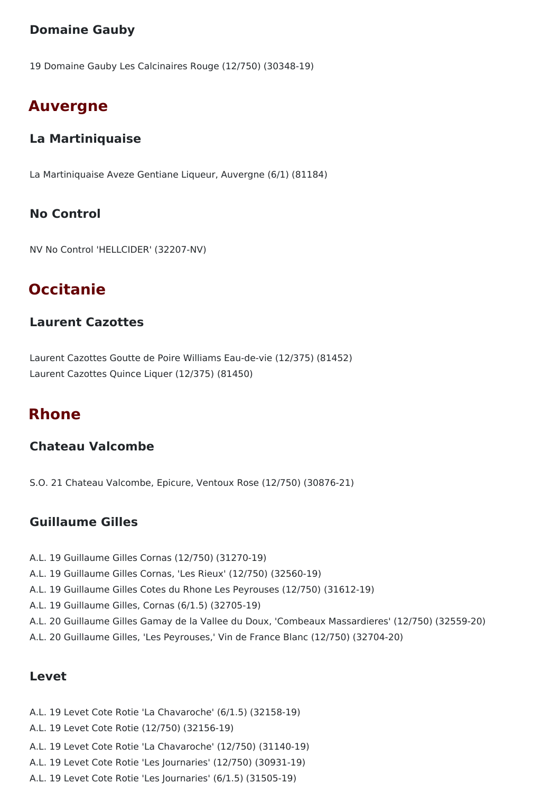### **Domaine Gauby**

19 Domaine Gauby Les Calcinaires Rouge (12/750) (30348-19)

## **Auvergne**

### **La Martiniquaise**

La Martiniquaise Aveze Gentiane Liqueur, Auvergne (6/1) (81184)

### **No Control**

NV No Control 'HELLCIDER' (32207-NV)

# **Occitanie**

#### **Laurent Cazottes**

Laurent Cazottes Goutte de Poire Williams Eau-de-vie (12/375) (81452) Laurent Cazottes Quince Liquer (12/375) (81450)

### **Rhone**

### **Chateau Valcombe**

S.O. 21 Chateau Valcombe, Epicure, Ventoux Rose (12/750) (30876-21)

### **Guillaume Gilles**

- A.L. 19 Guillaume Gilles Cornas (12/750) (31270-19)
- A.L. 19 Guillaume Gilles Cornas, 'Les Rieux' (12/750) (32560-19)
- A.L. 19 Guillaume Gilles Cotes du Rhone Les Peyrouses (12/750) (31612-19)
- A.L. 19 Guillaume Gilles, Cornas (6/1.5) (32705-19)
- A.L. 20 Guillaume Gilles Gamay de la Vallee du Doux, 'Combeaux Massardieres' (12/750) (32559-20)
- A.L. 20 Guillaume Gilles, 'Les Peyrouses,' Vin de France Blanc (12/750) (32704-20)

#### **Levet**

- A.L. 19 Levet Cote Rotie 'La Chavaroche' (6/1.5) (32158-19)
- A.L. 19 Levet Cote Rotie (12/750) (32156-19)
- A.L. 19 Levet Cote Rotie 'La Chavaroche' (12/750) (31140-19)
- A.L. 19 Levet Cote Rotie 'Les Journaries' (12/750) (30931-19)
- A.L. 19 Levet Cote Rotie 'Les Journaries' (6/1.5) (31505-19)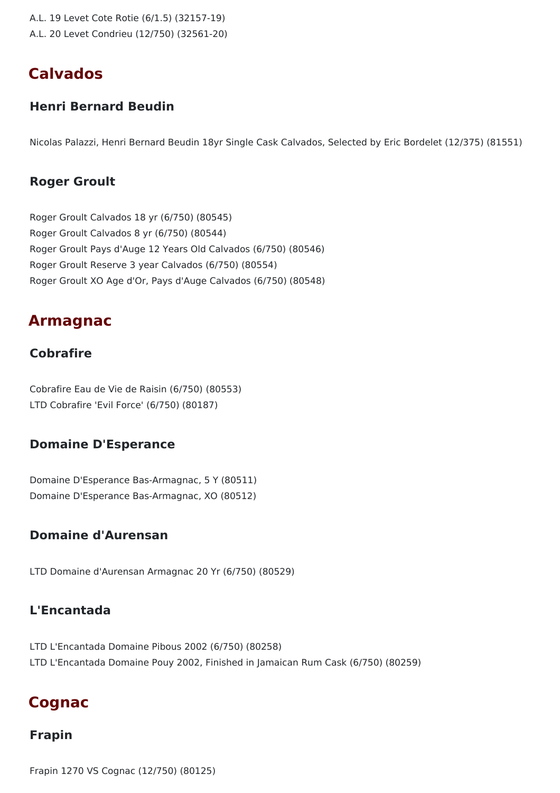- A.L. 19 Levet Cote Rotie (6/1.5) (32157-19)
- A.L. 20 Levet Condrieu (12/750) (32561-20)

## **Calvados**

#### **Henri Bernard Beudin**

Nicolas Palazzi, Henri Bernard Beudin 18yr Single Cask Calvados, Selected by Eric Bordelet (12/375) (81551)

#### **Roger Groult**

Roger Groult Calvados 18 yr (6/750) (80545) Roger Groult Calvados 8 yr (6/750) (80544) Roger Groult Pays d'Auge 12 Years Old Calvados (6/750) (80546) Roger Groult Reserve 3 year Calvados (6/750) (80554) Roger Groult XO Age d'Or, Pays d'Auge Calvados (6/750) (80548)

### **Armagnac**

#### **Cobrafire**

Cobrafire Eau de Vie de Raisin (6/750) (80553) LTD Cobrafire 'Evil Force' (6/750) (80187)

#### **Domaine D'Esperance**

Domaine D'Esperance Bas-Armagnac, 5 Y (80511) Domaine D'Esperance Bas-Armagnac, XO (80512)

### **Domaine d'Aurensan**

LTD Domaine d'Aurensan Armagnac 20 Yr (6/750) (80529)

### **L'Encantada**

LTD L'Encantada Domaine Pibous 2002 (6/750) (80258) LTD L'Encantada Domaine Pouy 2002, Finished in Jamaican Rum Cask (6/750) (80259)

### **Cognac**

#### **Frapin**

Frapin 1270 VS Cognac (12/750) (80125)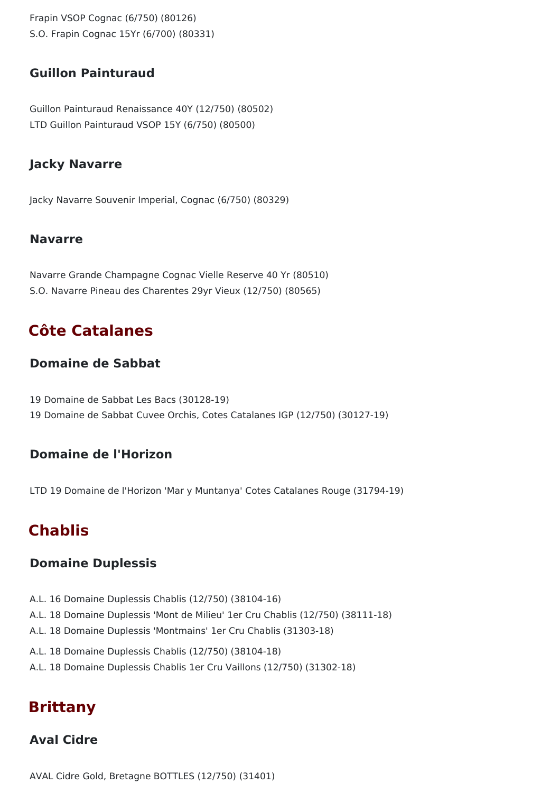Frapin VSOP Cognac (6/750) (80126) S.O. Frapin Cognac 15Yr (6/700) (80331)

#### **Guillon Painturaud**

Guillon Painturaud Renaissance 40Y (12/750) (80502) LTD Guillon Painturaud VSOP 15Y (6/750) (80500)

#### **Jacky Navarre**

Jacky Navarre Souvenir Imperial, Cognac (6/750) (80329)

#### **Navarre**

Navarre Grande Champagne Cognac Vielle Reserve 40 Yr (80510) S.O. Navarre Pineau des Charentes 29yr Vieux (12/750) (80565)

## **Côte Catalanes**

#### **Domaine de Sabbat**

19 Domaine de Sabbat Les Bacs (30128-19) 19 Domaine de Sabbat Cuvee Orchis, Cotes Catalanes IGP (12/750) (30127-19)

#### **Domaine de l'Horizon**

LTD 19 Domaine de l'Horizon 'Mar y Muntanya' Cotes Catalanes Rouge (31794-19)

## **Chablis**

#### **Domaine Duplessis**

- A.L. 16 Domaine Duplessis Chablis (12/750) (38104-16)
- A.L. 18 Domaine Duplessis 'Mont de Milieu' 1er Cru Chablis (12/750) (38111-18)
- A.L. 18 Domaine Duplessis 'Montmains' 1er Cru Chablis (31303-18)
- A.L. 18 Domaine Duplessis Chablis (12/750) (38104-18)
- A.L. 18 Domaine Duplessis Chablis 1er Cru Vaillons (12/750) (31302-18)

## **Brittany**

## **Aval Cidre**

AVAL Cidre Gold, Bretagne BOTTLES (12/750) (31401)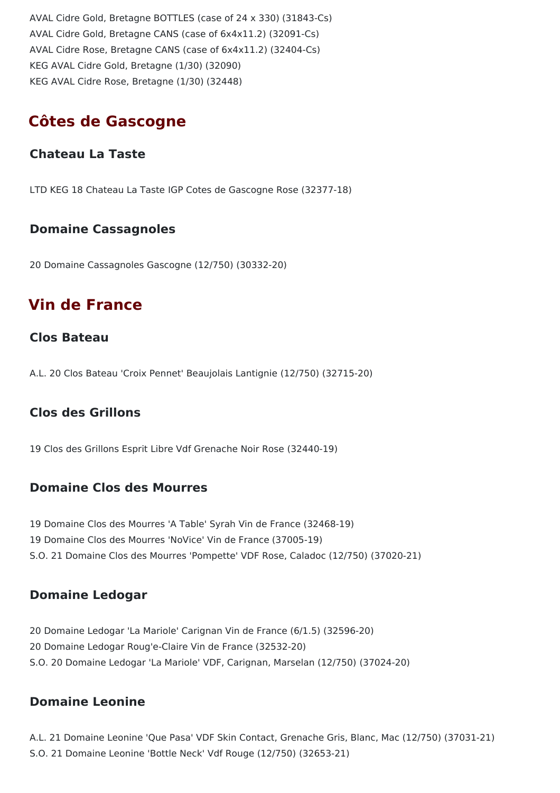AVAL Cidre Gold, Bretagne BOTTLES (case of 24 x 330) (31843-Cs) AVAL Cidre Gold, Bretagne CANS (case of 6x4x11.2) (32091-Cs) AVAL Cidre Rose, Bretagne CANS (case of 6x4x11.2) (32404-Cs) KEG AVAL Cidre Gold, Bretagne (1/30) (32090) KEG AVAL Cidre Rose, Bretagne (1/30) (32448)

## **Côtes de Gascogne**

#### **Chateau La Taste**

LTD KEG 18 Chateau La Taste IGP Cotes de Gascogne Rose (32377-18)

#### **Domaine Cassagnoles**

20 Domaine Cassagnoles Gascogne (12/750) (30332-20)

## **Vin de France**

#### **Clos Bateau**

A.L. 20 Clos Bateau 'Croix Pennet' Beaujolais Lantignie (12/750) (32715-20)

#### **Clos des Grillons**

19 Clos des Grillons Esprit Libre Vdf Grenache Noir Rose (32440-19)

#### **Domaine Clos des Mourres**

19 Domaine Clos des Mourres 'A Table' Syrah Vin de France (32468-19) 19 Domaine Clos des Mourres 'NoVice' Vin de France (37005-19) S.O. 21 Domaine Clos des Mourres 'Pompette' VDF Rose, Caladoc (12/750) (37020-21)

#### **Domaine Ledogar**

20 Domaine Ledogar 'La Mariole' Carignan Vin de France (6/1.5) (32596-20) 20 Domaine Ledogar Roug'e-Claire Vin de France (32532-20) S.O. 20 Domaine Ledogar 'La Mariole' VDF, Carignan, Marselan (12/750) (37024-20)

#### **Domaine Leonine**

A.L. 21 Domaine Leonine 'Que Pasa' VDF Skin Contact, Grenache Gris, Blanc, Mac (12/750) (37031-21) S.O. 21 Domaine Leonine 'Bottle Neck' Vdf Rouge (12/750) (32653-21)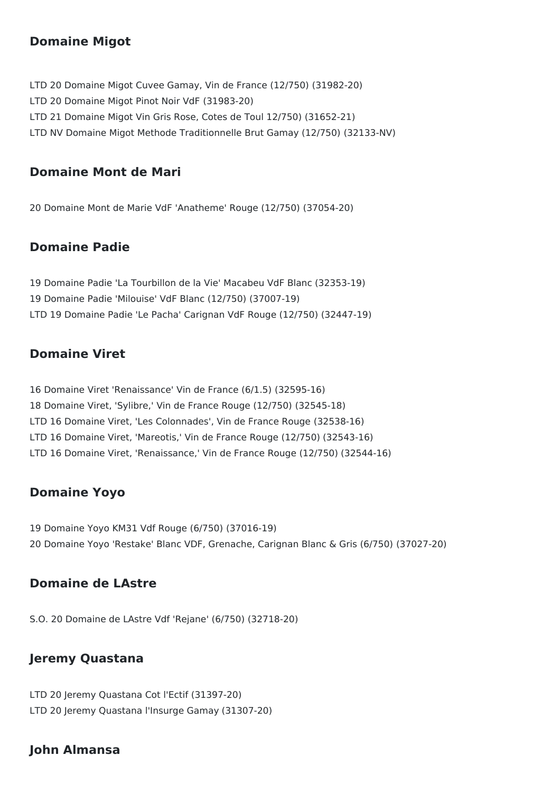#### **Domaine Migot**

LTD 20 Domaine Migot Cuvee Gamay, Vin de France (12/750) (31982-20) LTD 20 Domaine Migot Pinot Noir VdF (31983-20) LTD 21 Domaine Migot Vin Gris Rose, Cotes de Toul 12/750) (31652-21) LTD NV Domaine Migot Methode Traditionnelle Brut Gamay (12/750) (32133-NV)

#### **Domaine Mont de Mari**

20 Domaine Mont de Marie VdF 'Anatheme' Rouge (12/750) (37054-20)

#### **Domaine Padie**

19 Domaine Padie 'La Tourbillon de la Vie' Macabeu VdF Blanc (32353-19) 19 Domaine Padie 'Milouise' VdF Blanc (12/750) (37007-19) LTD 19 Domaine Padie 'Le Pacha' Carignan VdF Rouge (12/750) (32447-19)

#### **Domaine Viret**

16 Domaine Viret 'Renaissance' Vin de France (6/1.5) (32595-16) 18 Domaine Viret, 'Sylibre,' Vin de France Rouge (12/750) (32545-18) LTD 16 Domaine Viret, 'Les Colonnades', Vin de France Rouge (32538-16) LTD 16 Domaine Viret, 'Mareotis,' Vin de France Rouge (12/750) (32543-16) LTD 16 Domaine Viret, 'Renaissance,' Vin de France Rouge (12/750) (32544-16)

#### **Domaine Yoyo**

19 Domaine Yoyo KM31 Vdf Rouge (6/750) (37016-19) 20 Domaine Yoyo 'Restake' Blanc VDF, Grenache, Carignan Blanc & Gris (6/750) (37027-20)

#### **Domaine de LAstre**

S.O. 20 Domaine de LAstre Vdf 'Rejane' (6/750) (32718-20)

## **Jeremy Quastana**

LTD 20 Jeremy Quastana Cot l'Ectif (31397-20) LTD 20 Jeremy Quastana l'Insurge Gamay (31307-20)

## **John Almansa**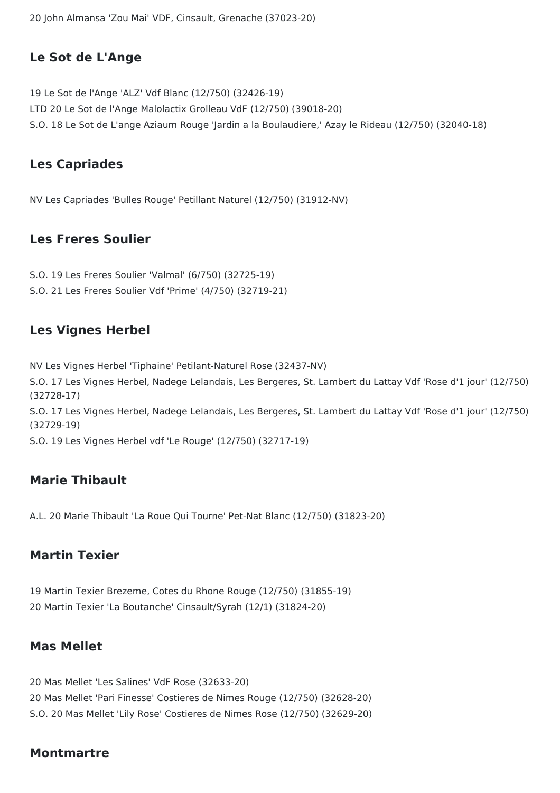20 John Almansa 'Zou Mai' VDF, Cinsault, Grenache (37023-20)

### **Le Sot de L'Ange**

19 Le Sot de l'Ange 'ALZ' Vdf Blanc (12/750) (32426-19) LTD 20 Le Sot de l'Ange Malolactix Grolleau VdF (12/750) (39018-20) S.O. 18 Le Sot de L'ange Aziaum Rouge 'Jardin a la Boulaudiere,' Azay le Rideau (12/750) (32040-18)

#### **Les Capriades**

NV Les Capriades 'Bulles Rouge' Petillant Naturel (12/750) (31912-NV)

#### **Les Freres Soulier**

S.O. 19 Les Freres Soulier 'Valmal' (6/750) (32725-19) S.O. 21 Les Freres Soulier Vdf 'Prime' (4/750) (32719-21)

#### **Les Vignes Herbel**

NV Les Vignes Herbel 'Tiphaine' Petilant-Naturel Rose (32437-NV) S.O. 17 Les Vignes Herbel, Nadege Lelandais, Les Bergeres, St. Lambert du Lattay Vdf 'Rose d'1 jour' (12/750) (32728-17) S.O. 17 Les Vignes Herbel, Nadege Lelandais, Les Bergeres, St. Lambert du Lattay Vdf 'Rose d'1 jour' (12/750) (32729-19) S.O. 19 Les Vignes Herbel vdf 'Le Rouge' (12/750) (32717-19)

#### **Marie Thibault**

A.L. 20 Marie Thibault 'La Roue Qui Tourne' Pet-Nat Blanc (12/750) (31823-20)

#### **Martin Texier**

19 Martin Texier Brezeme, Cotes du Rhone Rouge (12/750) (31855-19) 20 Martin Texier 'La Boutanche' Cinsault/Syrah (12/1) (31824-20)

#### **Mas Mellet**

20 Mas Mellet 'Les Salines' VdF Rose (32633-20) 20 Mas Mellet 'Pari Finesse' Costieres de Nimes Rouge (12/750) (32628-20) S.O. 20 Mas Mellet 'Lily Rose' Costieres de Nimes Rose (12/750) (32629-20)

#### **Montmartre**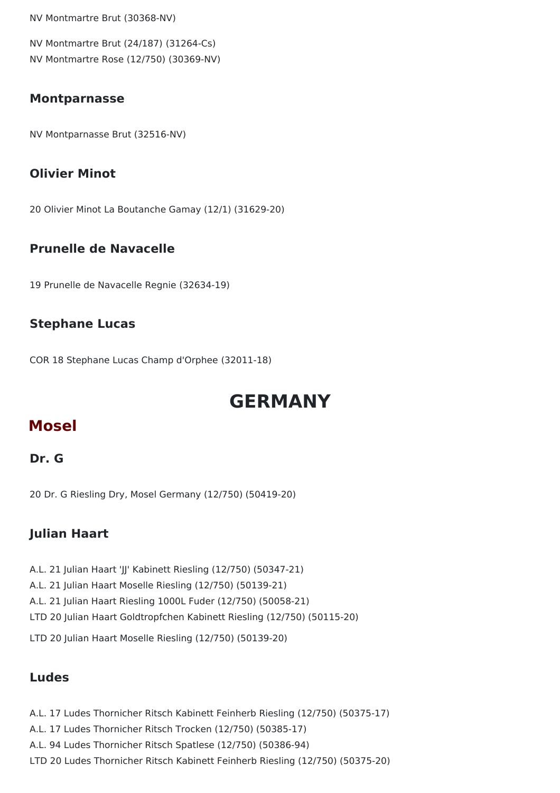NV Montmartre Brut (30368-NV)

NV Montmartre Brut (24/187) (31264-Cs) NV Montmartre Rose (12/750) (30369-NV)

#### **Montparnasse**

NV Montparnasse Brut (32516-NV)

#### **Olivier Minot**

20 Olivier Minot La Boutanche Gamay (12/1) (31629-20)

#### **Prunelle de Navacelle**

19 Prunelle de Navacelle Regnie (32634-19)

#### **Stephane Lucas**

COR 18 Stephane Lucas Champ d'Orphee (32011-18)

# **GERMANY**

## **Mosel**

#### **Dr. G**

20 Dr. G Riesling Dry, Mosel Germany (12/750) (50419-20)

#### **Julian Haart**

A.L. 21 Julian Haart 'JJ' Kabinett Riesling (12/750) (50347-21)

- A.L. 21 Julian Haart Moselle Riesling (12/750) (50139-21)
- A.L. 21 Julian Haart Riesling 1000L Fuder (12/750) (50058-21)
- LTD 20 Julian Haart Goldtropfchen Kabinett Riesling (12/750) (50115-20)

LTD 20 Julian Haart Moselle Riesling (12/750) (50139-20)

### **Ludes**

A.L. 17 Ludes Thornicher Ritsch Kabinett Feinherb Riesling (12/750) (50375-17) A.L. 17 Ludes Thornicher Ritsch Trocken (12/750) (50385-17) A.L. 94 Ludes Thornicher Ritsch Spatlese (12/750) (50386-94) LTD 20 Ludes Thornicher Ritsch Kabinett Feinherb Riesling (12/750) (50375-20)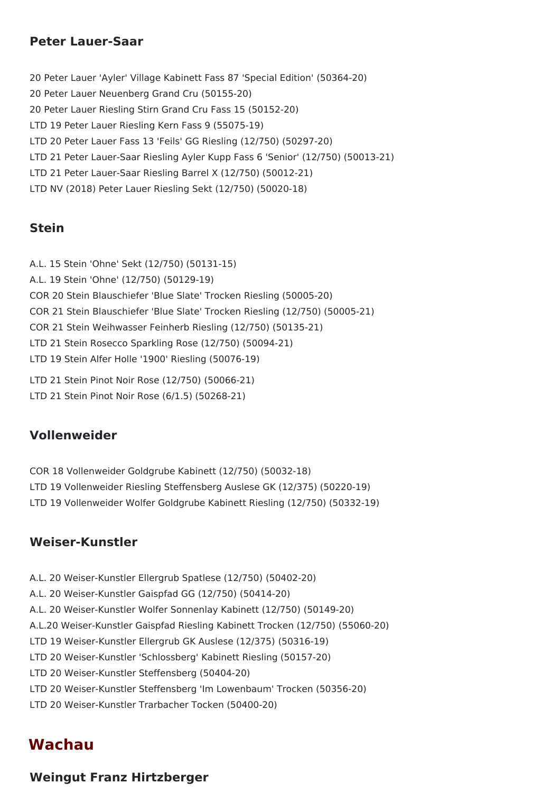#### **Peter Lauer-Saar**

20 Peter Lauer 'Ayler' Village Kabinett Fass 87 'Special Edition' (50364-20) 20 Peter Lauer Neuenberg Grand Cru (50155-20) 20 Peter Lauer Riesling Stirn Grand Cru Fass 15 (50152-20) LTD 19 Peter Lauer Riesling Kern Fass 9 (55075-19) LTD 20 Peter Lauer Fass 13 'Feils' GG Riesling (12/750) (50297-20) LTD 21 Peter Lauer-Saar Riesling Ayler Kupp Fass 6 'Senior' (12/750) (50013-21) LTD 21 Peter Lauer-Saar Riesling Barrel X (12/750) (50012-21) LTD NV (2018) Peter Lauer Riesling Sekt (12/750) (50020-18)

#### **Stein**

A.L. 15 Stein 'Ohne' Sekt (12/750) (50131-15) A.L. 19 Stein 'Ohne' (12/750) (50129-19) COR 20 Stein Blauschiefer 'Blue Slate' Trocken Riesling (50005-20) COR 21 Stein Blauschiefer 'Blue Slate' Trocken Riesling (12/750) (50005-21) COR 21 Stein Weihwasser Feinherb Riesling (12/750) (50135-21) LTD 21 Stein Rosecco Sparkling Rose (12/750) (50094-21) LTD 19 Stein Alfer Holle '1900' Riesling (50076-19) LTD 21 Stein Pinot Noir Rose (12/750) (50066-21) LTD 21 Stein Pinot Noir Rose (6/1.5) (50268-21)

### **Vollenweider**

COR 18 Vollenweider Goldgrube Kabinett (12/750) (50032-18) LTD 19 Vollenweider Riesling Steffensberg Auslese GK (12/375) (50220-19) LTD 19 Vollenweider Wolfer Goldgrube Kabinett Riesling (12/750) (50332-19)

### **Weiser-Kunstler**

- A.L. 20 Weiser-Kunstler Ellergrub Spatlese (12/750) (50402-20) A.L. 20 Weiser-Kunstler Gaispfad GG (12/750) (50414-20) A.L. 20 Weiser-Kunstler Wolfer Sonnenlay Kabinett (12/750) (50149-20) A.L.20 Weiser-Kunstler Gaispfad Riesling Kabinett Trocken (12/750) (55060-20) LTD 19 Weiser-Kunstler Ellergrub GK Auslese (12/375) (50316-19) LTD 20 Weiser-Kunstler 'Schlossberg' Kabinett Riesling (50157-20) LTD 20 Weiser-Kunstler Steffensberg (50404-20) LTD 20 Weiser-Kunstler Steffensberg 'Im Lowenbaum' Trocken (50356-20)
- LTD 20 Weiser-Kunstler Trarbacher Tocken (50400-20)

## **Wachau**

#### **Weingut Franz Hirtzberger**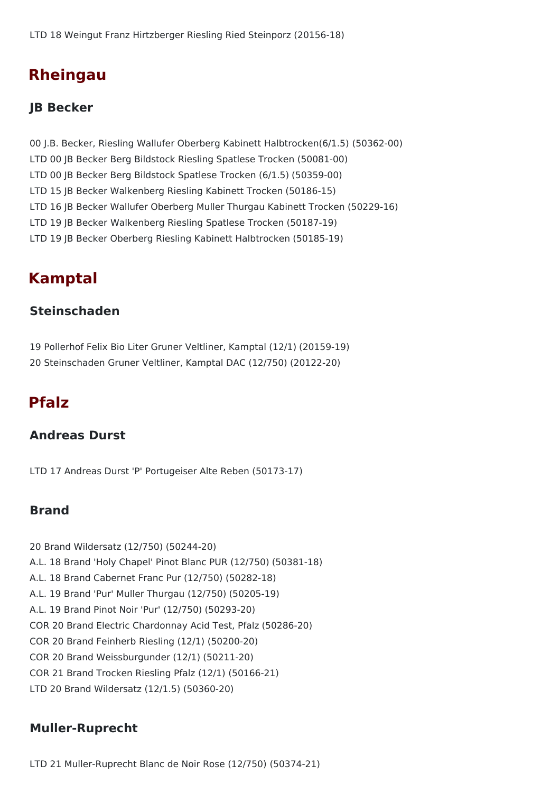## **Rheingau**

#### **JB Becker**

00 J.B. Becker, Riesling Wallufer Oberberg Kabinett Halbtrocken(6/1.5) (50362-00) LTD 00 JB Becker Berg Bildstock Riesling Spatlese Trocken (50081-00) LTD 00 JB Becker Berg Bildstock Spatlese Trocken (6/1.5) (50359-00) LTD 15 JB Becker Walkenberg Riesling Kabinett Trocken (50186-15) LTD 16 JB Becker Wallufer Oberberg Muller Thurgau Kabinett Trocken (50229-16) LTD 19 JB Becker Walkenberg Riesling Spatlese Trocken (50187-19) LTD 19 JB Becker Oberberg Riesling Kabinett Halbtrocken (50185-19)

## **Kamptal**

#### **Steinschaden**

19 Pollerhof Felix Bio Liter Gruner Veltliner, Kamptal (12/1) (20159-19) 20 Steinschaden Gruner Veltliner, Kamptal DAC (12/750) (20122-20)

## **Pfalz**

#### **Andreas Durst**

LTD 17 Andreas Durst 'P' Portugeiser Alte Reben (50173-17)

#### **Brand**

20 Brand Wildersatz (12/750) (50244-20) A.L. 18 Brand 'Holy Chapel' Pinot Blanc PUR (12/750) (50381-18) A.L. 18 Brand Cabernet Franc Pur (12/750) (50282-18) A.L. 19 Brand 'Pur' Muller Thurgau (12/750) (50205-19) A.L. 19 Brand Pinot Noir 'Pur' (12/750) (50293-20) COR 20 Brand Electric Chardonnay Acid Test, Pfalz (50286-20) COR 20 Brand Feinherb Riesling (12/1) (50200-20) COR 20 Brand Weissburgunder (12/1) (50211-20) COR 21 Brand Trocken Riesling Pfalz (12/1) (50166-21) LTD 20 Brand Wildersatz (12/1.5) (50360-20)

#### **Muller-Ruprecht**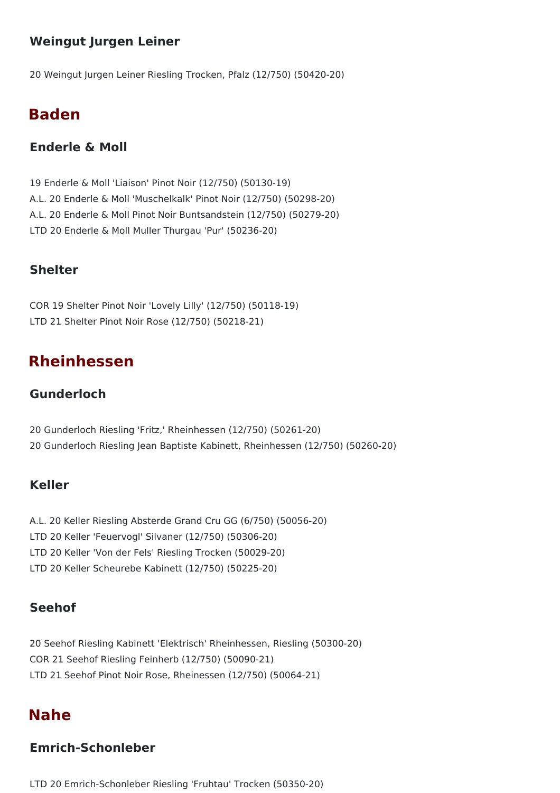### **Weingut Jurgen Leiner**

20 Weingut Jurgen Leiner Riesling Trocken, Pfalz (12/750) (50420-20)

## **Baden**

#### **Enderle & Moll**

19 Enderle & Moll 'Liaison' Pinot Noir (12/750) (50130-19) A.L. 20 Enderle & Moll 'Muschelkalk' Pinot Noir (12/750) (50298-20) A.L. 20 Enderle & Moll Pinot Noir Buntsandstein (12/750) (50279-20) LTD 20 Enderle & Moll Muller Thurgau 'Pur' (50236-20)

#### **Shelter**

COR 19 Shelter Pinot Noir 'Lovely Lilly' (12/750) (50118-19) LTD 21 Shelter Pinot Noir Rose (12/750) (50218-21)

## **Rheinhessen**

#### **Gunderloch**

20 Gunderloch Riesling 'Fritz,' Rheinhessen (12/750) (50261-20) 20 Gunderloch Riesling Jean Baptiste Kabinett, Rheinhessen (12/750) (50260-20)

#### **Keller**

- A.L. 20 Keller Riesling Absterde Grand Cru GG (6/750) (50056-20)
- LTD 20 Keller 'Feuervogl' Silvaner (12/750) (50306-20)
- LTD 20 Keller 'Von der Fels' Riesling Trocken (50029-20)
- LTD 20 Keller Scheurebe Kabinett (12/750) (50225-20)

#### **Seehof**

20 Seehof Riesling Kabinett 'Elektrisch' Rheinhessen, Riesling (50300-20) COR 21 Seehof Riesling Feinherb (12/750) (50090-21) LTD 21 Seehof Pinot Noir Rose, Rheinessen (12/750) (50064-21)

## **Nahe**

#### **Emrich-Schonleber**

LTD 20 Emrich-Schonleber Riesling 'Fruhtau' Trocken (50350-20)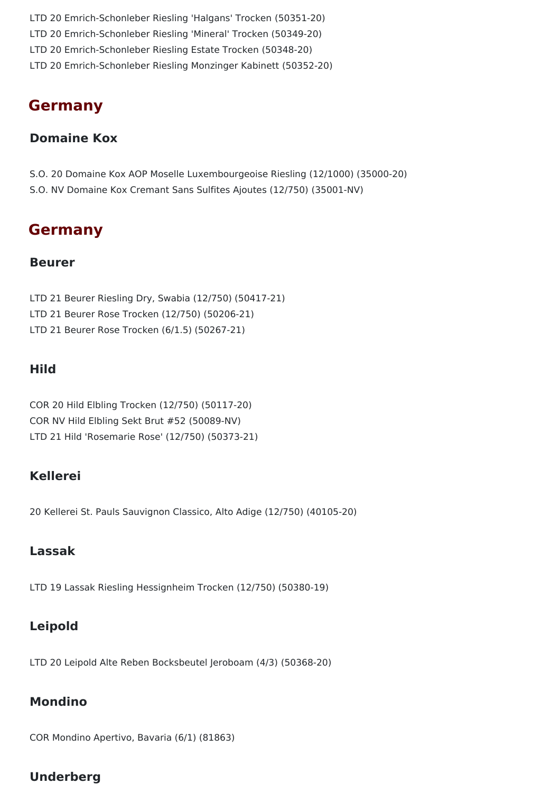LTD 20 Emrich-Schonleber Riesling 'Halgans' Trocken (50351-20) LTD 20 Emrich-Schonleber Riesling 'Mineral' Trocken (50349-20) LTD 20 Emrich-Schonleber Riesling Estate Trocken (50348-20) LTD 20 Emrich-Schonleber Riesling Monzinger Kabinett (50352-20)

## **Germany**

#### **Domaine Kox**

- S.O. 20 Domaine Kox AOP Moselle Luxembourgeoise Riesling (12/1000) (35000-20)
- S.O. NV Domaine Kox Cremant Sans Sulfites Ajoutes (12/750) (35001-NV)

## **Germany**

#### **Beurer**

LTD 21 Beurer Riesling Dry, Swabia (12/750) (50417-21) LTD 21 Beurer Rose Trocken (12/750) (50206-21) LTD 21 Beurer Rose Trocken (6/1.5) (50267-21)

#### **Hild**

COR 20 Hild Elbling Trocken (12/750) (50117-20) COR NV Hild Elbling Sekt Brut #52 (50089-NV) LTD 21 Hild 'Rosemarie Rose' (12/750) (50373-21)

## **Kellerei**

20 Kellerei St. Pauls Sauvignon Classico, Alto Adige (12/750) (40105-20)

### **Lassak**

LTD 19 Lassak Riesling Hessignheim Trocken (12/750) (50380-19)

## **Leipold**

LTD 20 Leipold Alte Reben Bocksbeutel Jeroboam (4/3) (50368-20)

## **Mondino**

COR Mondino Apertivo, Bavaria (6/1) (81863)

## **Underberg**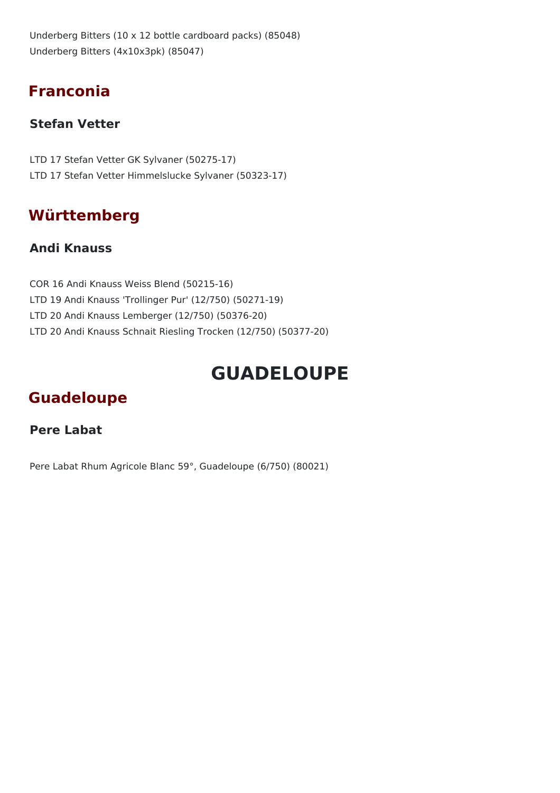Underberg Bitters (10 x 12 bottle cardboard packs) (85048) Underberg Bitters (4x10x3pk) (85047)

## **Franconia**

## **Stefan Vetter**

LTD 17 Stefan Vetter GK Sylvaner (50275-17) LTD 17 Stefan Vetter Himmelslucke Sylvaner (50323-17)

## **Württemberg**

### **Andi Knauss**

COR 16 Andi Knauss Weiss Blend (50215-16) LTD 19 Andi Knauss 'Trollinger Pur' (12/750) (50271-19) LTD 20 Andi Knauss Lemberger (12/750) (50376-20) LTD 20 Andi Knauss Schnait Riesling Trocken (12/750) (50377-20)

# **GUADELOUPE**

## **Guadeloupe**

### **Pere Labat**

Pere Labat Rhum Agricole Blanc 59°, Guadeloupe (6/750) (80021)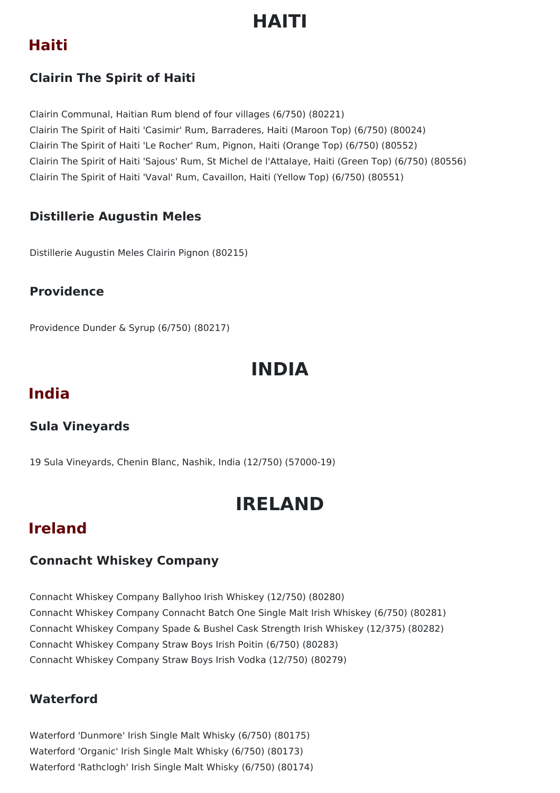# **HAITI**

## **Haiti**

## **Clairin The Spirit of Haiti**

Clairin Communal, Haitian Rum blend of four villages (6/750) (80221) Clairin The Spirit of Haiti 'Casimir' Rum, Barraderes, Haiti (Maroon Top) (6/750) (80024) Clairin The Spirit of Haiti 'Le Rocher' Rum, Pignon, Haiti (Orange Top) (6/750) (80552) Clairin The Spirit of Haiti 'Sajous' Rum, St Michel de l'Attalaye, Haiti (Green Top) (6/750) (80556) Clairin The Spirit of Haiti 'Vaval' Rum, Cavaillon, Haiti (Yellow Top) (6/750) (80551)

## **Distillerie Augustin Meles**

Distillerie Augustin Meles Clairin Pignon (80215)

## **Providence**

Providence Dunder & Syrup (6/750) (80217)

# **INDIA**

## **India**

## **Sula Vineyards**

19 Sula Vineyards, Chenin Blanc, Nashik, India (12/750) (57000-19)

# **IRELAND**

## **Ireland**

## **Connacht Whiskey Company**

Connacht Whiskey Company Ballyhoo Irish Whiskey (12/750) (80280) Connacht Whiskey Company Connacht Batch One Single Malt Irish Whiskey (6/750) (80281) Connacht Whiskey Company Spade & Bushel Cask Strength Irish Whiskey (12/375) (80282) Connacht Whiskey Company Straw Boys Irish Poitin (6/750) (80283) Connacht Whiskey Company Straw Boys Irish Vodka (12/750) (80279)

### **Waterford**

Waterford 'Dunmore' Irish Single Malt Whisky (6/750) (80175) Waterford 'Organic' Irish Single Malt Whisky (6/750) (80173) Waterford 'Rathclogh' Irish Single Malt Whisky (6/750) (80174)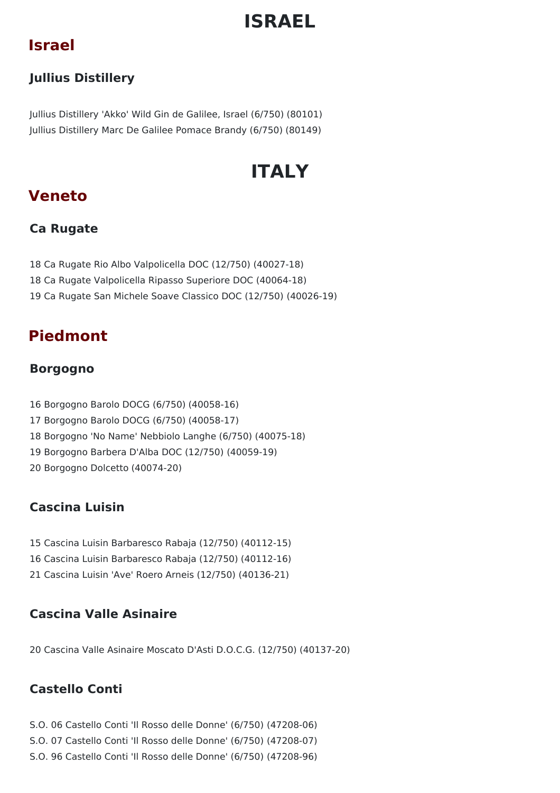# **ISRAEL**

## **Israel**

## **Jullius Distillery**

Jullius Distillery 'Akko' Wild Gin de Galilee, Israel (6/750) (80101) Jullius Distillery Marc De Galilee Pomace Brandy (6/750) (80149)

# **ITALY**

## **Veneto**

## **Ca Rugate**

18 Ca Rugate Rio Albo Valpolicella DOC (12/750) (40027-18) 18 Ca Rugate Valpolicella Ripasso Superiore DOC (40064-18) 19 Ca Rugate San Michele Soave Classico DOC (12/750) (40026-19)

## **Piedmont**

## **Borgogno**

 Borgogno Barolo DOCG (6/750) (40058-16) Borgogno Barolo DOCG (6/750) (40058-17) Borgogno 'No Name' Nebbiolo Langhe (6/750) (40075-18) Borgogno Barbera D'Alba DOC (12/750) (40059-19) Borgogno Dolcetto (40074-20)

## **Cascina Luisin**

15 Cascina Luisin Barbaresco Rabaja (12/750) (40112-15) 16 Cascina Luisin Barbaresco Rabaja (12/750) (40112-16) 21 Cascina Luisin 'Ave' Roero Arneis (12/750) (40136-21)

## **Cascina Valle Asinaire**

20 Cascina Valle Asinaire Moscato D'Asti D.O.C.G. (12/750) (40137-20)

## **Castello Conti**

- S.O. 06 Castello Conti 'Il Rosso delle Donne' (6/750) (47208-06)
- S.O. 07 Castello Conti 'Il Rosso delle Donne' (6/750) (47208-07)
- S.O. 96 Castello Conti 'Il Rosso delle Donne' (6/750) (47208-96)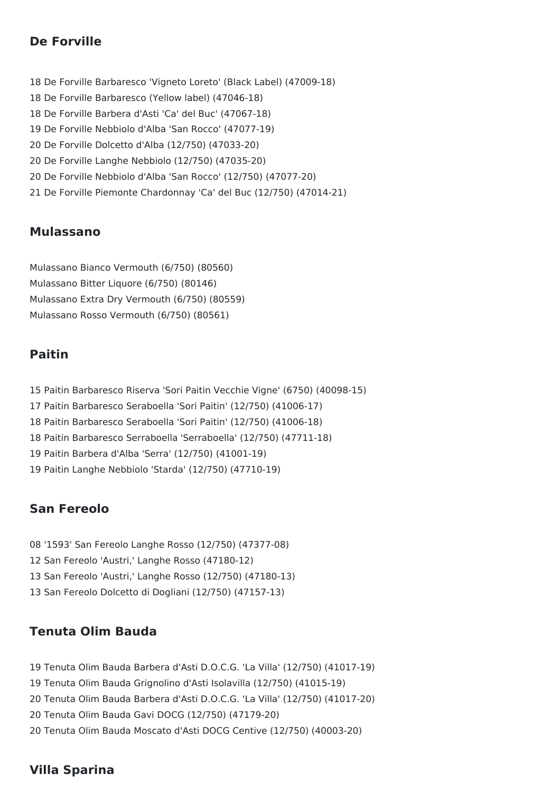### **De Forville**

 De Forville Barbaresco 'Vigneto Loreto' (Black Label) (47009-18) De Forville Barbaresco (Yellow label) (47046-18) De Forville Barbera d'Asti 'Ca' del Buc' (47067-18) De Forville Nebbiolo d'Alba 'San Rocco' (47077-19) De Forville Dolcetto d'Alba (12/750) (47033-20) De Forville Langhe Nebbiolo (12/750) (47035-20) De Forville Nebbiolo d'Alba 'San Rocco' (12/750) (47077-20) De Forville Piemonte Chardonnay 'Ca' del Buc (12/750) (47014-21)

#### **Mulassano**

Mulassano Bianco Vermouth (6/750) (80560) Mulassano Bitter Liquore (6/750) (80146) Mulassano Extra Dry Vermouth (6/750) (80559) Mulassano Rosso Vermouth (6/750) (80561)

#### **Paitin**

 Paitin Barbaresco Riserva 'Sori Paitin Vecchie Vigne' (6750) (40098-15) Paitin Barbaresco Seraboella 'Sori Paitin' (12/750) (41006-17) Paitin Barbaresco Seraboella 'Sori Paitin' (12/750) (41006-18) Paitin Barbaresco Serraboella 'Serraboella' (12/750) (47711-18) Paitin Barbera d'Alba 'Serra' (12/750) (41001-19) Paitin Langhe Nebbiolo 'Starda' (12/750) (47710-19)

### **San Fereolo**

 '1593' San Fereolo Langhe Rosso (12/750) (47377-08) San Fereolo 'Austri,' Langhe Rosso (47180-12) San Fereolo 'Austri,' Langhe Rosso (12/750) (47180-13) San Fereolo Dolcetto di Dogliani (12/750) (47157-13)

### **Tenuta Olim Bauda**

 Tenuta Olim Bauda Barbera d'Asti D.O.C.G. 'La Villa' (12/750) (41017-19) Tenuta Olim Bauda Grignolino d'Asti Isolavilla (12/750) (41015-19) Tenuta Olim Bauda Barbera d'Asti D.O.C.G. 'La Villa' (12/750) (41017-20) Tenuta Olim Bauda Gavi DOCG (12/750) (47179-20) Tenuta Olim Bauda Moscato d'Asti DOCG Centive (12/750) (40003-20)

## **Villa Sparina**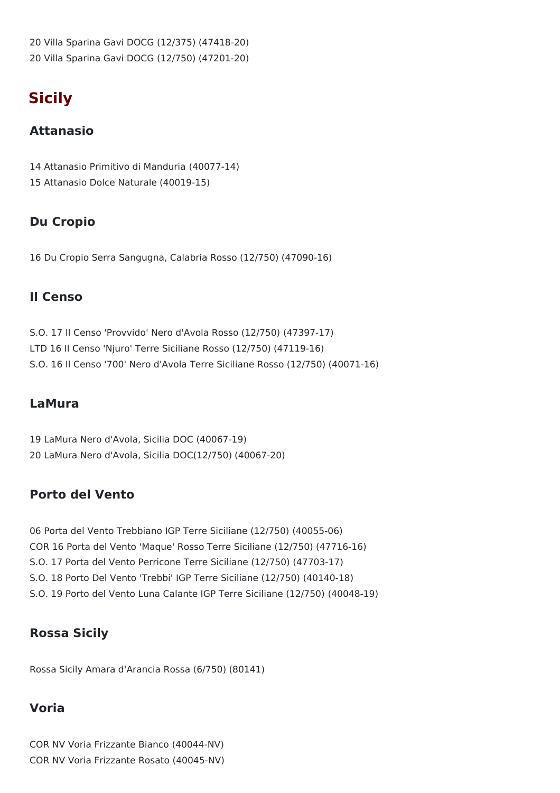20 Villa Sparina Gavi DOCG (12/375) (47418-20) 20 Villa Sparina Gavi DOCG (12/750) (47201-20)

## **Sicily**

### **Attanasio**

14 Attanasio Primitivo di Manduria (40077-14) 15 Attanasio Dolce Naturale (40019-15)

## **Du Cropio**

16 Du Cropio Serra Sangugna, Calabria Rosso (12/750) (47090-16)

### **Il Censo**

S.O. 17 Il Censo 'Provvido' Nero d'Avola Rosso (12/750) (47397-17) LTD 16 Il Censo 'Njuro' Terre Siciliane Rosso (12/750) (47119-16) S.O. 16 Il Censo '700' Nero d'Avola Terre Siciliane Rosso (12/750) (40071-16)

### **LaMura**

19 LaMura Nero d'Avola, Sicilia DOC (40067-19) 20 LaMura Nero d'Avola, Sicilia DOC(12/750) (40067-20)

## **Porto del Vento**

06 Porta del Vento Trebbiano IGP Terre Siciliane (12/750) (40055-06) COR 16 Porta del Vento 'Maque' Rosso Terre Siciliane (12/750) (47716-16) S.O. 17 Porta del Vento Perricone Terre Siciliane (12/750) (47703-17) S.O. 18 Porto Del Vento 'Trebbi' IGP Terre Siciliane (12/750) (40140-18) S.O. 19 Porto del Vento Luna Calante IGP Terre Siciliane (12/750) (40048-19)

### **Rossa Sicily**

Rossa Sicily Amara d'Arancia Rossa (6/750) (80141)

## **Voria**

COR NV Voria Frizzante Bianco (40044-NV) COR NV Voria Frizzante Rosato (40045-NV)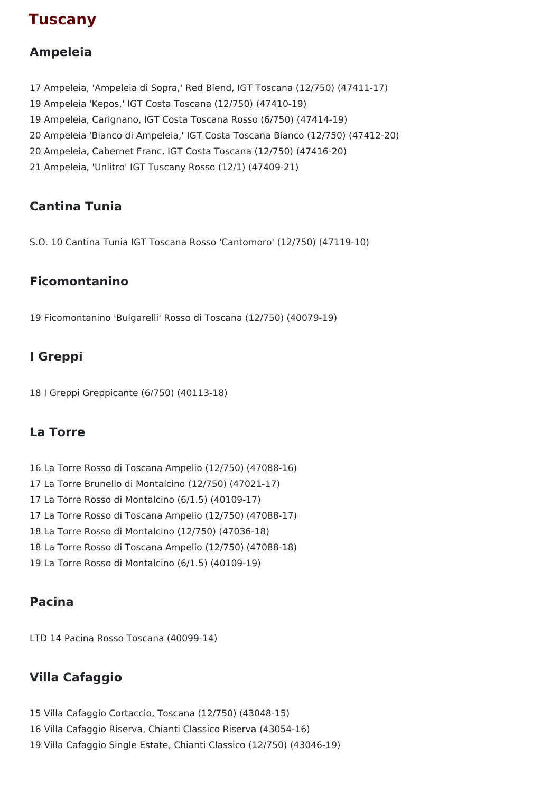## **Tuscany**

## **Ampeleia**

 Ampeleia, 'Ampeleia di Sopra,' Red Blend, IGT Toscana (12/750) (47411-17) Ampeleia 'Kepos,' IGT Costa Toscana (12/750) (47410-19) Ampeleia, Carignano, IGT Costa Toscana Rosso (6/750) (47414-19) Ampeleia 'Bianco di Ampeleia,' IGT Costa Toscana Bianco (12/750) (47412-20) Ampeleia, Cabernet Franc, IGT Costa Toscana (12/750) (47416-20) Ampeleia, 'Unlitro' IGT Tuscany Rosso (12/1) (47409-21)

## **Cantina Tunia**

S.O. 10 Cantina Tunia IGT Toscana Rosso 'Cantomoro' (12/750) (47119-10)

### **Ficomontanino**

Ficomontanino 'Bulgarelli' Rosso di Toscana (12/750) (40079-19)

## **I Greppi**

I Greppi Greppicante (6/750) (40113-18)

### **La Torre**

 La Torre Rosso di Toscana Ampelio (12/750) (47088-16) La Torre Brunello di Montalcino (12/750) (47021-17) La Torre Rosso di Montalcino (6/1.5) (40109-17) La Torre Rosso di Toscana Ampelio (12/750) (47088-17) La Torre Rosso di Montalcino (12/750) (47036-18) La Torre Rosso di Toscana Ampelio (12/750) (47088-18) La Torre Rosso di Montalcino (6/1.5) (40109-19)

### **Pacina**

LTD 14 Pacina Rosso Toscana (40099-14)

## **Villa Cafaggio**

 Villa Cafaggio Cortaccio, Toscana (12/750) (43048-15) Villa Cafaggio Riserva, Chianti Classico Riserva (43054-16) Villa Cafaggio Single Estate, Chianti Classico (12/750) (43046-19)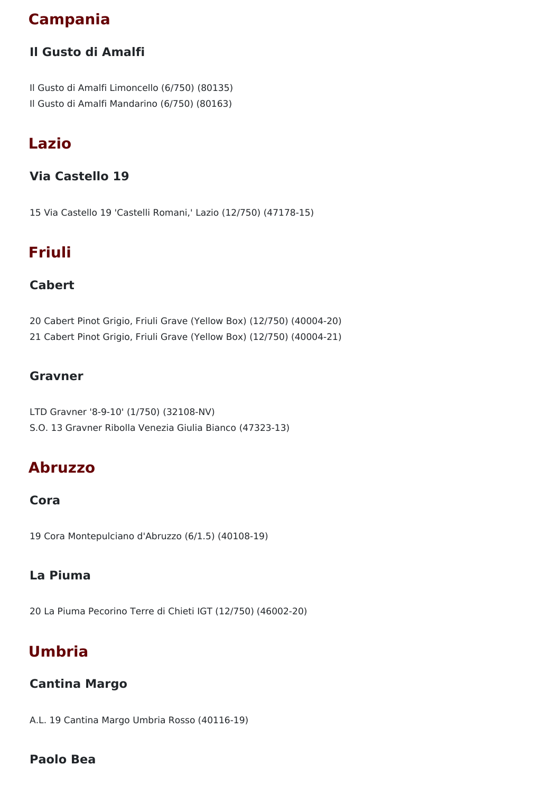## **Campania**

## **Il Gusto di Amalfi**

Il Gusto di Amalfi Limoncello (6/750) (80135) Il Gusto di Amalfi Mandarino (6/750) (80163)

## **Lazio**

## **Via Castello 19**

15 Via Castello 19 'Castelli Romani,' Lazio (12/750) (47178-15)

## **Friuli**

## **Cabert**

20 Cabert Pinot Grigio, Friuli Grave (Yellow Box) (12/750) (40004-20)

21 Cabert Pinot Grigio, Friuli Grave (Yellow Box) (12/750) (40004-21)

### **Gravner**

LTD Gravner '8-9-10' (1/750) (32108-NV) S.O. 13 Gravner Ribolla Venezia Giulia Bianco (47323-13)

## **Abruzzo**

### **Cora**

19 Cora Montepulciano d'Abruzzo (6/1.5) (40108-19)

### **La Piuma**

20 La Piuma Pecorino Terre di Chieti IGT (12/750) (46002-20)

## **Umbria**

## **Cantina Margo**

A.L. 19 Cantina Margo Umbria Rosso (40116-19)

## **Paolo Bea**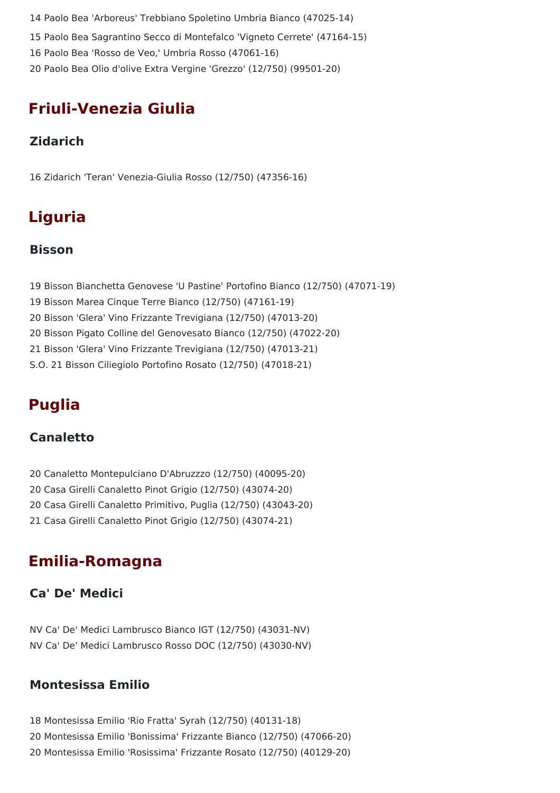Paolo Bea 'Arboreus' Trebbiano Spoletino Umbria Bianco (47025-14) Paolo Bea Sagrantino Secco di Montefalco 'Vigneto Cerrete' (47164-15) Paolo Bea 'Rosso de Veo,' Umbria Rosso (47061-16) Paolo Bea Olio d'olive Extra Vergine 'Grezzo' (12/750) (99501-20)

## **Friuli-Venezia Giulia**

## **Zidarich**

16 Zidarich 'Teran' Venezia-Giulia Rosso (12/750) (47356-16)

# **Liguria**

### **Bisson**

 Bisson Bianchetta Genovese 'U Pastine' Portofino Bianco (12/750) (47071-19) Bisson Marea Cinque Terre Bianco (12/750) (47161-19) Bisson 'Glera' Vino Frizzante Trevigiana (12/750) (47013-20) Bisson Pigato Colline del Genovesato Bianco (12/750) (47022-20) Bisson 'Glera' Vino Frizzante Trevigiana (12/750) (47013-21) S.O. 21 Bisson Ciliegiolo Portofino Rosato (12/750) (47018-21)

## **Puglia**

## **Canaletto**

- 20 Canaletto Montepulciano D'Abruzzzo (12/750) (40095-20)
- 20 Casa Girelli Canaletto Pinot Grigio (12/750) (43074-20)
- 20 Casa Girelli Canaletto Primitivo, Puglia (12/750) (43043-20)
- 21 Casa Girelli Canaletto Pinot Grigio (12/750) (43074-21)

## **Emilia-Romagna**

## **Ca' De' Medici**

NV Ca' De' Medici Lambrusco Bianco IGT (12/750) (43031-NV) NV Ca' De' Medici Lambrusco Rosso DOC (12/750) (43030-NV)

## **Montesissa Emilio**

18 Montesissa Emilio 'Rio Fratta' Syrah (12/750) (40131-18) 20 Montesissa Emilio 'Bonissima' Frizzante Bianco (12/750) (47066-20) 20 Montesissa Emilio 'Rosissima' Frizzante Rosato (12/750) (40129-20)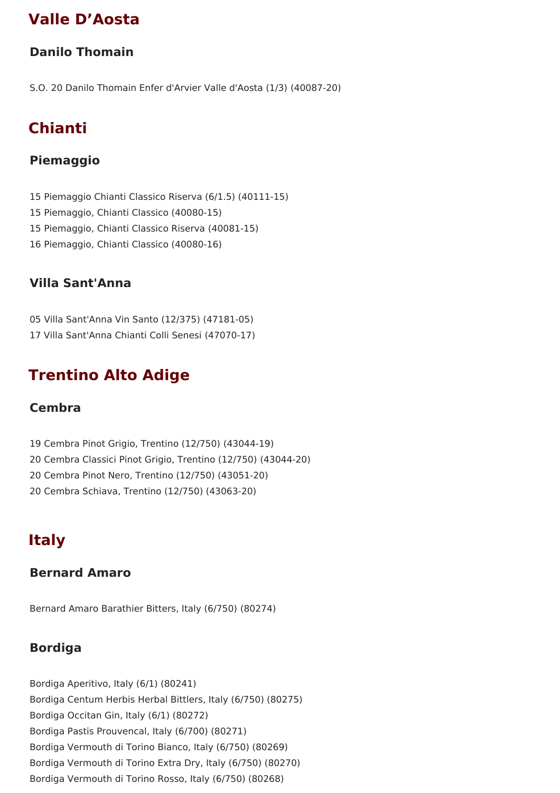## **Valle D'Aosta**

### **Danilo Thomain**

S.O. 20 Danilo Thomain Enfer d'Arvier Valle d'Aosta (1/3) (40087-20)

## **Chianti**

## **Piemaggio**

 Piemaggio Chianti Classico Riserva (6/1.5) (40111-15) Piemaggio, Chianti Classico (40080-15) Piemaggio, Chianti Classico Riserva (40081-15) Piemaggio, Chianti Classico (40080-16)

### **Villa Sant'Anna**

05 Villa Sant'Anna Vin Santo (12/375) (47181-05) 17 Villa Sant'Anna Chianti Colli Senesi (47070-17)

## **Trentino Alto Adige**

### **Cembra**

- 19 Cembra Pinot Grigio, Trentino (12/750) (43044-19)
- 20 Cembra Classici Pinot Grigio, Trentino (12/750) (43044-20)
- 20 Cembra Pinot Nero, Trentino (12/750) (43051-20)
- 20 Cembra Schiava, Trentino (12/750) (43063-20)

## **Italy**

### **Bernard Amaro**

Bernard Amaro Barathier Bitters, Italy (6/750) (80274)

## **Bordiga**

Bordiga Aperitivo, Italy (6/1) (80241) Bordiga Centum Herbis Herbal Bittlers, Italy (6/750) (80275) Bordiga Occitan Gin, Italy (6/1) (80272) Bordiga Pastis Prouvencal, Italy (6/700) (80271) Bordiga Vermouth di Torino Bianco, Italy (6/750) (80269) Bordiga Vermouth di Torino Extra Dry, Italy (6/750) (80270) Bordiga Vermouth di Torino Rosso, Italy (6/750) (80268)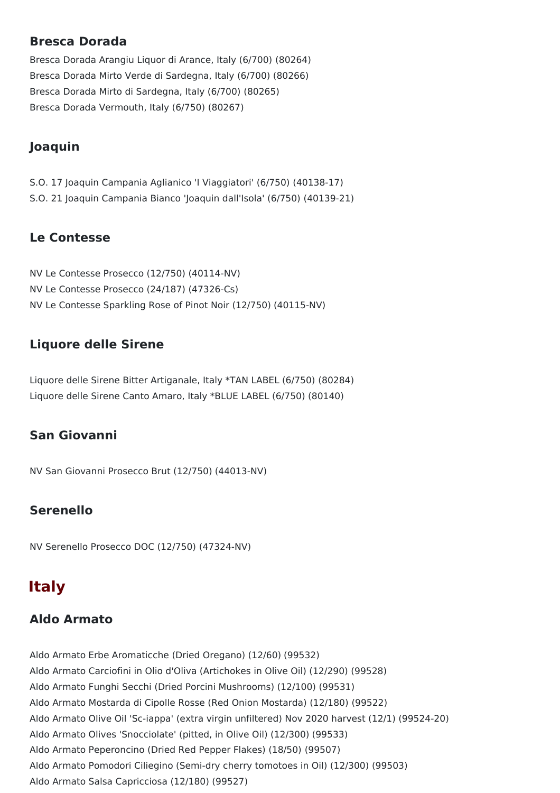#### **Bresca Dorada**

Bresca Dorada Arangiu Liquor di Arance, Italy (6/700) (80264) Bresca Dorada Mirto Verde di Sardegna, Italy (6/700) (80266) Bresca Dorada Mirto di Sardegna, Italy (6/700) (80265) Bresca Dorada Vermouth, Italy (6/750) (80267)

## **Joaquin**

S.O. 17 Joaquin Campania Aglianico 'I Viaggiatori' (6/750) (40138-17) S.O. 21 Joaquin Campania Bianco 'Joaquin dall'Isola' (6/750) (40139-21)

### **Le Contesse**

NV Le Contesse Prosecco (12/750) (40114-NV) NV Le Contesse Prosecco (24/187) (47326-Cs) NV Le Contesse Sparkling Rose of Pinot Noir (12/750) (40115-NV)

## **Liquore delle Sirene**

Liquore delle Sirene Bitter Artiganale, Italy \*TAN LABEL (6/750) (80284) Liquore delle Sirene Canto Amaro, Italy \*BLUE LABEL (6/750) (80140)

## **San Giovanni**

NV San Giovanni Prosecco Brut (12/750) (44013-NV)

## **Serenello**

NV Serenello Prosecco DOC (12/750) (47324-NV)

## **Italy**

## **Aldo Armato**

Aldo Armato Erbe Aromaticche (Dried Oregano) (12/60) (99532) Aldo Armato Carciofini in Olio d'Oliva (Artichokes in Olive Oil) (12/290) (99528) Aldo Armato Funghi Secchi (Dried Porcini Mushrooms) (12/100) (99531) Aldo Armato Mostarda di Cipolle Rosse (Red Onion Mostarda) (12/180) (99522) Aldo Armato Olive Oil 'Sc-iappa' (extra virgin unfiltered) Nov 2020 harvest (12/1) (99524-20) Aldo Armato Olives 'Snocciolate' (pitted, in Olive Oil) (12/300) (99533) Aldo Armato Peperoncino (Dried Red Pepper Flakes) (18/50) (99507) Aldo Armato Pomodori Ciliegino (Semi-dry cherry tomotoes in Oil) (12/300) (99503) Aldo Armato Salsa Capricciosa (12/180) (99527)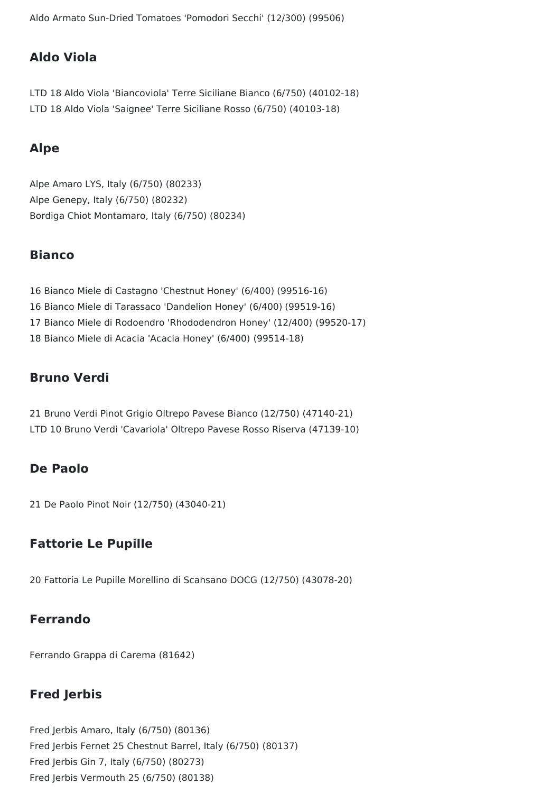Aldo Armato Sun-Dried Tomatoes 'Pomodori Secchi' (12/300) (99506)

#### **Aldo Viola**

LTD 18 Aldo Viola 'Biancoviola' Terre Siciliane Bianco (6/750) (40102-18) LTD 18 Aldo Viola 'Saignee' Terre Siciliane Rosso (6/750) (40103-18)

#### **Alpe**

Alpe Amaro LYS, Italy (6/750) (80233) Alpe Genepy, Italy (6/750) (80232) Bordiga Chiot Montamaro, Italy (6/750) (80234)

#### **Bianco**

 Bianco Miele di Castagno 'Chestnut Honey' (6/400) (99516-16) Bianco Miele di Tarassaco 'Dandelion Honey' (6/400) (99519-16) Bianco Miele di Rodoendro 'Rhododendron Honey' (12/400) (99520-17) Bianco Miele di Acacia 'Acacia Honey' (6/400) (99514-18)

#### **Bruno Verdi**

21 Bruno Verdi Pinot Grigio Oltrepo Pavese Bianco (12/750) (47140-21) LTD 10 Bruno Verdi 'Cavariola' Oltrepo Pavese Rosso Riserva (47139-10)

#### **De Paolo**

21 De Paolo Pinot Noir (12/750) (43040-21)

#### **Fattorie Le Pupille**

20 Fattoria Le Pupille Morellino di Scansano DOCG (12/750) (43078-20)

#### **Ferrando**

Ferrando Grappa di Carema (81642)

#### **Fred Jerbis**

Fred Jerbis Amaro, Italy (6/750) (80136) Fred Jerbis Fernet 25 Chestnut Barrel, Italy (6/750) (80137) Fred Jerbis Gin 7, Italy (6/750) (80273) Fred Jerbis Vermouth 25 (6/750) (80138)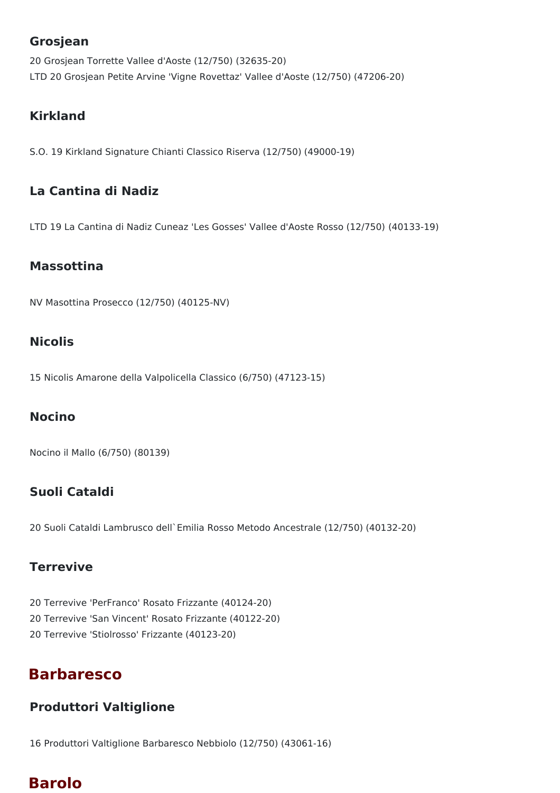#### **Grosjean**

20 Grosjean Torrette Vallee d'Aoste (12/750) (32635-20) LTD 20 Grosjean Petite Arvine 'Vigne Rovettaz' Vallee d'Aoste (12/750) (47206-20)

### **Kirkland**

S.O. 19 Kirkland Signature Chianti Classico Riserva (12/750) (49000-19)

### **La Cantina di Nadiz**

LTD 19 La Cantina di Nadiz Cuneaz 'Les Gosses' Vallee d'Aoste Rosso (12/750) (40133-19)

#### **Massottina**

NV Masottina Prosecco (12/750) (40125-NV)

#### **Nicolis**

15 Nicolis Amarone della Valpolicella Classico (6/750) (47123-15)

### **Nocino**

Nocino il Mallo (6/750) (80139)

## **Suoli Cataldi**

20 Suoli Cataldi Lambrusco dell`Emilia Rosso Metodo Ancestrale (12/750) (40132-20)

### **Terrevive**

20 Terrevive 'PerFranco' Rosato Frizzante (40124-20) 20 Terrevive 'San Vincent' Rosato Frizzante (40122-20) 20 Terrevive 'Stiolrosso' Frizzante (40123-20)

## **Barbaresco**

### **Produttori Valtiglione**

16 Produttori Valtiglione Barbaresco Nebbiolo (12/750) (43061-16)

## **Barolo**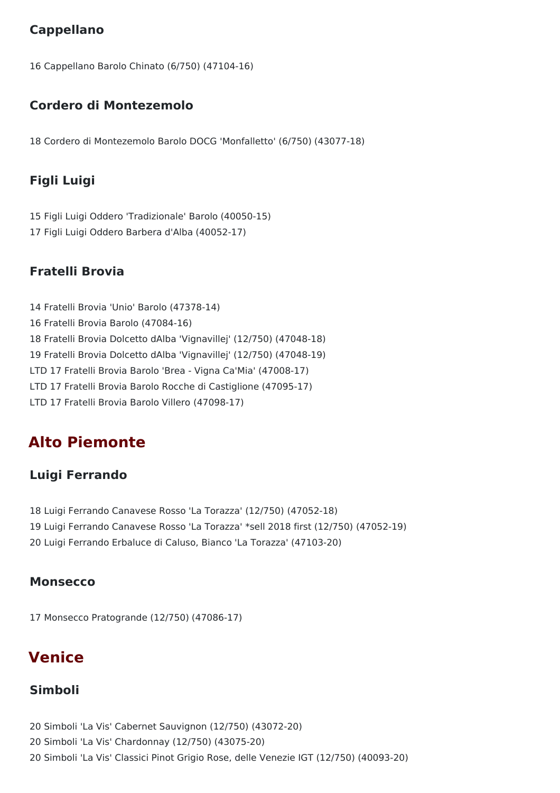## **Cappellano**

16 Cappellano Barolo Chinato (6/750) (47104-16)

### **Cordero di Montezemolo**

18 Cordero di Montezemolo Barolo DOCG 'Monfalletto' (6/750) (43077-18)

### **Figli Luigi**

15 Figli Luigi Oddero 'Tradizionale' Barolo (40050-15) 17 Figli Luigi Oddero Barbera d'Alba (40052-17)

### **Fratelli Brovia**

14 Fratelli Brovia 'Unio' Barolo (47378-14) 16 Fratelli Brovia Barolo (47084-16) 18 Fratelli Brovia Dolcetto dAlba 'Vignavillej' (12/750) (47048-18) 19 Fratelli Brovia Dolcetto dAlba 'Vignavillej' (12/750) (47048-19) LTD 17 Fratelli Brovia Barolo 'Brea - Vigna Ca'Mia' (47008-17) LTD 17 Fratelli Brovia Barolo Rocche di Castiglione (47095-17) LTD 17 Fratelli Brovia Barolo Villero (47098-17)

## **Alto Piemonte**

### **Luigi Ferrando**

18 Luigi Ferrando Canavese Rosso 'La Torazza' (12/750) (47052-18) 19 Luigi Ferrando Canavese Rosso 'La Torazza' \*sell 2018 first (12/750) (47052-19) 20 Luigi Ferrando Erbaluce di Caluso, Bianco 'La Torazza' (47103-20)

#### **Monsecco**

17 Monsecco Pratogrande (12/750) (47086-17)

## **Venice**

#### **Simboli**

20 Simboli 'La Vis' Cabernet Sauvignon (12/750) (43072-20) 20 Simboli 'La Vis' Chardonnay (12/750) (43075-20) 20 Simboli 'La Vis' Classici Pinot Grigio Rose, delle Venezie IGT (12/750) (40093-20)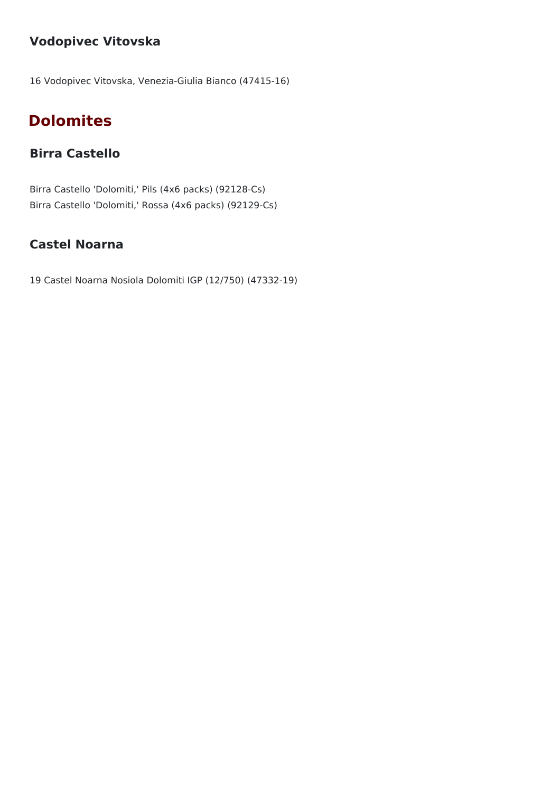## **Vodopivec Vitovska**

16 Vodopivec Vitovska, Venezia-Giulia Bianco (47415-16)

## **Dolomites**

## **Birra Castello**

Birra Castello 'Dolomiti,' Pils (4x6 packs) (92128-Cs) Birra Castello 'Dolomiti,' Rossa (4x6 packs) (92129-Cs)

## **Castel Noarna**

19 Castel Noarna Nosiola Dolomiti IGP (12/750) (47332-19)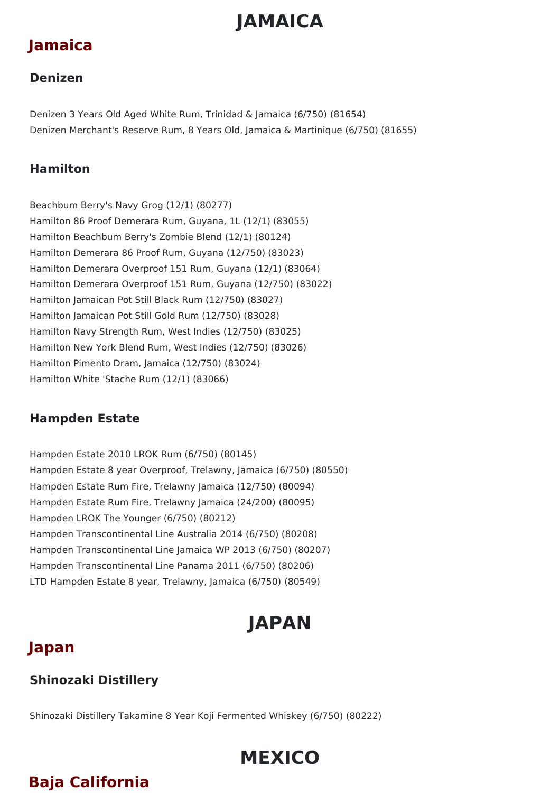# **JAMAICA**

## **Jamaica**

### **Denizen**

Denizen 3 Years Old Aged White Rum, Trinidad & Jamaica (6/750) (81654) Denizen Merchant's Reserve Rum, 8 Years Old, Jamaica & Martinique (6/750) (81655)

## **Hamilton**

Beachbum Berry's Navy Grog (12/1) (80277) Hamilton 86 Proof Demerara Rum, Guyana, 1L (12/1) (83055) Hamilton Beachbum Berry's Zombie Blend (12/1) (80124) Hamilton Demerara 86 Proof Rum, Guyana (12/750) (83023) Hamilton Demerara Overproof 151 Rum, Guyana (12/1) (83064) Hamilton Demerara Overproof 151 Rum, Guyana (12/750) (83022) Hamilton Jamaican Pot Still Black Rum (12/750) (83027) Hamilton Jamaican Pot Still Gold Rum (12/750) (83028) Hamilton Navy Strength Rum, West Indies (12/750) (83025) Hamilton New York Blend Rum, West Indies (12/750) (83026) Hamilton Pimento Dram, Jamaica (12/750) (83024) Hamilton White 'Stache Rum (12/1) (83066)

## **Hampden Estate**

Hampden Estate 2010 LROK Rum (6/750) (80145) Hampden Estate 8 year Overproof, Trelawny, Jamaica (6/750) (80550) Hampden Estate Rum Fire, Trelawny Jamaica (12/750) (80094) Hampden Estate Rum Fire, Trelawny Jamaica (24/200) (80095) Hampden LROK The Younger (6/750) (80212) Hampden Transcontinental Line Australia 2014 (6/750) (80208) Hampden Transcontinental Line Jamaica WP 2013 (6/750) (80207) Hampden Transcontinental Line Panama 2011 (6/750) (80206) LTD Hampden Estate 8 year, Trelawny, Jamaica (6/750) (80549)

# **JAPAN**

## **Japan**

## **Shinozaki Distillery**

Shinozaki Distillery Takamine 8 Year Koji Fermented Whiskey (6/750) (80222)

# **MEXICO**

# **Baja California**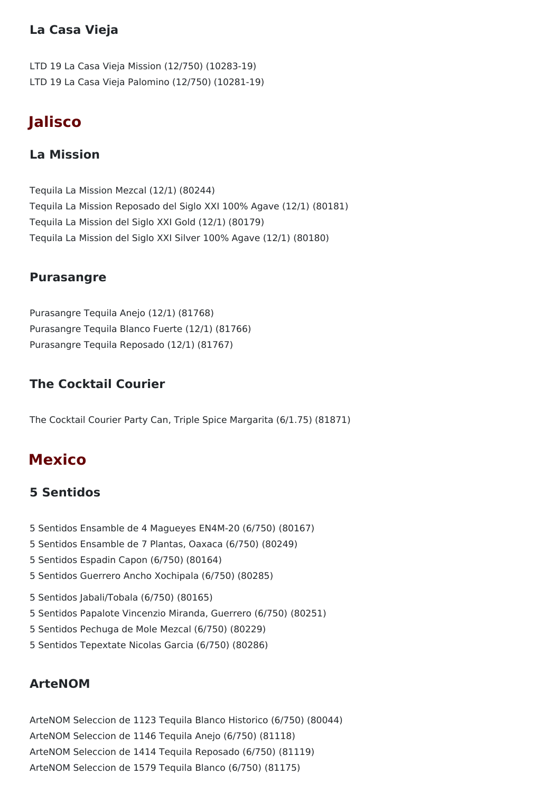### **La Casa Vieja**

LTD 19 La Casa Vieja Mission (12/750) (10283-19) LTD 19 La Casa Vieja Palomino (12/750) (10281-19)

## **Jalisco**

### **La Mission**

Tequila La Mission Mezcal (12/1) (80244) Tequila La Mission Reposado del Siglo XXI 100% Agave (12/1) (80181) Tequila La Mission del Siglo XXI Gold (12/1) (80179) Tequila La Mission del Siglo XXI Silver 100% Agave (12/1) (80180)

#### **Purasangre**

Purasangre Tequila Anejo (12/1) (81768) Purasangre Tequila Blanco Fuerte (12/1) (81766) Purasangre Tequila Reposado (12/1) (81767)

## **The Cocktail Courier**

The Cocktail Courier Party Can, Triple Spice Margarita (6/1.75) (81871)

## **Mexico**

### **5 Sentidos**

- 5 Sentidos Ensamble de 4 Magueyes EN4M-20 (6/750) (80167)
- 5 Sentidos Ensamble de 7 Plantas, Oaxaca (6/750) (80249)
- 5 Sentidos Espadin Capon (6/750) (80164)
- 5 Sentidos Guerrero Ancho Xochipala (6/750) (80285)
- 5 Sentidos Jabali/Tobala (6/750) (80165)
- 5 Sentidos Papalote Vincenzio Miranda, Guerrero (6/750) (80251)
- 5 Sentidos Pechuga de Mole Mezcal (6/750) (80229)
- 5 Sentidos Tepextate Nicolas Garcia (6/750) (80286)

### **ArteNOM**

ArteNOM Seleccion de 1123 Tequila Blanco Historico (6/750) (80044) ArteNOM Seleccion de 1146 Tequila Anejo (6/750) (81118) ArteNOM Seleccion de 1414 Tequila Reposado (6/750) (81119) ArteNOM Seleccion de 1579 Tequila Blanco (6/750) (81175)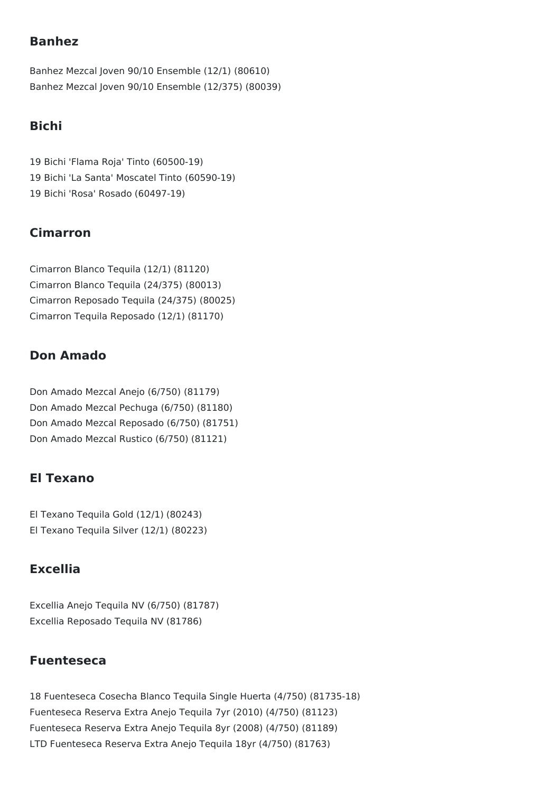### **Banhez**

Banhez Mezcal Joven 90/10 Ensemble (12/1) (80610) Banhez Mezcal Joven 90/10 Ensemble (12/375) (80039)

## **Bichi**

19 Bichi 'Flama Roja' Tinto (60500-19) 19 Bichi 'La Santa' Moscatel Tinto (60590-19) 19 Bichi 'Rosa' Rosado (60497-19)

### **Cimarron**

Cimarron Blanco Tequila (12/1) (81120) Cimarron Blanco Tequila (24/375) (80013) Cimarron Reposado Tequila (24/375) (80025) Cimarron Tequila Reposado (12/1) (81170)

### **Don Amado**

Don Amado Mezcal Anejo (6/750) (81179) Don Amado Mezcal Pechuga (6/750) (81180) Don Amado Mezcal Reposado (6/750) (81751) Don Amado Mezcal Rustico (6/750) (81121)

## **El Texano**

El Texano Tequila Gold (12/1) (80243) El Texano Tequila Silver (12/1) (80223)

### **Excellia**

Excellia Anejo Tequila NV (6/750) (81787) Excellia Reposado Tequila NV (81786)

### **Fuenteseca**

18 Fuenteseca Cosecha Blanco Tequila Single Huerta (4/750) (81735-18) Fuenteseca Reserva Extra Anejo Tequila 7yr (2010) (4/750) (81123) Fuenteseca Reserva Extra Anejo Tequila 8yr (2008) (4/750) (81189) LTD Fuenteseca Reserva Extra Anejo Tequila 18yr (4/750) (81763)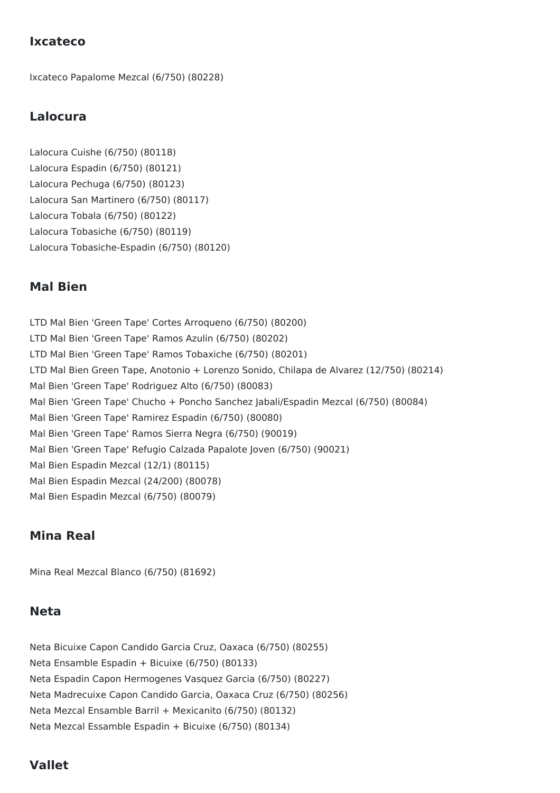#### **Ixcateco**

Ixcateco Papalome Mezcal (6/750) (80228)

#### **Lalocura**

Lalocura Cuishe (6/750) (80118) Lalocura Espadin (6/750) (80121) Lalocura Pechuga (6/750) (80123) Lalocura San Martinero (6/750) (80117) Lalocura Tobala (6/750) (80122) Lalocura Tobasiche (6/750) (80119) Lalocura Tobasiche-Espadin (6/750) (80120)

#### **Mal Bien**

LTD Mal Bien 'Green Tape' Cortes Arroqueno (6/750) (80200) LTD Mal Bien 'Green Tape' Ramos Azulin (6/750) (80202) LTD Mal Bien 'Green Tape' Ramos Tobaxiche (6/750) (80201) LTD Mal Bien Green Tape, Anotonio + Lorenzo Sonido, Chilapa de Alvarez (12/750) (80214) Mal Bien 'Green Tape' Rodriguez Alto (6/750) (80083) Mal Bien 'Green Tape' Chucho + Poncho Sanchez Jabali/Espadin Mezcal (6/750) (80084) Mal Bien 'Green Tape' Ramirez Espadin (6/750) (80080) Mal Bien 'Green Tape' Ramos Sierra Negra (6/750) (90019) Mal Bien 'Green Tape' Refugio Calzada Papalote Joven (6/750) (90021) Mal Bien Espadin Mezcal (12/1) (80115) Mal Bien Espadin Mezcal (24/200) (80078) Mal Bien Espadin Mezcal (6/750) (80079)

#### **Mina Real**

Mina Real Mezcal Blanco (6/750) (81692)

#### **Neta**

Neta Bicuixe Capon Candido Garcia Cruz, Oaxaca (6/750) (80255) Neta Ensamble Espadin + Bicuixe (6/750) (80133) Neta Espadin Capon Hermogenes Vasquez Garcia (6/750) (80227) Neta Madrecuixe Capon Candido Garcia, Oaxaca Cruz (6/750) (80256) Neta Mezcal Ensamble Barril + Mexicanito (6/750) (80132) Neta Mezcal Essamble Espadin + Bicuixe (6/750) (80134)

#### **Vallet**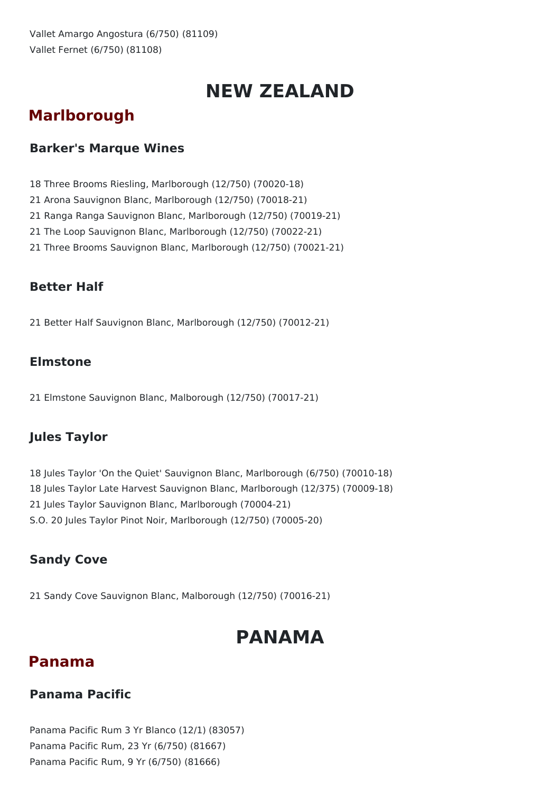# **NEW ZEALAND**

## **Marlborough**

## **Barker's Marque Wines**

- 18 Three Brooms Riesling, Marlborough (12/750) (70020-18)
- 21 Arona Sauvignon Blanc, Marlborough (12/750) (70018-21)
- 21 Ranga Ranga Sauvignon Blanc, Marlborough (12/750) (70019-21)
- 21 The Loop Sauvignon Blanc, Marlborough (12/750) (70022-21)
- 21 Three Brooms Sauvignon Blanc, Marlborough (12/750) (70021-21)

### **Better Half**

21 Better Half Sauvignon Blanc, Marlborough (12/750) (70012-21)

## **Elmstone**

21 Elmstone Sauvignon Blanc, Malborough (12/750) (70017-21)

## **Jules Taylor**

 Jules Taylor 'On the Quiet' Sauvignon Blanc, Marlborough (6/750) (70010-18) Jules Taylor Late Harvest Sauvignon Blanc, Marlborough (12/375) (70009-18) Jules Taylor Sauvignon Blanc, Marlborough (70004-21) S.O. 20 Jules Taylor Pinot Noir, Marlborough (12/750) (70005-20)

## **Sandy Cove**

21 Sandy Cove Sauvignon Blanc, Malborough (12/750) (70016-21)

# **PANAMA**

## **Panama**

### **Panama Pacific**

Panama Pacific Rum 3 Yr Blanco (12/1) (83057) Panama Pacific Rum, 23 Yr (6/750) (81667) Panama Pacific Rum, 9 Yr (6/750) (81666)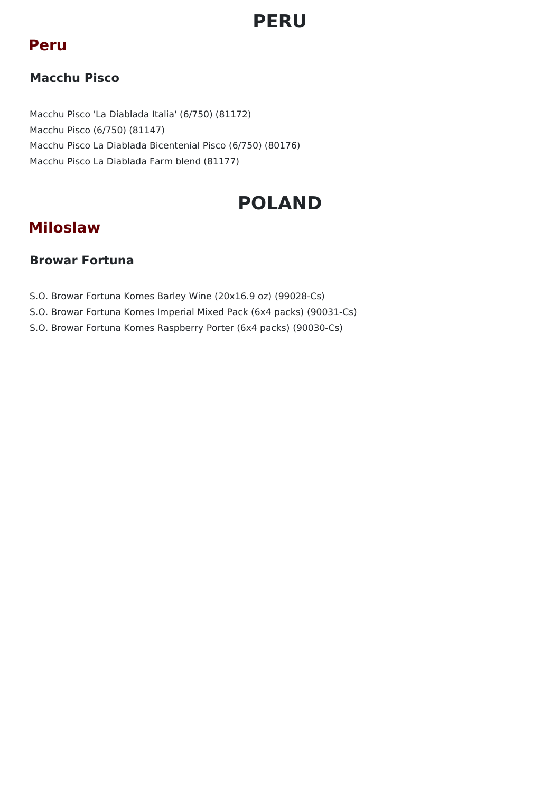# **PERU**

## **Peru**

## **Macchu Pisco**

Macchu Pisco 'La Diablada Italia' (6/750) (81172) Macchu Pisco (6/750) (81147) Macchu Pisco La Diablada Bicentenial Pisco (6/750) (80176) Macchu Pisco La Diablada Farm blend (81177)

# **POLAND**

## **Miloslaw**

### **Browar Fortuna**

- S.O. Browar Fortuna Komes Barley Wine (20x16.9 oz) (99028-Cs)
- S.O. Browar Fortuna Komes Imperial Mixed Pack (6x4 packs) (90031-Cs)
- S.O. Browar Fortuna Komes Raspberry Porter (6x4 packs) (90030-Cs)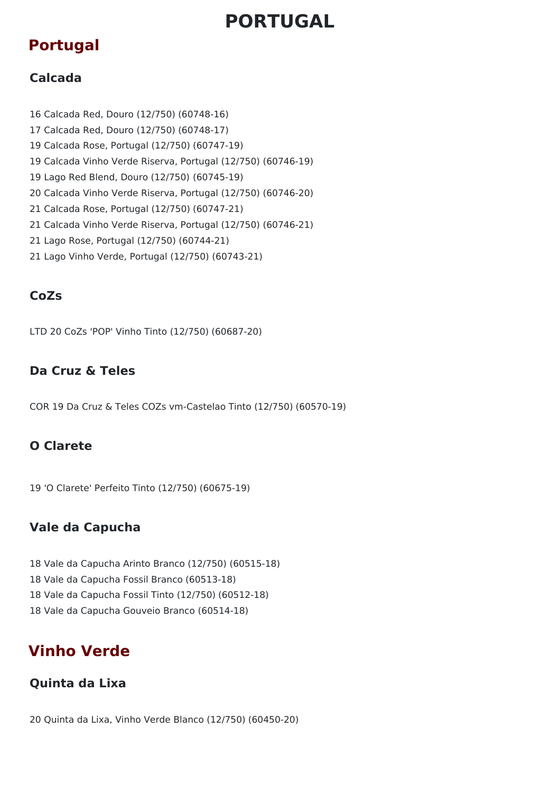# **PORTUGAL**

## **Portugal**

## **Calcada**

 Calcada Red, Douro (12/750) (60748-16) Calcada Red, Douro (12/750) (60748-17) Calcada Rose, Portugal (12/750) (60747-19) Calcada Vinho Verde Riserva, Portugal (12/750) (60746-19) Lago Red Blend, Douro (12/750) (60745-19) Calcada Vinho Verde Riserva, Portugal (12/750) (60746-20) Calcada Rose, Portugal (12/750) (60747-21) Calcada Vinho Verde Riserva, Portugal (12/750) (60746-21) Lago Rose, Portugal (12/750) (60744-21) Lago Vinho Verde, Portugal (12/750) (60743-21)

## **CoZs**

LTD 20 CoZs 'POP' Vinho Tinto (12/750) (60687-20)

### **Da Cruz & Teles**

COR 19 Da Cruz & Teles COZs vm-Castelao Tinto (12/750) (60570-19)

## **O Clarete**

19 'O Clarete' Perfeito Tinto (12/750) (60675-19)

## **Vale da Capucha**

 Vale da Capucha Arinto Branco (12/750) (60515-18) Vale da Capucha Fossil Branco (60513-18) Vale da Capucha Fossil Tinto (12/750) (60512-18) Vale da Capucha Gouveio Branco (60514-18)

## **Vinho Verde**

### **Quinta da Lixa**

20 Quinta da Lixa, Vinho Verde Blanco (12/750) (60450-20)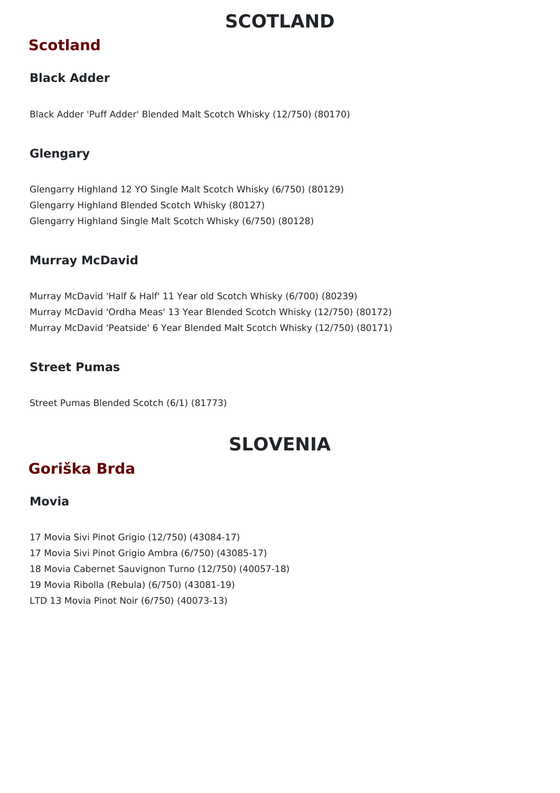# **SCOTLAND**

## **Scotland**

## **Black Adder**

Black Adder 'Puff Adder' Blended Malt Scotch Whisky (12/750) (80170)

## **Glengary**

Glengarry Highland 12 YO Single Malt Scotch Whisky (6/750) (80129) Glengarry Highland Blended Scotch Whisky (80127) Glengarry Highland Single Malt Scotch Whisky (6/750) (80128)

## **Murray McDavid**

Murray McDavid 'Half & Half' 11 Year old Scotch Whisky (6/700) (80239) Murray McDavid 'Ordha Meas' 13 Year Blended Scotch Whisky (12/750) (80172) Murray McDavid 'Peatside' 6 Year Blended Malt Scotch Whisky (12/750) (80171)

### **Street Pumas**

Street Pumas Blended Scotch (6/1) (81773)

# **SLOVENIA**

## **Goriška Brda**

### **Movia**

 Movia Sivi Pinot Grigio (12/750) (43084-17) Movia Sivi Pinot Grigio Ambra (6/750) (43085-17) Movia Cabernet Sauvignon Turno (12/750) (40057-18) Movia Ribolla (Rebula) (6/750) (43081-19) LTD 13 Movia Pinot Noir (6/750) (40073-13)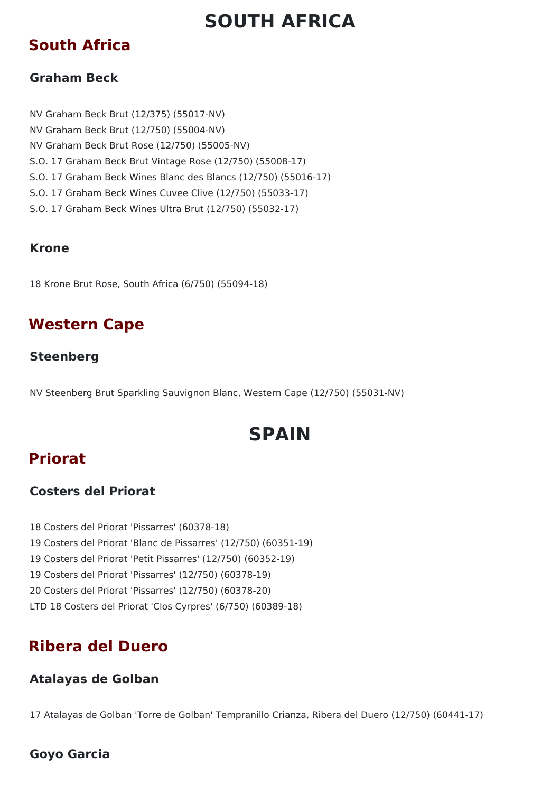# **SOUTH AFRICA**

## **South Africa**

### **Graham Beck**

NV Graham Beck Brut (12/375) (55017-NV) NV Graham Beck Brut (12/750) (55004-NV) NV Graham Beck Brut Rose (12/750) (55005-NV) S.O. 17 Graham Beck Brut Vintage Rose (12/750) (55008-17) S.O. 17 Graham Beck Wines Blanc des Blancs (12/750) (55016-17) S.O. 17 Graham Beck Wines Cuvee Clive (12/750) (55033-17) S.O. 17 Graham Beck Wines Ultra Brut (12/750) (55032-17)

### **Krone**

18 Krone Brut Rose, South Africa (6/750) (55094-18)

## **Western Cape**

### **Steenberg**

NV Steenberg Brut Sparkling Sauvignon Blanc, Western Cape (12/750) (55031-NV)

# **SPAIN**

## **Priorat**

### **Costers del Priorat**

 Costers del Priorat 'Pissarres' (60378-18) Costers del Priorat 'Blanc de Pissarres' (12/750) (60351-19) Costers del Priorat 'Petit Pissarres' (12/750) (60352-19) Costers del Priorat 'Pissarres' (12/750) (60378-19) Costers del Priorat 'Pissarres' (12/750) (60378-20) LTD 18 Costers del Priorat 'Clos Cyrpres' (6/750) (60389-18)

## **Ribera del Duero**

### **Atalayas de Golban**

17 Atalayas de Golban 'Torre de Golban' Tempranillo Crianza, Ribera del Duero (12/750) (60441-17)

### **Goyo Garcia**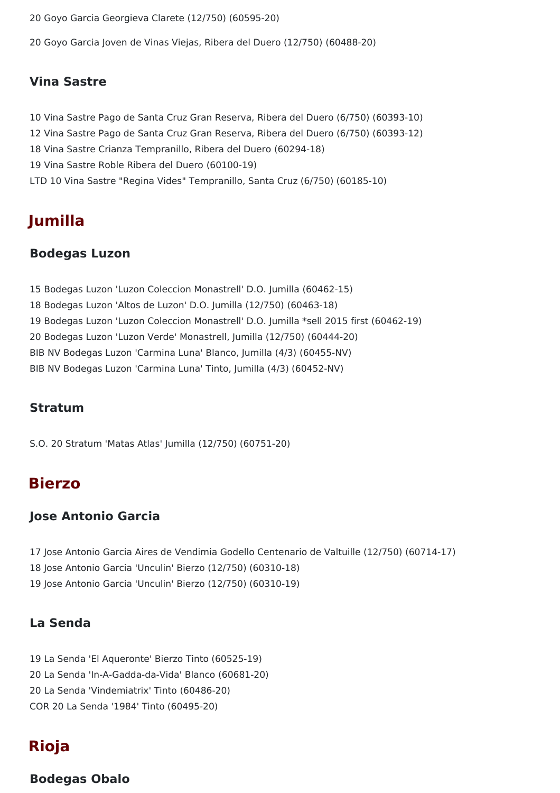20 Goyo Garcia Georgieva Clarete (12/750) (60595-20)

20 Goyo Garcia Joven de Vinas Viejas, Ribera del Duero (12/750) (60488-20)

#### **Vina Sastre**

 Vina Sastre Pago de Santa Cruz Gran Reserva, Ribera del Duero (6/750) (60393-10) Vina Sastre Pago de Santa Cruz Gran Reserva, Ribera del Duero (6/750) (60393-12) Vina Sastre Crianza Tempranillo, Ribera del Duero (60294-18) Vina Sastre Roble Ribera del Duero (60100-19) LTD 10 Vina Sastre "Regina Vides" Tempranillo, Santa Cruz (6/750) (60185-10)

## **Jumilla**

#### **Bodegas Luzon**

 Bodegas Luzon 'Luzon Coleccion Monastrell' D.O. Jumilla (60462-15) Bodegas Luzon 'Altos de Luzon' D.O. Jumilla (12/750) (60463-18) Bodegas Luzon 'Luzon Coleccion Monastrell' D.O. Jumilla \*sell 2015 first (60462-19) Bodegas Luzon 'Luzon Verde' Monastrell, Jumilla (12/750) (60444-20) BIB NV Bodegas Luzon 'Carmina Luna' Blanco, Jumilla (4/3) (60455-NV) BIB NV Bodegas Luzon 'Carmina Luna' Tinto, Jumilla (4/3) (60452-NV)

#### **Stratum**

S.O. 20 Stratum 'Matas Atlas' Jumilla (12/750) (60751-20)

## **Bierzo**

#### **Jose Antonio Garcia**

17 Jose Antonio Garcia Aires de Vendimia Godello Centenario de Valtuille (12/750) (60714-17) 18 Jose Antonio Garcia 'Unculin' Bierzo (12/750) (60310-18) 19 Jose Antonio Garcia 'Unculin' Bierzo (12/750) (60310-19)

#### **La Senda**

 La Senda 'El Aqueronte' Bierzo Tinto (60525-19) La Senda 'In-A-Gadda-da-Vida' Blanco (60681-20) La Senda 'Vindemiatrix' Tinto (60486-20) COR 20 La Senda '1984' Tinto (60495-20)

## **Rioja**

#### **Bodegas Obalo**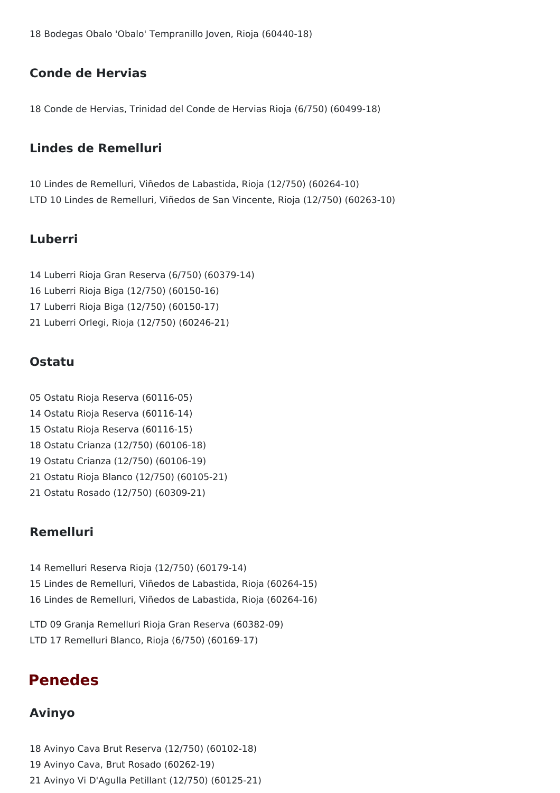Bodegas Obalo 'Obalo' Tempranillo Joven, Rioja (60440-18)

#### **Conde de Hervias**

Conde de Hervias, Trinidad del Conde de Hervias Rioja (6/750) (60499-18)

#### **Lindes de Remelluri**

 Lindes de Remelluri, Viñedos de Labastida, Rioja (12/750) (60264-10) LTD 10 Lindes de Remelluri, Viñedos de San Vincente, Rioja (12/750) (60263-10)

#### **Luberri**

- Luberri Rioja Gran Reserva (6/750) (60379-14)
- Luberri Rioja Biga (12/750) (60150-16)
- Luberri Rioja Biga (12/750) (60150-17)
- Luberri Orlegi, Rioja (12/750) (60246-21)

#### **Ostatu**

- Ostatu Rioja Reserva (60116-05)
- Ostatu Rioja Reserva (60116-14)
- Ostatu Rioja Reserva (60116-15)
- Ostatu Crianza (12/750) (60106-18)
- Ostatu Crianza (12/750) (60106-19)
- Ostatu Rioja Blanco (12/750) (60105-21)
- Ostatu Rosado (12/750) (60309-21)

#### **Remelluri**

- Remelluri Reserva Rioja (12/750) (60179-14) Lindes de Remelluri, Viñedos de Labastida, Rioja (60264-15) Lindes de Remelluri, Viñedos de Labastida, Rioja (60264-16) LTD 09 Granja Remelluri Rioja Gran Reserva (60382-09)
- LTD 17 Remelluri Blanco, Rioja (6/750) (60169-17)

## **Penedes**

#### **Avinyo**

 Avinyo Cava Brut Reserva (12/750) (60102-18) Avinyo Cava, Brut Rosado (60262-19) Avinyo Vi D'Agulla Petillant (12/750) (60125-21)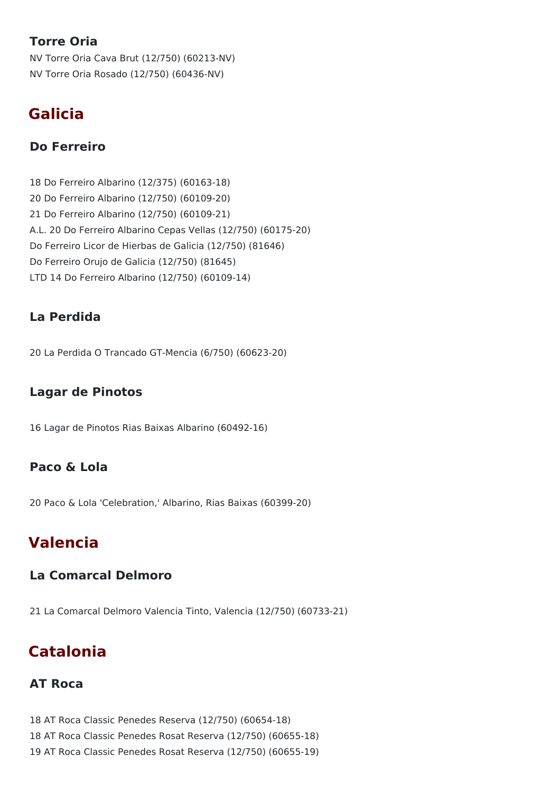## **Torre Oria**

NV Torre Oria Cava Brut (12/750) (60213-NV) NV Torre Oria Rosado (12/750) (60436-NV)

## **Galicia**

### **Do Ferreiro**

18 Do Ferreiro Albarino (12/375) (60163-18) 20 Do Ferreiro Albarino (12/750) (60109-20) 21 Do Ferreiro Albarino (12/750) (60109-21) A.L. 20 Do Ferreiro Albarino Cepas Vellas (12/750) (60175-20) Do Ferreiro Licor de Hierbas de Galicia (12/750) (81646) Do Ferreiro Orujo de Galicia (12/750) (81645) LTD 14 Do Ferreiro Albarino (12/750) (60109-14)

### **La Perdida**

20 La Perdida O Trancado GT-Mencia (6/750) (60623-20)

### **Lagar de Pinotos**

16 Lagar de Pinotos Rias Baixas Albarino (60492-16)

### **Paco & Lola**

20 Paco & Lola 'Celebration,' Albarino, Rias Baixas (60399-20)

## **Valencia**

### **La Comarcal Delmoro**

21 La Comarcal Delmoro Valencia Tinto, Valencia (12/750) (60733-21)

## **Catalonia**

### **AT Roca**

18 AT Roca Classic Penedes Reserva (12/750) (60654-18) 18 AT Roca Classic Penedes Rosat Reserva (12/750) (60655-18) 19 AT Roca Classic Penedes Rosat Reserva (12/750) (60655-19)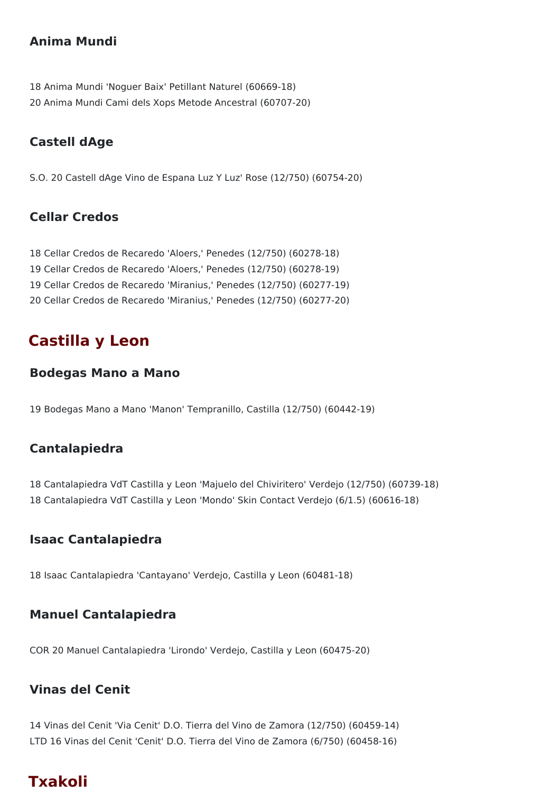### **Anima Mundi**

18 Anima Mundi 'Noguer Baix' Petillant Naturel (60669-18) 20 Anima Mundi Cami dels Xops Metode Ancestral (60707-20)

## **Castell dAge**

S.O. 20 Castell dAge Vino de Espana Luz Y Luz' Rose (12/750) (60754-20)

### **Cellar Credos**

 Cellar Credos de Recaredo 'Aloers,' Penedes (12/750) (60278-18) Cellar Credos de Recaredo 'Aloers,' Penedes (12/750) (60278-19) Cellar Credos de Recaredo 'Miranius,' Penedes (12/750) (60277-19) Cellar Credos de Recaredo 'Miranius,' Penedes (12/750) (60277-20)

## **Castilla y Leon**

#### **Bodegas Mano a Mano**

19 Bodegas Mano a Mano 'Manon' Tempranillo, Castilla (12/750) (60442-19)

### **Cantalapiedra**

18 Cantalapiedra VdT Castilla y Leon 'Majuelo del Chiviritero' Verdejo (12/750) (60739-18) 18 Cantalapiedra VdT Castilla y Leon 'Mondo' Skin Contact Verdejo (6/1.5) (60616-18)

#### **Isaac Cantalapiedra**

18 Isaac Cantalapiedra 'Cantayano' Verdejo, Castilla y Leon (60481-18)

### **Manuel Cantalapiedra**

COR 20 Manuel Cantalapiedra 'Lirondo' Verdejo, Castilla y Leon (60475-20)

### **Vinas del Cenit**

14 Vinas del Cenit 'Via Cenit' D.O. Tierra del Vino de Zamora (12/750) (60459-14) LTD 16 Vinas del Cenit 'Cenit' D.O. Tierra del Vino de Zamora (6/750) (60458-16)

## **Txakoli**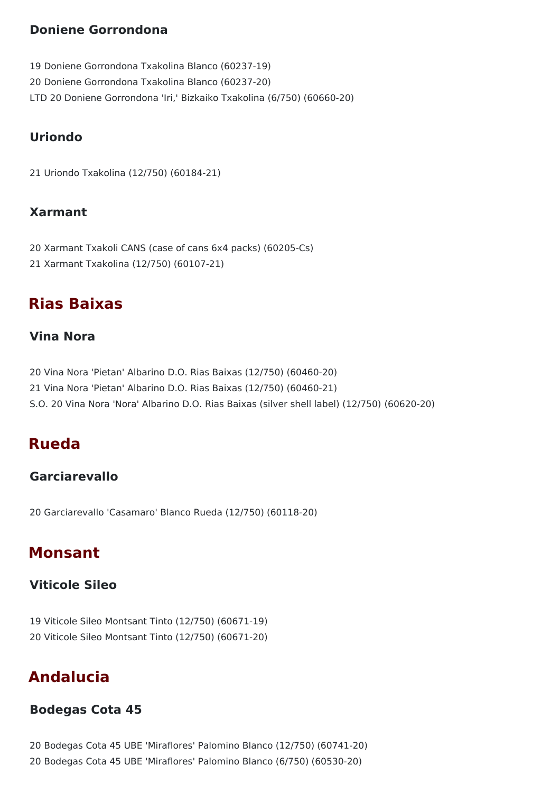### **Doniene Gorrondona**

19 Doniene Gorrondona Txakolina Blanco (60237-19) 20 Doniene Gorrondona Txakolina Blanco (60237-20) LTD 20 Doniene Gorrondona 'Iri,' Bizkaiko Txakolina (6/750) (60660-20)

## **Uriondo**

21 Uriondo Txakolina (12/750) (60184-21)

#### **Xarmant**

20 Xarmant Txakoli CANS (case of cans 6x4 packs) (60205-Cs) 21 Xarmant Txakolina (12/750) (60107-21)

## **Rias Baixas**

#### **Vina Nora**

20 Vina Nora 'Pietan' Albarino D.O. Rias Baixas (12/750) (60460-20) 21 Vina Nora 'Pietan' Albarino D.O. Rias Baixas (12/750) (60460-21) S.O. 20 Vina Nora 'Nora' Albarino D.O. Rias Baixas (silver shell label) (12/750) (60620-20)

## **Rueda**

### **Garciarevallo**

20 Garciarevallo 'Casamaro' Blanco Rueda (12/750) (60118-20)

## **Monsant**

#### **Viticole Sileo**

19 Viticole Sileo Montsant Tinto (12/750) (60671-19) 20 Viticole Sileo Montsant Tinto (12/750) (60671-20)

## **Andalucia**

#### **Bodegas Cota 45**

20 Bodegas Cota 45 UBE 'Miraflores' Palomino Blanco (12/750) (60741-20) 20 Bodegas Cota 45 UBE 'Miraflores' Palomino Blanco (6/750) (60530-20)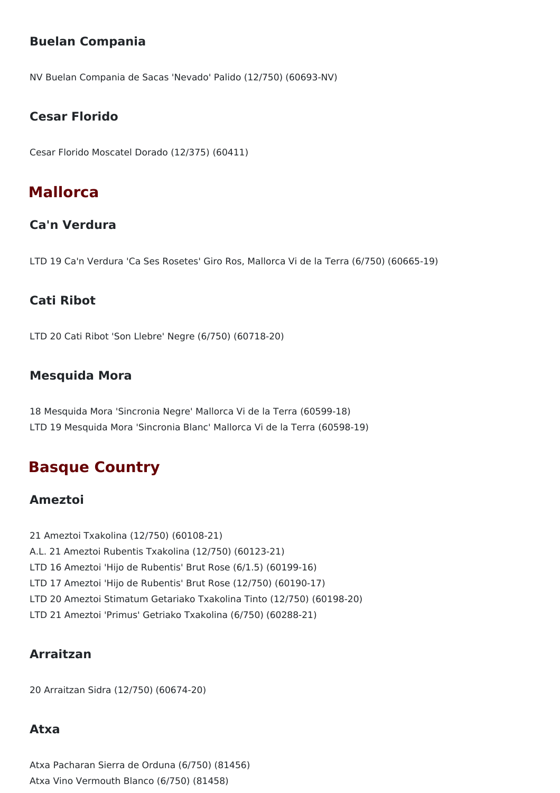## **Buelan Compania**

NV Buelan Compania de Sacas 'Nevado' Palido (12/750) (60693-NV)

#### **Cesar Florido**

Cesar Florido Moscatel Dorado (12/375) (60411)

## **Mallorca**

### **Ca'n Verdura**

LTD 19 Ca'n Verdura 'Ca Ses Rosetes' Giro Ros, Mallorca Vi de la Terra (6/750) (60665-19)

#### **Cati Ribot**

LTD 20 Cati Ribot 'Son Llebre' Negre (6/750) (60718-20)

### **Mesquida Mora**

18 Mesquida Mora 'Sincronia Negre' Mallorca Vi de la Terra (60599-18) LTD 19 Mesquida Mora 'Sincronia Blanc' Mallorca Vi de la Terra (60598-19)

## **Basque Country**

#### **Ameztoi**

21 Ameztoi Txakolina (12/750) (60108-21) A.L. 21 Ameztoi Rubentis Txakolina (12/750) (60123-21) LTD 16 Ameztoi 'Hijo de Rubentis' Brut Rose (6/1.5) (60199-16) LTD 17 Ameztoi 'Hijo de Rubentis' Brut Rose (12/750) (60190-17) LTD 20 Ameztoi Stimatum Getariako Txakolina Tinto (12/750) (60198-20) LTD 21 Ameztoi 'Primus' Getriako Txakolina (6/750) (60288-21)

### **Arraitzan**

20 Arraitzan Sidra (12/750) (60674-20)

#### **Atxa**

Atxa Pacharan Sierra de Orduna (6/750) (81456) Atxa Vino Vermouth Blanco (6/750) (81458)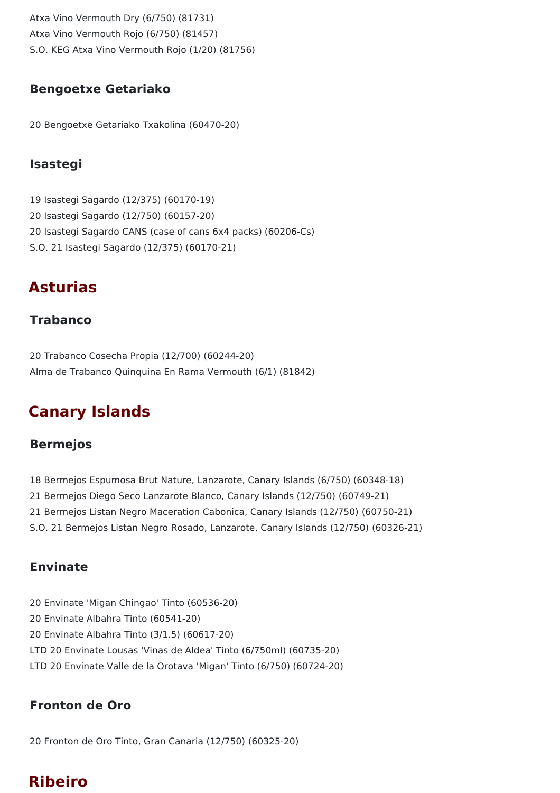Atxa Vino Vermouth Dry (6/750) (81731) Atxa Vino Vermouth Rojo (6/750) (81457) S.O. KEG Atxa Vino Vermouth Rojo (1/20) (81756)

### **Bengoetxe Getariako**

20 Bengoetxe Getariako Txakolina (60470-20)

### **Isastegi**

 Isastegi Sagardo (12/375) (60170-19) Isastegi Sagardo (12/750) (60157-20) Isastegi Sagardo CANS (case of cans 6x4 packs) (60206-Cs) S.O. 21 Isastegi Sagardo (12/375) (60170-21)

## **Asturias**

### **Trabanco**

20 Trabanco Cosecha Propia (12/700) (60244-20) Alma de Trabanco Quinquina En Rama Vermouth (6/1) (81842)

## **Canary Islands**

### **Bermejos**

 Bermejos Espumosa Brut Nature, Lanzarote, Canary Islands (6/750) (60348-18) Bermejos Diego Seco Lanzarote Blanco, Canary Islands (12/750) (60749-21) Bermejos Listan Negro Maceration Cabonica, Canary Islands (12/750) (60750-21) S.O. 21 Bermejos Listan Negro Rosado, Lanzarote, Canary Islands (12/750) (60326-21)

#### **Envinate**

20 Envinate 'Migan Chingao' Tinto (60536-20) 20 Envinate Albahra Tinto (60541-20) 20 Envinate Albahra Tinto (3/1.5) (60617-20) LTD 20 Envinate Lousas 'Vinas de Aldea' Tinto (6/750ml) (60735-20) LTD 20 Envinate Valle de la Orotava 'Migan' Tinto (6/750) (60724-20)

### **Fronton de Oro**

20 Fronton de Oro Tinto, Gran Canaria (12/750) (60325-20)

# **Ribeiro**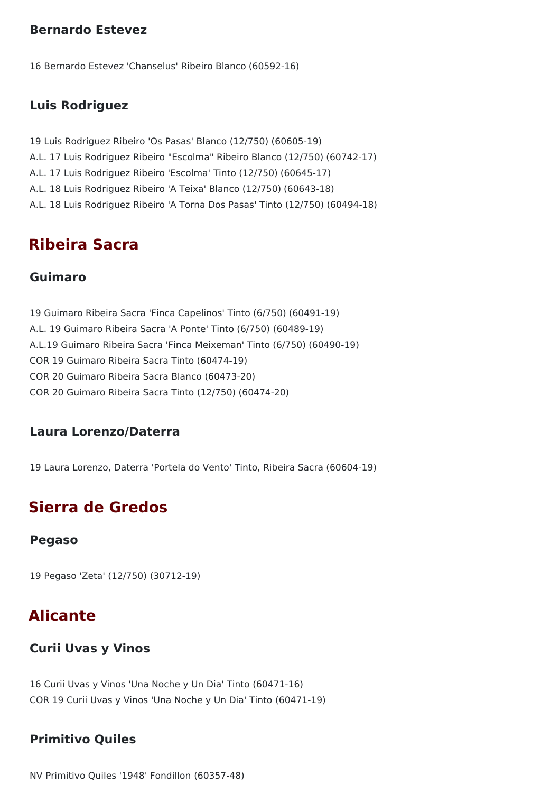#### **Bernardo Estevez**

16 Bernardo Estevez 'Chanselus' Ribeiro Blanco (60592-16)

#### **Luis Rodriguez**

19 Luis Rodriguez Ribeiro 'Os Pasas' Blanco (12/750) (60605-19) A.L. 17 Luis Rodriguez Ribeiro "Escolma" Ribeiro Blanco (12/750) (60742-17) A.L. 17 Luis Rodriguez Ribeiro 'Escolma' Tinto (12/750) (60645-17) A.L. 18 Luis Rodriguez Ribeiro 'A Teixa' Blanco (12/750) (60643-18) A.L. 18 Luis Rodriguez Ribeiro 'A Torna Dos Pasas' Tinto (12/750) (60494-18)

## **Ribeira Sacra**

#### **Guimaro**

19 Guimaro Ribeira Sacra 'Finca Capelinos' Tinto (6/750) (60491-19) A.L. 19 Guimaro Ribeira Sacra 'A Ponte' Tinto (6/750) (60489-19) A.L.19 Guimaro Ribeira Sacra 'Finca Meixeman' Tinto (6/750) (60490-19) COR 19 Guimaro Ribeira Sacra Tinto (60474-19) COR 20 Guimaro Ribeira Sacra Blanco (60473-20) COR 20 Guimaro Ribeira Sacra Tinto (12/750) (60474-20)

#### **Laura Lorenzo/Daterra**

19 Laura Lorenzo, Daterra 'Portela do Vento' Tinto, Ribeira Sacra (60604-19)

## **Sierra de Gredos**

#### **Pegaso**

19 Pegaso 'Zeta' (12/750) (30712-19)

## **Alicante**

#### **Curii Uvas y Vinos**

16 Curii Uvas y Vinos 'Una Noche y Un Dia' Tinto (60471-16) COR 19 Curii Uvas y Vinos 'Una Noche y Un Dia' Tinto (60471-19)

#### **Primitivo Quiles**

NV Primitivo Quiles '1948' Fondillon (60357-48)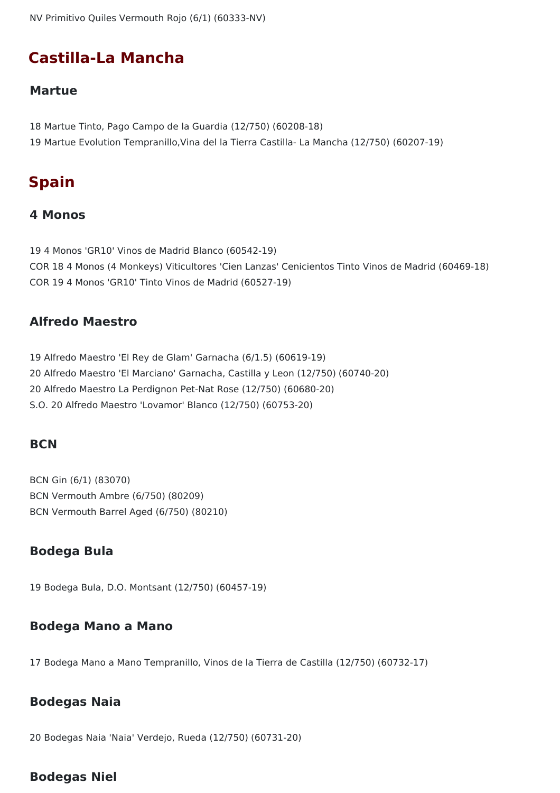NV Primitivo Quiles Vermouth Rojo (6/1) (60333-NV)

## **Castilla-La Mancha**

#### **Martue**

18 Martue Tinto, Pago Campo de la Guardia (12/750) (60208-18) 19 Martue Evolution Tempranillo,Vina del la Tierra Castilla- La Mancha (12/750) (60207-19)

## **Spain**

#### **4 Monos**

19 4 Monos 'GR10' Vinos de Madrid Blanco (60542-19) COR 18 4 Monos (4 Monkeys) Viticultores 'Cien Lanzas' Cenicientos Tinto Vinos de Madrid (60469-18) COR 19 4 Monos 'GR10' Tinto Vinos de Madrid (60527-19)

#### **Alfredo Maestro**

 Alfredo Maestro 'El Rey de Glam' Garnacha (6/1.5) (60619-19) Alfredo Maestro 'El Marciano' Garnacha, Castilla y Leon (12/750) (60740-20) Alfredo Maestro La Perdignon Pet-Nat Rose (12/750) (60680-20) S.O. 20 Alfredo Maestro 'Lovamor' Blanco (12/750) (60753-20)

#### **BCN**

BCN Gin (6/1) (83070) BCN Vermouth Ambre (6/750) (80209) BCN Vermouth Barrel Aged (6/750) (80210)

#### **Bodega Bula**

19 Bodega Bula, D.O. Montsant (12/750) (60457-19)

#### **Bodega Mano a Mano**

17 Bodega Mano a Mano Tempranillo, Vinos de la Tierra de Castilla (12/750) (60732-17)

#### **Bodegas Naia**

20 Bodegas Naia 'Naia' Verdejo, Rueda (12/750) (60731-20)

#### **Bodegas Niel**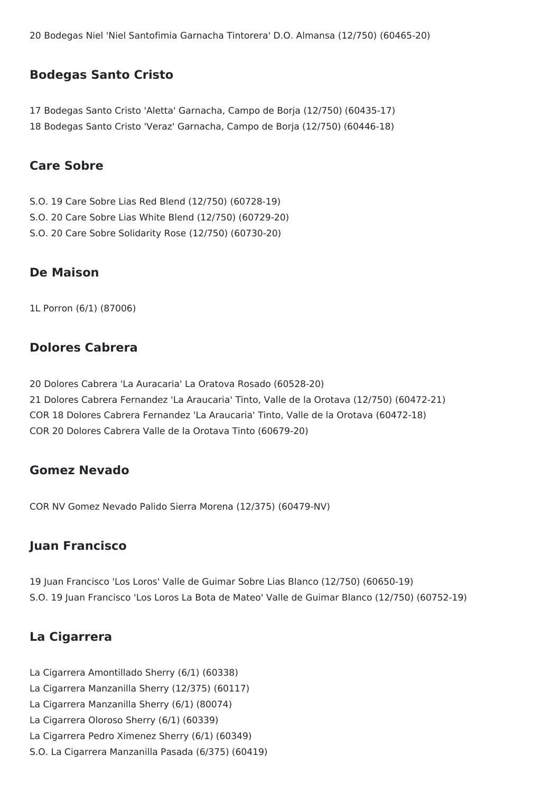20 Bodegas Niel 'Niel Santofimia Garnacha Tintorera' D.O. Almansa (12/750) (60465-20)

#### **Bodegas Santo Cristo**

17 Bodegas Santo Cristo 'Aletta' Garnacha, Campo de Borja (12/750) (60435-17) 18 Bodegas Santo Cristo 'Veraz' Garnacha, Campo de Borja (12/750) (60446-18)

#### **Care Sobre**

- S.O. 19 Care Sobre Lias Red Blend (12/750) (60728-19)
- S.O. 20 Care Sobre Lias White Blend (12/750) (60729-20)
- S.O. 20 Care Sobre Solidarity Rose (12/750) (60730-20)

#### **De Maison**

1L Porron (6/1) (87006)

#### **Dolores Cabrera**

20 Dolores Cabrera 'La Auracaria' La Oratova Rosado (60528-20) 21 Dolores Cabrera Fernandez 'La Araucaria' Tinto, Valle de la Orotava (12/750) (60472-21) COR 18 Dolores Cabrera Fernandez 'La Araucaria' Tinto, Valle de la Orotava (60472-18) COR 20 Dolores Cabrera Valle de la Orotava Tinto (60679-20)

#### **Gomez Nevado**

COR NV Gomez Nevado Palido Sierra Morena (12/375) (60479-NV)

#### **Juan Francisco**

19 Juan Francisco 'Los Loros' Valle de Guimar Sobre Lias Blanco (12/750) (60650-19) S.O. 19 Juan Francisco 'Los Loros La Bota de Mateo' Valle de Guimar Blanco (12/750) (60752-19)

#### **La Cigarrera**

La Cigarrera Amontillado Sherry (6/1) (60338) La Cigarrera Manzanilla Sherry (12/375) (60117) La Cigarrera Manzanilla Sherry (6/1) (80074) La Cigarrera Oloroso Sherry (6/1) (60339) La Cigarrera Pedro Ximenez Sherry (6/1) (60349) S.O. La Cigarrera Manzanilla Pasada (6/375) (60419)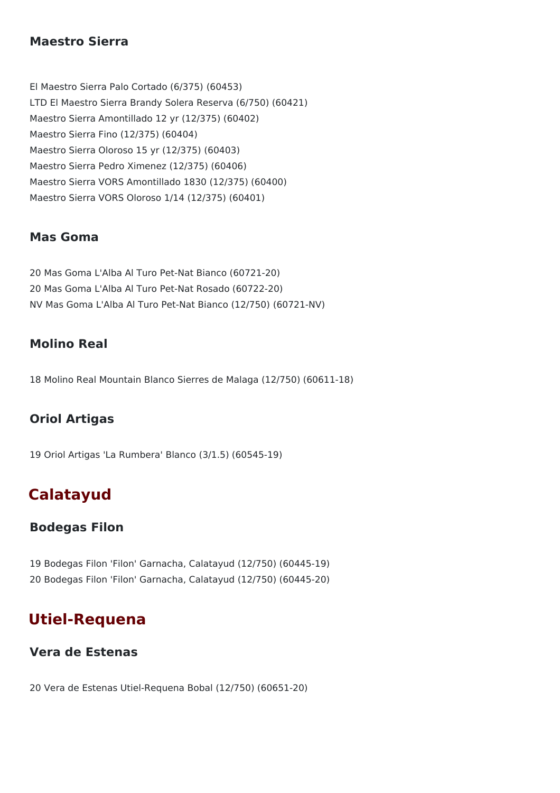#### **Maestro Sierra**

El Maestro Sierra Palo Cortado (6/375) (60453) LTD El Maestro Sierra Brandy Solera Reserva (6/750) (60421) Maestro Sierra Amontillado 12 yr (12/375) (60402) Maestro Sierra Fino (12/375) (60404) Maestro Sierra Oloroso 15 yr (12/375) (60403) Maestro Sierra Pedro Ximenez (12/375) (60406) Maestro Sierra VORS Amontillado 1830 (12/375) (60400) Maestro Sierra VORS Oloroso 1/14 (12/375) (60401)

#### **Mas Goma**

20 Mas Goma L'Alba Al Turo Pet-Nat Bianco (60721-20) 20 Mas Goma L'Alba Al Turo Pet-Nat Rosado (60722-20) NV Mas Goma L'Alba Al Turo Pet-Nat Bianco (12/750) (60721-NV)

#### **Molino Real**

18 Molino Real Mountain Blanco Sierres de Malaga (12/750) (60611-18)

### **Oriol Artigas**

19 Oriol Artigas 'La Rumbera' Blanco (3/1.5) (60545-19)

## **Calatayud**

#### **Bodegas Filon**

19 Bodegas Filon 'Filon' Garnacha, Calatayud (12/750) (60445-19) 20 Bodegas Filon 'Filon' Garnacha, Calatayud (12/750) (60445-20)

## **Utiel-Requena**

#### **Vera de Estenas**

20 Vera de Estenas Utiel-Requena Bobal (12/750) (60651-20)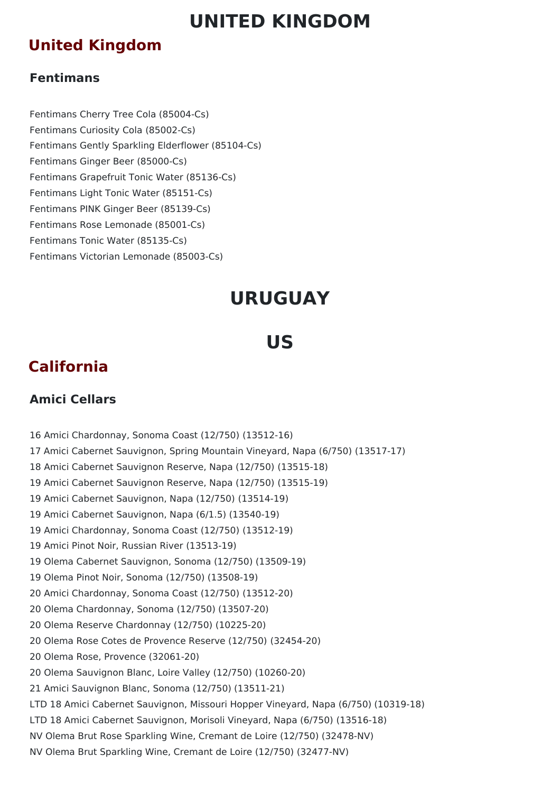# **UNITED KINGDOM**

## **United Kingdom**

### **Fentimans**

Fentimans Cherry Tree Cola (85004-Cs) Fentimans Curiosity Cola (85002-Cs) Fentimans Gently Sparkling Elderflower (85104-Cs) Fentimans Ginger Beer (85000-Cs) Fentimans Grapefruit Tonic Water (85136-Cs) Fentimans Light Tonic Water (85151-Cs) Fentimans PINK Ginger Beer (85139-Cs) Fentimans Rose Lemonade (85001-Cs) Fentimans Tonic Water (85135-Cs) Fentimans Victorian Lemonade (85003-Cs)

# **URUGUAY**

# **US**

## **California**

## **Amici Cellars**

 Amici Chardonnay, Sonoma Coast (12/750) (13512-16) Amici Cabernet Sauvignon, Spring Mountain Vineyard, Napa (6/750) (13517-17) Amici Cabernet Sauvignon Reserve, Napa (12/750) (13515-18) Amici Cabernet Sauvignon Reserve, Napa (12/750) (13515-19) Amici Cabernet Sauvignon, Napa (12/750) (13514-19) Amici Cabernet Sauvignon, Napa (6/1.5) (13540-19) Amici Chardonnay, Sonoma Coast (12/750) (13512-19) Amici Pinot Noir, Russian River (13513-19) Olema Cabernet Sauvignon, Sonoma (12/750) (13509-19) Olema Pinot Noir, Sonoma (12/750) (13508-19) Amici Chardonnay, Sonoma Coast (12/750) (13512-20) Olema Chardonnay, Sonoma (12/750) (13507-20) Olema Reserve Chardonnay (12/750) (10225-20) Olema Rose Cotes de Provence Reserve (12/750) (32454-20) Olema Rose, Provence (32061-20) Olema Sauvignon Blanc, Loire Valley (12/750) (10260-20) Amici Sauvignon Blanc, Sonoma (12/750) (13511-21) LTD 18 Amici Cabernet Sauvignon, Missouri Hopper Vineyard, Napa (6/750) (10319-18) LTD 18 Amici Cabernet Sauvignon, Morisoli Vineyard, Napa (6/750) (13516-18) NV Olema Brut Rose Sparkling Wine, Cremant de Loire (12/750) (32478-NV) NV Olema Brut Sparkling Wine, Cremant de Loire (12/750) (32477-NV)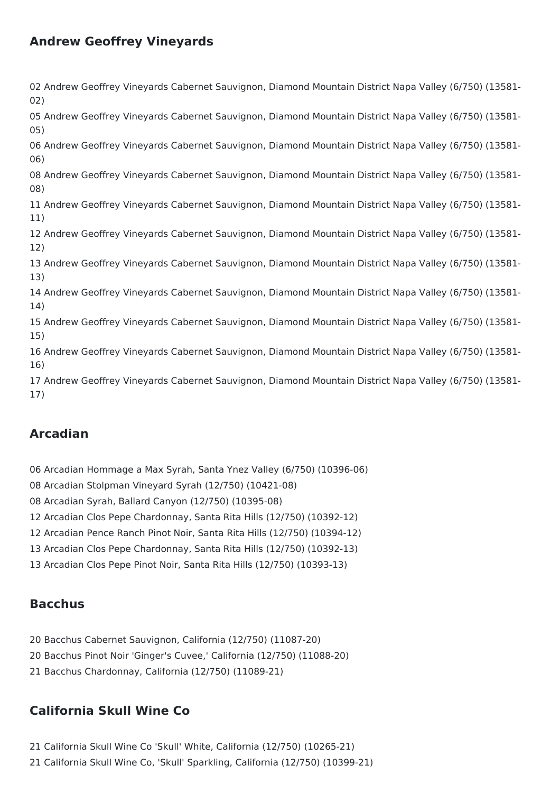## **Andrew Geoffrey Vineyards**

 Andrew Geoffrey Vineyards Cabernet Sauvignon, Diamond Mountain District Napa Valley (6/750) (13581- 02) Andrew Geoffrey Vineyards Cabernet Sauvignon, Diamond Mountain District Napa Valley (6/750) (13581- 05) Andrew Geoffrey Vineyards Cabernet Sauvignon, Diamond Mountain District Napa Valley (6/750) (13581- 06) Andrew Geoffrey Vineyards Cabernet Sauvignon, Diamond Mountain District Napa Valley (6/750) (13581- 08) Andrew Geoffrey Vineyards Cabernet Sauvignon, Diamond Mountain District Napa Valley (6/750) (13581- 11) Andrew Geoffrey Vineyards Cabernet Sauvignon, Diamond Mountain District Napa Valley (6/750) (13581- 12) Andrew Geoffrey Vineyards Cabernet Sauvignon, Diamond Mountain District Napa Valley (6/750) (13581- 13) Andrew Geoffrey Vineyards Cabernet Sauvignon, Diamond Mountain District Napa Valley (6/750) (13581- 14) Andrew Geoffrey Vineyards Cabernet Sauvignon, Diamond Mountain District Napa Valley (6/750) (13581- 15) Andrew Geoffrey Vineyards Cabernet Sauvignon, Diamond Mountain District Napa Valley (6/750) (13581- 16) Andrew Geoffrey Vineyards Cabernet Sauvignon, Diamond Mountain District Napa Valley (6/750) (13581- 17)

## **Arcadian**

- Arcadian Hommage a Max Syrah, Santa Ynez Valley (6/750) (10396-06)
- Arcadian Stolpman Vineyard Syrah (12/750) (10421-08)
- Arcadian Syrah, Ballard Canyon (12/750) (10395-08)
- Arcadian Clos Pepe Chardonnay, Santa Rita Hills (12/750) (10392-12)
- Arcadian Pence Ranch Pinot Noir, Santa Rita Hills (12/750) (10394-12)
- Arcadian Clos Pepe Chardonnay, Santa Rita Hills (12/750) (10392-13)
- Arcadian Clos Pepe Pinot Noir, Santa Rita Hills (12/750) (10393-13)

## **Bacchus**

 Bacchus Cabernet Sauvignon, California (12/750) (11087-20) Bacchus Pinot Noir 'Ginger's Cuvee,' California (12/750) (11088-20) Bacchus Chardonnay, California (12/750) (11089-21)

## **California Skull Wine Co**

- California Skull Wine Co 'Skull' White, California (12/750) (10265-21)
- California Skull Wine Co, 'Skull' Sparkling, California (12/750) (10399-21)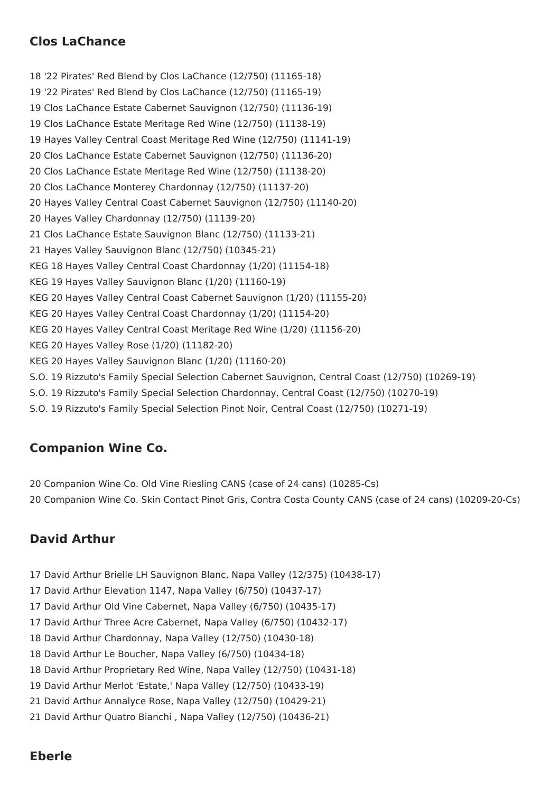## **Clos LaChance**

 '22 Pirates' Red Blend by Clos LaChance (12/750) (11165-18) '22 Pirates' Red Blend by Clos LaChance (12/750) (11165-19) Clos LaChance Estate Cabernet Sauvignon (12/750) (11136-19) Clos LaChance Estate Meritage Red Wine (12/750) (11138-19) Hayes Valley Central Coast Meritage Red Wine (12/750) (11141-19) Clos LaChance Estate Cabernet Sauvignon (12/750) (11136-20) Clos LaChance Estate Meritage Red Wine (12/750) (11138-20) Clos LaChance Monterey Chardonnay (12/750) (11137-20) Hayes Valley Central Coast Cabernet Sauvignon (12/750) (11140-20) Hayes Valley Chardonnay (12/750) (11139-20) Clos LaChance Estate Sauvignon Blanc (12/750) (11133-21) Hayes Valley Sauvignon Blanc (12/750) (10345-21) KEG 18 Hayes Valley Central Coast Chardonnay (1/20) (11154-18) KEG 19 Hayes Valley Sauvignon Blanc (1/20) (11160-19) KEG 20 Hayes Valley Central Coast Cabernet Sauvignon (1/20) (11155-20) KEG 20 Hayes Valley Central Coast Chardonnay (1/20) (11154-20) KEG 20 Hayes Valley Central Coast Meritage Red Wine (1/20) (11156-20) KEG 20 Hayes Valley Rose (1/20) (11182-20) KEG 20 Hayes Valley Sauvignon Blanc (1/20) (11160-20) S.O. 19 Rizzuto's Family Special Selection Cabernet Sauvignon, Central Coast (12/750) (10269-19) S.O. 19 Rizzuto's Family Special Selection Chardonnay, Central Coast (12/750) (10270-19) S.O. 19 Rizzuto's Family Special Selection Pinot Noir, Central Coast (12/750) (10271-19)

## **Companion Wine Co.**

 Companion Wine Co. Old Vine Riesling CANS (case of 24 cans) (10285-Cs) Companion Wine Co. Skin Contact Pinot Gris, Contra Costa County CANS (case of 24 cans) (10209-20-Cs)

## **David Arthur**

- David Arthur Brielle LH Sauvignon Blanc, Napa Valley (12/375) (10438-17)
- David Arthur Elevation 1147, Napa Valley (6/750) (10437-17)
- David Arthur Old Vine Cabernet, Napa Valley (6/750) (10435-17)
- David Arthur Three Acre Cabernet, Napa Valley (6/750) (10432-17)
- David Arthur Chardonnay, Napa Valley (12/750) (10430-18)
- David Arthur Le Boucher, Napa Valley (6/750) (10434-18)
- David Arthur Proprietary Red Wine, Napa Valley (12/750) (10431-18)
- David Arthur Merlot 'Estate,' Napa Valley (12/750) (10433-19)
- David Arthur Annalyce Rose, Napa Valley (12/750) (10429-21)
- David Arthur Quatro Bianchi , Napa Valley (12/750) (10436-21)

### **Eberle**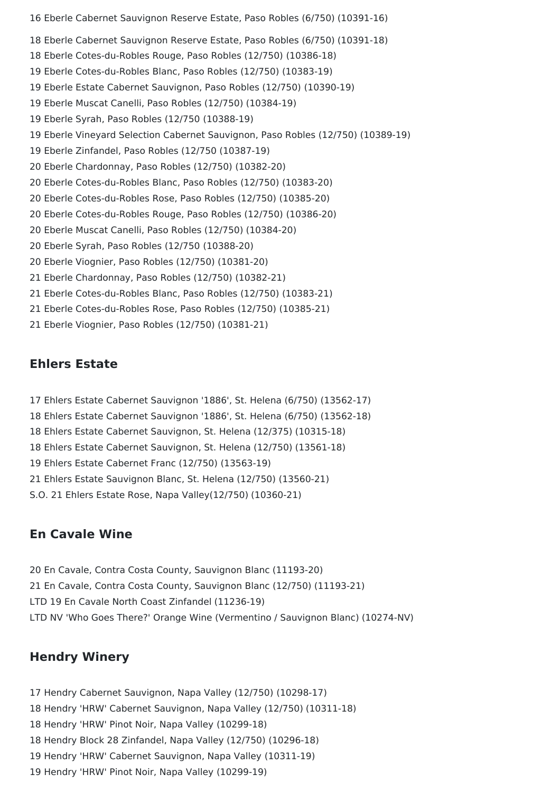Eberle Cabernet Sauvignon Reserve Estate, Paso Robles (6/750) (10391-16) Eberle Cabernet Sauvignon Reserve Estate, Paso Robles (6/750) (10391-18) Eberle Cotes-du-Robles Rouge, Paso Robles (12/750) (10386-18) Eberle Cotes-du-Robles Blanc, Paso Robles (12/750) (10383-19) Eberle Estate Cabernet Sauvignon, Paso Robles (12/750) (10390-19) Eberle Muscat Canelli, Paso Robles (12/750) (10384-19) Eberle Syrah, Paso Robles (12/750 (10388-19) Eberle Vineyard Selection Cabernet Sauvignon, Paso Robles (12/750) (10389-19) Eberle Zinfandel, Paso Robles (12/750 (10387-19) Eberle Chardonnay, Paso Robles (12/750) (10382-20) Eberle Cotes-du-Robles Blanc, Paso Robles (12/750) (10383-20) Eberle Cotes-du-Robles Rose, Paso Robles (12/750) (10385-20) Eberle Cotes-du-Robles Rouge, Paso Robles (12/750) (10386-20) Eberle Muscat Canelli, Paso Robles (12/750) (10384-20) Eberle Syrah, Paso Robles (12/750 (10388-20) Eberle Viognier, Paso Robles (12/750) (10381-20) Eberle Chardonnay, Paso Robles (12/750) (10382-21) Eberle Cotes-du-Robles Blanc, Paso Robles (12/750) (10383-21) Eberle Cotes-du-Robles Rose, Paso Robles (12/750) (10385-21) Eberle Viognier, Paso Robles (12/750) (10381-21)

#### **Ehlers Estate**

 Ehlers Estate Cabernet Sauvignon '1886', St. Helena (6/750) (13562-17) Ehlers Estate Cabernet Sauvignon '1886', St. Helena (6/750) (13562-18) Ehlers Estate Cabernet Sauvignon, St. Helena (12/375) (10315-18) Ehlers Estate Cabernet Sauvignon, St. Helena (12/750) (13561-18) Ehlers Estate Cabernet Franc (12/750) (13563-19) Ehlers Estate Sauvignon Blanc, St. Helena (12/750) (13560-21) S.O. 21 Ehlers Estate Rose, Napa Valley(12/750) (10360-21)

### **En Cavale Wine**

 En Cavale, Contra Costa County, Sauvignon Blanc (11193-20) En Cavale, Contra Costa County, Sauvignon Blanc (12/750) (11193-21) LTD 19 En Cavale North Coast Zinfandel (11236-19) LTD NV 'Who Goes There?' Orange Wine (Vermentino / Sauvignon Blanc) (10274-NV)

#### **Hendry Winery**

 Hendry Cabernet Sauvignon, Napa Valley (12/750) (10298-17) Hendry 'HRW' Cabernet Sauvignon, Napa Valley (12/750) (10311-18) Hendry 'HRW' Pinot Noir, Napa Valley (10299-18) Hendry Block 28 Zinfandel, Napa Valley (12/750) (10296-18) Hendry 'HRW' Cabernet Sauvignon, Napa Valley (10311-19) Hendry 'HRW' Pinot Noir, Napa Valley (10299-19)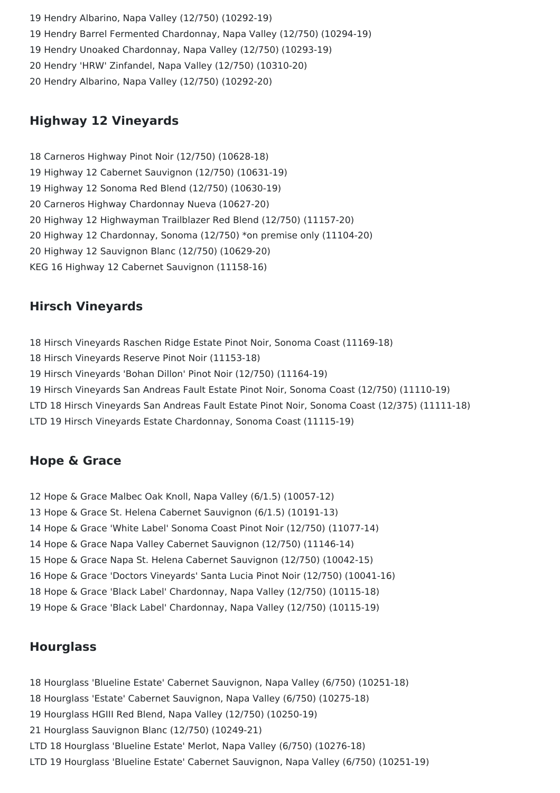Hendry Albarino, Napa Valley (12/750) (10292-19) Hendry Barrel Fermented Chardonnay, Napa Valley (12/750) (10294-19) Hendry Unoaked Chardonnay, Napa Valley (12/750) (10293-19) Hendry 'HRW' Zinfandel, Napa Valley (12/750) (10310-20) Hendry Albarino, Napa Valley (12/750) (10292-20)

## **Highway 12 Vineyards**

 Carneros Highway Pinot Noir (12/750) (10628-18) Highway 12 Cabernet Sauvignon (12/750) (10631-19) Highway 12 Sonoma Red Blend (12/750) (10630-19) Carneros Highway Chardonnay Nueva (10627-20) Highway 12 Highwayman Trailblazer Red Blend (12/750) (11157-20) Highway 12 Chardonnay, Sonoma (12/750) \*on premise only (11104-20) Highway 12 Sauvignon Blanc (12/750) (10629-20) KEG 16 Highway 12 Cabernet Sauvignon (11158-16)

## **Hirsch Vineyards**

 Hirsch Vineyards Raschen Ridge Estate Pinot Noir, Sonoma Coast (11169-18) Hirsch Vineyards Reserve Pinot Noir (11153-18) Hirsch Vineyards 'Bohan Dillon' Pinot Noir (12/750) (11164-19) Hirsch Vineyards San Andreas Fault Estate Pinot Noir, Sonoma Coast (12/750) (11110-19) LTD 18 Hirsch Vineyards San Andreas Fault Estate Pinot Noir, Sonoma Coast (12/375) (11111-18) LTD 19 Hirsch Vineyards Estate Chardonnay, Sonoma Coast (11115-19)

## **Hope & Grace**

 Hope & Grace Malbec Oak Knoll, Napa Valley (6/1.5) (10057-12) Hope & Grace St. Helena Cabernet Sauvignon (6/1.5) (10191-13) Hope & Grace 'White Label' Sonoma Coast Pinot Noir (12/750) (11077-14) Hope & Grace Napa Valley Cabernet Sauvignon (12/750) (11146-14) Hope & Grace Napa St. Helena Cabernet Sauvignon (12/750) (10042-15) Hope & Grace 'Doctors Vineyards' Santa Lucia Pinot Noir (12/750) (10041-16) Hope & Grace 'Black Label' Chardonnay, Napa Valley (12/750) (10115-18) Hope & Grace 'Black Label' Chardonnay, Napa Valley (12/750) (10115-19)

## **Hourglass**

 Hourglass 'Blueline Estate' Cabernet Sauvignon, Napa Valley (6/750) (10251-18) Hourglass 'Estate' Cabernet Sauvignon, Napa Valley (6/750) (10275-18) Hourglass HGIII Red Blend, Napa Valley (12/750) (10250-19) Hourglass Sauvignon Blanc (12/750) (10249-21) LTD 18 Hourglass 'Blueline Estate' Merlot, Napa Valley (6/750) (10276-18) LTD 19 Hourglass 'Blueline Estate' Cabernet Sauvignon, Napa Valley (6/750) (10251-19)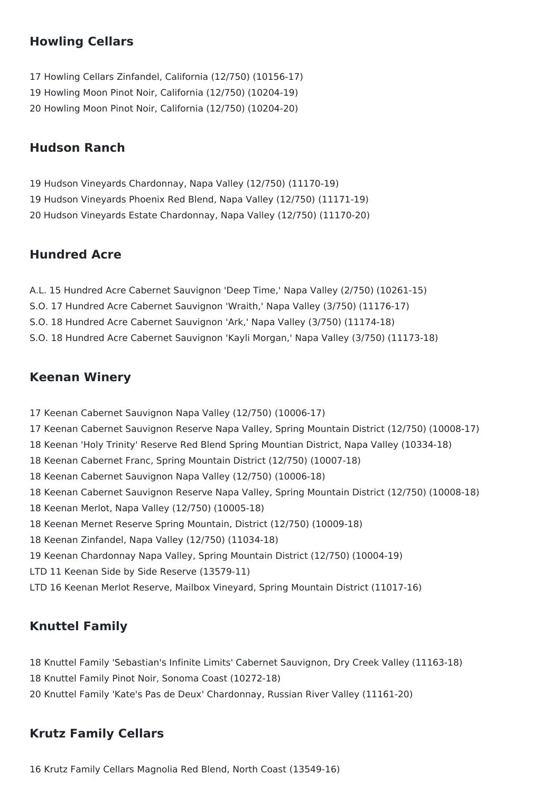## **Howling Cellars**

 Howling Cellars Zinfandel, California (12/750) (10156-17) Howling Moon Pinot Noir, California (12/750) (10204-19) Howling Moon Pinot Noir, California (12/750) (10204-20)

## **Hudson Ranch**

 Hudson Vineyards Chardonnay, Napa Valley (12/750) (11170-19) Hudson Vineyards Phoenix Red Blend, Napa Valley (12/750) (11171-19) Hudson Vineyards Estate Chardonnay, Napa Valley (12/750) (11170-20)

### **Hundred Acre**

- A.L. 15 Hundred Acre Cabernet Sauvignon 'Deep Time,' Napa Valley (2/750) (10261-15)
- S.O. 17 Hundred Acre Cabernet Sauvignon 'Wraith,' Napa Valley (3/750) (11176-17)
- S.O. 18 Hundred Acre Cabernet Sauvignon 'Ark,' Napa Valley (3/750) (11174-18)
- S.O. 18 Hundred Acre Cabernet Sauvignon 'Kayli Morgan,' Napa Valley (3/750) (11173-18)

#### **Keenan Winery**

 Keenan Cabernet Sauvignon Napa Valley (12/750) (10006-17) Keenan Cabernet Sauvignon Reserve Napa Valley, Spring Mountain District (12/750) (10008-17) Keenan 'Holy Trinity' Reserve Red Blend Spring Mountian District, Napa Valley (10334-18) Keenan Cabernet Franc, Spring Mountain District (12/750) (10007-18) Keenan Cabernet Sauvignon Napa Valley (12/750) (10006-18) Keenan Cabernet Sauvignon Reserve Napa Valley, Spring Mountain District (12/750) (10008-18) Keenan Merlot, Napa Valley (12/750) (10005-18) Keenan Mernet Reserve Spring Mountain, District (12/750) (10009-18) Keenan Zinfandel, Napa Valley (12/750) (11034-18) Keenan Chardonnay Napa Valley, Spring Mountain District (12/750) (10004-19) LTD 11 Keenan Side by Side Reserve (13579-11) LTD 16 Keenan Merlot Reserve, Mailbox Vineyard, Spring Mountain District (11017-16)

## **Knuttel Family**

 Knuttel Family 'Sebastian's Infinite Limits' Cabernet Sauvignon, Dry Creek Valley (11163-18) Knuttel Family Pinot Noir, Sonoma Coast (10272-18) Knuttel Family 'Kate's Pas de Deux' Chardonnay, Russian River Valley (11161-20)

### **Krutz Family Cellars**

Krutz Family Cellars Magnolia Red Blend, North Coast (13549-16)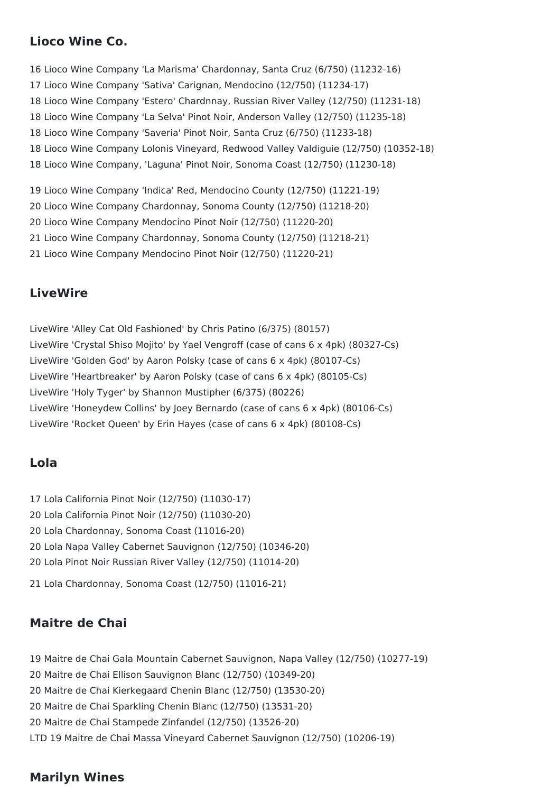## **Lioco Wine Co.**

 Lioco Wine Company 'La Marisma' Chardonnay, Santa Cruz (6/750) (11232-16) Lioco Wine Company 'Sativa' Carignan, Mendocino (12/750) (11234-17) Lioco Wine Company 'Estero' Chardnnay, Russian River Valley (12/750) (11231-18) Lioco Wine Company 'La Selva' Pinot Noir, Anderson Valley (12/750) (11235-18) Lioco Wine Company 'Saveria' Pinot Noir, Santa Cruz (6/750) (11233-18) Lioco Wine Company Lolonis Vineyard, Redwood Valley Valdiguie (12/750) (10352-18) Lioco Wine Company, 'Laguna' Pinot Noir, Sonoma Coast (12/750) (11230-18) Lioco Wine Company 'Indica' Red, Mendocino County (12/750) (11221-19)

Lioco Wine Company Chardonnay, Sonoma County (12/750) (11218-20)

Lioco Wine Company Mendocino Pinot Noir (12/750) (11220-20)

Lioco Wine Company Chardonnay, Sonoma County (12/750) (11218-21)

Lioco Wine Company Mendocino Pinot Noir (12/750) (11220-21)

#### **LiveWire**

LiveWire 'Alley Cat Old Fashioned' by Chris Patino (6/375) (80157) LiveWire 'Crystal Shiso Mojito' by Yael Vengroff (case of cans 6 x 4pk) (80327-Cs) LiveWire 'Golden God' by Aaron Polsky (case of cans 6 x 4pk) (80107-Cs) LiveWire 'Heartbreaker' by Aaron Polsky (case of cans 6 x 4pk) (80105-Cs) LiveWire 'Holy Tyger' by Shannon Mustipher (6/375) (80226) LiveWire 'Honeydew Collins' by Joey Bernardo (case of cans 6 x 4pk) (80106-Cs) LiveWire 'Rocket Queen' by Erin Hayes (case of cans 6 x 4pk) (80108-Cs)

#### **Lola**

 Lola California Pinot Noir (12/750) (11030-17) Lola California Pinot Noir (12/750) (11030-20) Lola Chardonnay, Sonoma Coast (11016-20) Lola Napa Valley Cabernet Sauvignon (12/750) (10346-20) Lola Pinot Noir Russian River Valley (12/750) (11014-20)

Lola Chardonnay, Sonoma Coast (12/750) (11016-21)

### **Maitre de Chai**

 Maitre de Chai Gala Mountain Cabernet Sauvignon, Napa Valley (12/750) (10277-19) Maitre de Chai Ellison Sauvignon Blanc (12/750) (10349-20) Maitre de Chai Kierkegaard Chenin Blanc (12/750) (13530-20) Maitre de Chai Sparkling Chenin Blanc (12/750) (13531-20) Maitre de Chai Stampede Zinfandel (12/750) (13526-20) LTD 19 Maitre de Chai Massa Vineyard Cabernet Sauvignon (12/750) (10206-19)

#### **Marilyn Wines**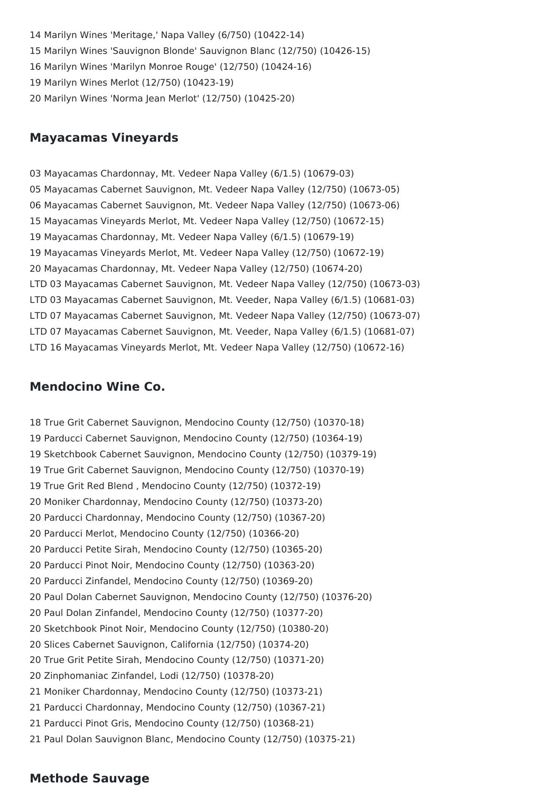Marilyn Wines 'Meritage,' Napa Valley (6/750) (10422-14) Marilyn Wines 'Sauvignon Blonde' Sauvignon Blanc (12/750) (10426-15) Marilyn Wines 'Marilyn Monroe Rouge' (12/750) (10424-16) Marilyn Wines Merlot (12/750) (10423-19) Marilyn Wines 'Norma Jean Merlot' (12/750) (10425-20)

#### **Mayacamas Vineyards**

 Mayacamas Chardonnay, Mt. Vedeer Napa Valley (6/1.5) (10679-03) Mayacamas Cabernet Sauvignon, Mt. Vedeer Napa Valley (12/750) (10673-05) Mayacamas Cabernet Sauvignon, Mt. Vedeer Napa Valley (12/750) (10673-06) Mayacamas Vineyards Merlot, Mt. Vedeer Napa Valley (12/750) (10672-15) Mayacamas Chardonnay, Mt. Vedeer Napa Valley (6/1.5) (10679-19) Mayacamas Vineyards Merlot, Mt. Vedeer Napa Valley (12/750) (10672-19) Mayacamas Chardonnay, Mt. Vedeer Napa Valley (12/750) (10674-20) LTD 03 Mayacamas Cabernet Sauvignon, Mt. Vedeer Napa Valley (12/750) (10673-03) LTD 03 Mayacamas Cabernet Sauvignon, Mt. Veeder, Napa Valley (6/1.5) (10681-03) LTD 07 Mayacamas Cabernet Sauvignon, Mt. Vedeer Napa Valley (12/750) (10673-07) LTD 07 Mayacamas Cabernet Sauvignon, Mt. Veeder, Napa Valley (6/1.5) (10681-07) LTD 16 Mayacamas Vineyards Merlot, Mt. Vedeer Napa Valley (12/750) (10672-16)

#### **Mendocino Wine Co.**

 True Grit Cabernet Sauvignon, Mendocino County (12/750) (10370-18) Parducci Cabernet Sauvignon, Mendocino County (12/750) (10364-19) Sketchbook Cabernet Sauvignon, Mendocino County (12/750) (10379-19) True Grit Cabernet Sauvignon, Mendocino County (12/750) (10370-19) True Grit Red Blend , Mendocino County (12/750) (10372-19) Moniker Chardonnay, Mendocino County (12/750) (10373-20) Parducci Chardonnay, Mendocino County (12/750) (10367-20) Parducci Merlot, Mendocino County (12/750) (10366-20) Parducci Petite Sirah, Mendocino County (12/750) (10365-20) Parducci Pinot Noir, Mendocino County (12/750) (10363-20) Parducci Zinfandel, Mendocino County (12/750) (10369-20) Paul Dolan Cabernet Sauvignon, Mendocino County (12/750) (10376-20) Paul Dolan Zinfandel, Mendocino County (12/750) (10377-20) Sketchbook Pinot Noir, Mendocino County (12/750) (10380-20) Slices Cabernet Sauvignon, California (12/750) (10374-20) True Grit Petite Sirah, Mendocino County (12/750) (10371-20) Zinphomaniac Zinfandel, Lodi (12/750) (10378-20) Moniker Chardonnay, Mendocino County (12/750) (10373-21) Parducci Chardonnay, Mendocino County (12/750) (10367-21) Parducci Pinot Gris, Mendocino County (12/750) (10368-21) Paul Dolan Sauvignon Blanc, Mendocino County (12/750) (10375-21)

#### **Methode Sauvage**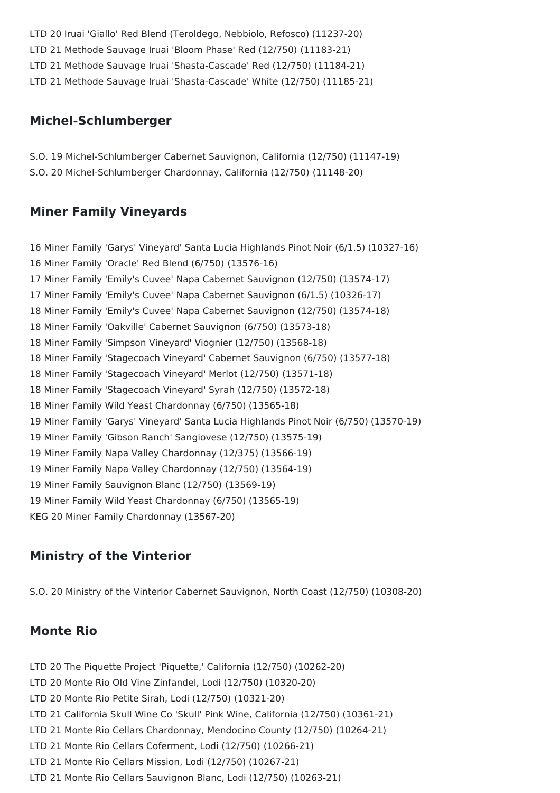LTD 20 Iruai 'Giallo' Red Blend (Teroldego, Nebbiolo, Refosco) (11237-20) LTD 21 Methode Sauvage Iruai 'Bloom Phase' Red (12/750) (11183-21) LTD 21 Methode Sauvage Iruai 'Shasta-Cascade' Red (12/750) (11184-21)

#### LTD 21 Methode Sauvage Iruai 'Shasta-Cascade' White (12/750) (11185-21)

#### **Michel-Schlumberger**

S.O. 19 Michel-Schlumberger Cabernet Sauvignon, California (12/750) (11147-19) S.O. 20 Michel-Schlumberger Chardonnay, California (12/750) (11148-20)

#### **Miner Family Vineyards**

 Miner Family 'Garys' Vineyard' Santa Lucia Highlands Pinot Noir (6/1.5) (10327-16) Miner Family 'Oracle' Red Blend (6/750) (13576-16) Miner Family 'Emily's Cuvee' Napa Cabernet Sauvignon (12/750) (13574-17) Miner Family 'Emily's Cuvee' Napa Cabernet Sauvignon (6/1.5) (10326-17) Miner Family 'Emily's Cuvee' Napa Cabernet Sauvignon (12/750) (13574-18) Miner Family 'Oakville' Cabernet Sauvignon (6/750) (13573-18) Miner Family 'Simpson Vineyard' Viognier (12/750) (13568-18) Miner Family 'Stagecoach Vineyard' Cabernet Sauvignon (6/750) (13577-18) Miner Family 'Stagecoach Vineyard' Merlot (12/750) (13571-18) Miner Family 'Stagecoach Vineyard' Syrah (12/750) (13572-18) Miner Family Wild Yeast Chardonnay (6/750) (13565-18) Miner Family 'Garys' Vineyard' Santa Lucia Highlands Pinot Noir (6/750) (13570-19) Miner Family 'Gibson Ranch' Sangiovese (12/750) (13575-19) Miner Family Napa Valley Chardonnay (12/375) (13566-19) Miner Family Napa Valley Chardonnay (12/750) (13564-19) Miner Family Sauvignon Blanc (12/750) (13569-19) Miner Family Wild Yeast Chardonnay (6/750) (13565-19) KEG 20 Miner Family Chardonnay (13567-20)

#### **Ministry of the Vinterior**

S.O. 20 Ministry of the Vinterior Cabernet Sauvignon, North Coast (12/750) (10308-20)

#### **Monte Rio**

- LTD 20 The Piquette Project 'Piquette,' California (12/750) (10262-20)
- LTD 20 Monte Rio Old Vine Zinfandel, Lodi (12/750) (10320-20)
- LTD 20 Monte Rio Petite Sirah, Lodi (12/750) (10321-20)
- LTD 21 California Skull Wine Co 'Skull' Pink Wine, California (12/750) (10361-21)
- LTD 21 Monte Rio Cellars Chardonnay, Mendocino County (12/750) (10264-21)
- LTD 21 Monte Rio Cellars Coferment, Lodi (12/750) (10266-21)
- LTD 21 Monte Rio Cellars Mission, Lodi (12/750) (10267-21)
- LTD 21 Monte Rio Cellars Sauvignon Blanc, Lodi (12/750) (10263-21)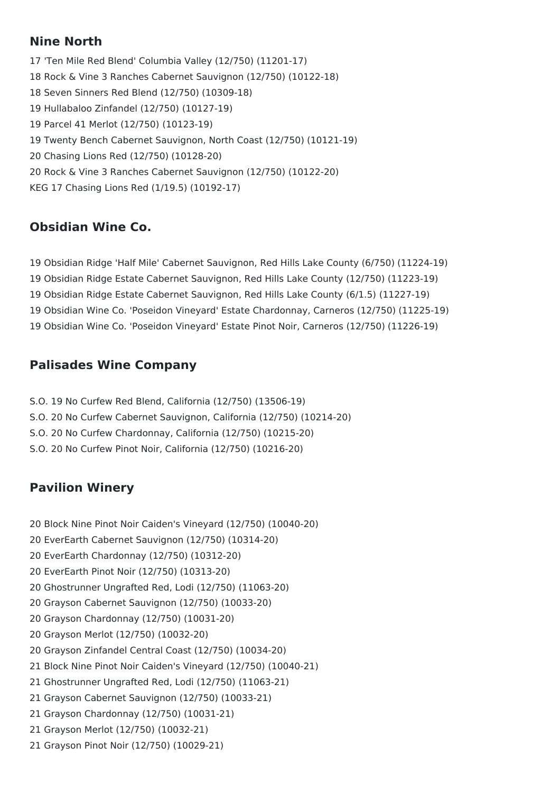## **Nine North**

 'Ten Mile Red Blend' Columbia Valley (12/750) (11201-17) Rock & Vine 3 Ranches Cabernet Sauvignon (12/750) (10122-18) Seven Sinners Red Blend (12/750) (10309-18) Hullabaloo Zinfandel (12/750) (10127-19) Parcel 41 Merlot (12/750) (10123-19) Twenty Bench Cabernet Sauvignon, North Coast (12/750) (10121-19) Chasing Lions Red (12/750) (10128-20) Rock & Vine 3 Ranches Cabernet Sauvignon (12/750) (10122-20) KEG 17 Chasing Lions Red (1/19.5) (10192-17)

## **Obsidian Wine Co.**

 Obsidian Ridge 'Half Mile' Cabernet Sauvignon, Red Hills Lake County (6/750) (11224-19) Obsidian Ridge Estate Cabernet Sauvignon, Red Hills Lake County (12/750) (11223-19) Obsidian Ridge Estate Cabernet Sauvignon, Red Hills Lake County (6/1.5) (11227-19) Obsidian Wine Co. 'Poseidon Vineyard' Estate Chardonnay, Carneros (12/750) (11225-19) Obsidian Wine Co. 'Poseidon Vineyard' Estate Pinot Noir, Carneros (12/750) (11226-19)

## **Palisades Wine Company**

- S.O. 19 No Curfew Red Blend, California (12/750) (13506-19)
- S.O. 20 No Curfew Cabernet Sauvignon, California (12/750) (10214-20)
- S.O. 20 No Curfew Chardonnay, California (12/750) (10215-20)
- S.O. 20 No Curfew Pinot Noir, California (12/750) (10216-20)

## **Pavilion Winery**

- Block Nine Pinot Noir Caiden's Vineyard (12/750) (10040-20)
- EverEarth Cabernet Sauvignon (12/750) (10314-20)
- EverEarth Chardonnay (12/750) (10312-20)
- EverEarth Pinot Noir (12/750) (10313-20)
- Ghostrunner Ungrafted Red, Lodi (12/750) (11063-20)
- Grayson Cabernet Sauvignon (12/750) (10033-20)
- Grayson Chardonnay (12/750) (10031-20)
- Grayson Merlot (12/750) (10032-20)
- Grayson Zinfandel Central Coast (12/750) (10034-20)
- Block Nine Pinot Noir Caiden's Vineyard (12/750) (10040-21)
- Ghostrunner Ungrafted Red, Lodi (12/750) (11063-21)
- Grayson Cabernet Sauvignon (12/750) (10033-21)
- Grayson Chardonnay (12/750) (10031-21)
- Grayson Merlot (12/750) (10032-21)
- Grayson Pinot Noir (12/750) (10029-21)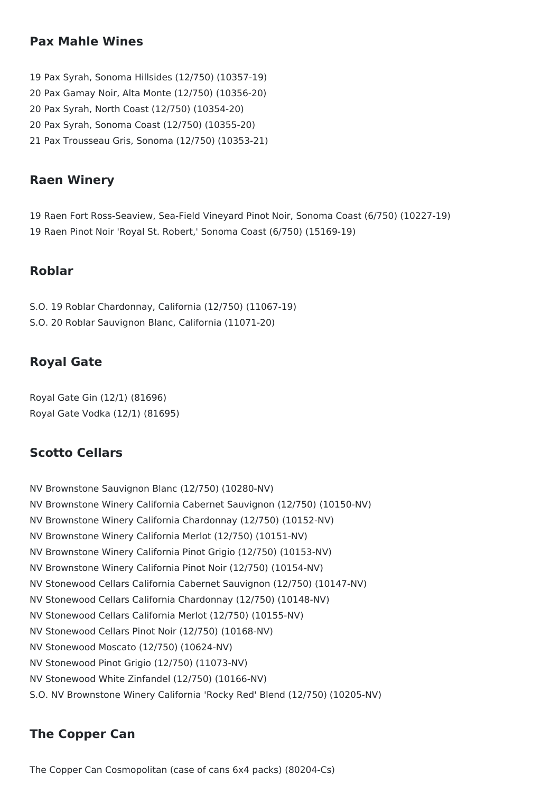#### **Pax Mahle Wines**

- 19 Pax Syrah, Sonoma Hillsides (12/750) (10357-19) 20 Pax Gamay Noir, Alta Monte (12/750) (10356-20) 20 Pax Syrah, North Coast (12/750) (10354-20) 20 Pax Syrah, Sonoma Coast (12/750) (10355-20) 21 Pax Trousseau Gris, Sonoma (12/750) (10353-21)
- 

## **Raen Winery**

19 Raen Fort Ross-Seaview, Sea-Field Vineyard Pinot Noir, Sonoma Coast (6/750) (10227-19) 19 Raen Pinot Noir 'Royal St. Robert,' Sonoma Coast (6/750) (15169-19)

#### **Roblar**

S.O. 19 Roblar Chardonnay, California (12/750) (11067-19) S.O. 20 Roblar Sauvignon Blanc, California (11071-20)

#### **Royal Gate**

Royal Gate Gin (12/1) (81696) Royal Gate Vodka (12/1) (81695)

#### **Scotto Cellars**

NV Brownstone Sauvignon Blanc (12/750) (10280-NV) NV Brownstone Winery California Cabernet Sauvignon (12/750) (10150-NV) NV Brownstone Winery California Chardonnay (12/750) (10152-NV) NV Brownstone Winery California Merlot (12/750) (10151-NV) NV Brownstone Winery California Pinot Grigio (12/750) (10153-NV) NV Brownstone Winery California Pinot Noir (12/750) (10154-NV) NV Stonewood Cellars California Cabernet Sauvignon (12/750) (10147-NV) NV Stonewood Cellars California Chardonnay (12/750) (10148-NV) NV Stonewood Cellars California Merlot (12/750) (10155-NV) NV Stonewood Cellars Pinot Noir (12/750) (10168-NV) NV Stonewood Moscato (12/750) (10624-NV) NV Stonewood Pinot Grigio (12/750) (11073-NV) NV Stonewood White Zinfandel (12/750) (10166-NV) S.O. NV Brownstone Winery California 'Rocky Red' Blend (12/750) (10205-NV)

#### **The Copper Can**

The Copper Can Cosmopolitan (case of cans 6x4 packs) (80204-Cs)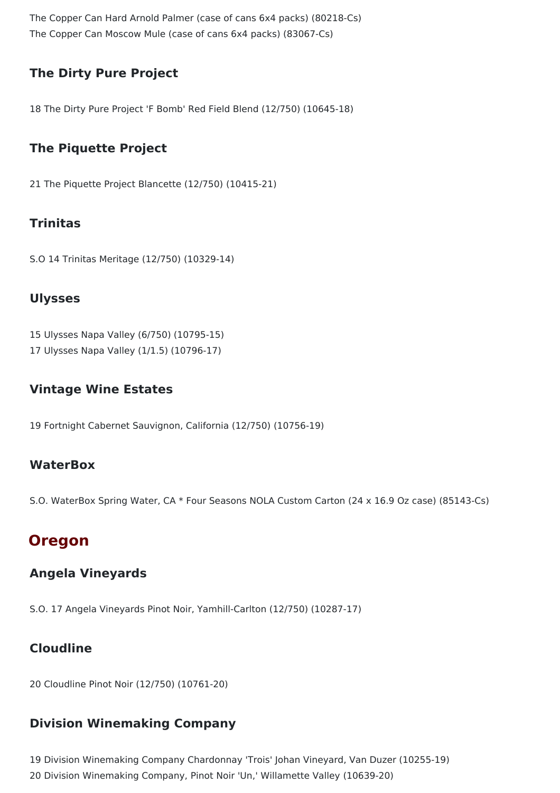The Copper Can Hard Arnold Palmer (case of cans 6x4 packs) (80218-Cs) The Copper Can Moscow Mule (case of cans 6x4 packs) (83067-Cs)

## **The Dirty Pure Project**

18 The Dirty Pure Project 'F Bomb' Red Field Blend (12/750) (10645-18)

## **The Piquette Project**

21 The Piquette Project Blancette (12/750) (10415-21)

### **Trinitas**

S.O 14 Trinitas Meritage (12/750) (10329-14)

#### **Ulysses**

15 Ulysses Napa Valley (6/750) (10795-15)

17 Ulysses Napa Valley (1/1.5) (10796-17)

### **Vintage Wine Estates**

19 Fortnight Cabernet Sauvignon, California (12/750) (10756-19)

#### **WaterBox**

S.O. WaterBox Spring Water, CA \* Four Seasons NOLA Custom Carton (24 x 16.9 Oz case) (85143-Cs)

## **Oregon**

### **Angela Vineyards**

S.O. 17 Angela Vineyards Pinot Noir, Yamhill-Carlton (12/750) (10287-17)

## **Cloudline**

20 Cloudline Pinot Noir (12/750) (10761-20)

### **Division Winemaking Company**

19 Division Winemaking Company Chardonnay 'Trois' Johan Vineyard, Van Duzer (10255-19) 20 Division Winemaking Company, Pinot Noir 'Un,' Willamette Valley (10639-20)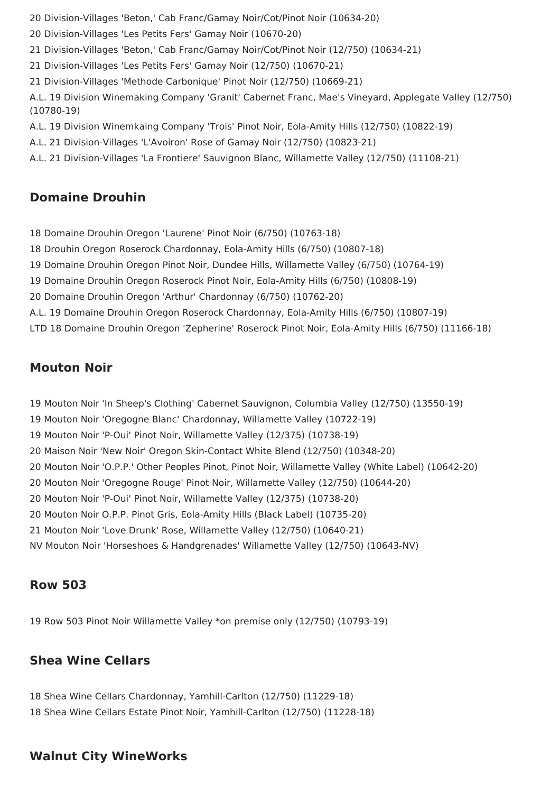Division-Villages 'Beton,' Cab Franc/Gamay Noir/Cot/Pinot Noir (10634-20)

Division-Villages 'Les Petits Fers' Gamay Noir (10670-20)

Division-Villages 'Beton,' Cab Franc/Gamay Noir/Cot/Pinot Noir (12/750) (10634-21)

Division-Villages 'Les Petits Fers' Gamay Noir (12/750) (10670-21)

Division-Villages 'Methode Carbonique' Pinot Noir (12/750) (10669-21)

A.L. 19 Division Winemaking Company 'Granit' Cabernet Franc, Mae's Vineyard, Applegate Valley (12/750) (10780-19)

A.L. 19 Division Winemkaing Company 'Trois' Pinot Noir, Eola-Amity Hills (12/750) (10822-19)

A.L. 21 Division-Villages 'L'Avoiron' Rose of Gamay Noir (12/750) (10823-21)

A.L. 21 Division-Villages 'La Frontiere' Sauvignon Blanc, Willamette Valley (12/750) (11108-21)

#### **Domaine Drouhin**

Domaine Drouhin Oregon 'Laurene' Pinot Noir (6/750) (10763-18)

Drouhin Oregon Roserock Chardonnay, Eola-Amity Hills (6/750) (10807-18)

Domaine Drouhin Oregon Pinot Noir, Dundee Hills, Willamette Valley (6/750) (10764-19)

Domaine Drouhin Oregon Roserock Pinot Noir, Eola-Amity Hills (6/750) (10808-19)

Domaine Drouhin Oregon 'Arthur' Chardonnay (6/750) (10762-20)

A.L. 19 Domaine Drouhin Oregon Roserock Chardonnay, Eola-Amity Hills (6/750) (10807-19)

LTD 18 Domaine Drouhin Oregon 'Zepherine' Roserock Pinot Noir, Eola-Amity Hills (6/750) (11166-18)

#### **Mouton Noir**

 Mouton Noir 'In Sheep's Clothing' Cabernet Sauvignon, Columbia Valley (12/750) (13550-19) Mouton Noir 'Oregogne Blanc' Chardonnay, Willamette Valley (10722-19) Mouton Noir 'P-Oui' Pinot Noir, Willamette Valley (12/375) (10738-19) Maison Noir 'New Noir' Oregon Skin-Contact White Blend (12/750) (10348-20) Mouton Noir 'O.P.P.' Other Peoples Pinot, Pinot Noir, Willamette Valley (White Label) (10642-20) Mouton Noir 'Oregogne Rouge' Pinot Noir, Willamette Valley (12/750) (10644-20) Mouton Noir 'P-Oui' Pinot Noir, Willamette Valley (12/375) (10738-20) Mouton Noir O.P.P. Pinot Gris, Eola-Amity Hills (Black Label) (10735-20) Mouton Noir 'Love Drunk' Rose, Willamette Valley (12/750) (10640-21)

NV Mouton Noir 'Horseshoes & Handgrenades' Willamette Valley (12/750) (10643-NV)

#### **Row 503**

Row 503 Pinot Noir Willamette Valley \*on premise only (12/750) (10793-19)

#### **Shea Wine Cellars**

 Shea Wine Cellars Chardonnay, Yamhill-Carlton (12/750) (11229-18) Shea Wine Cellars Estate Pinot Noir, Yamhill-Carlton (12/750) (11228-18)

#### **Walnut City WineWorks**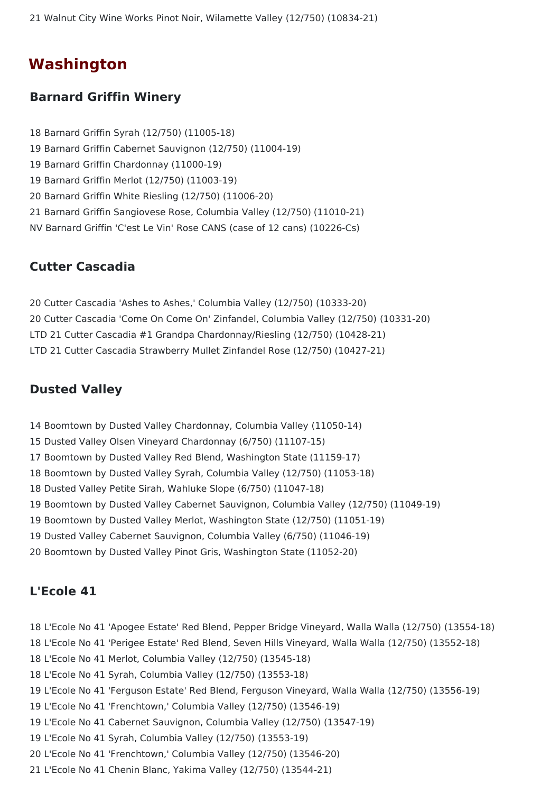Walnut City Wine Works Pinot Noir, Wilamette Valley (12/750) (10834-21)

## **Washington**

#### **Barnard Griffin Winery**

 Barnard Griffin Syrah (12/750) (11005-18) Barnard Griffin Cabernet Sauvignon (12/750) (11004-19) Barnard Griffin Chardonnay (11000-19) Barnard Griffin Merlot (12/750) (11003-19) Barnard Griffin White Riesling (12/750) (11006-20) Barnard Griffin Sangiovese Rose, Columbia Valley (12/750) (11010-21) NV Barnard Griffin 'C'est Le Vin' Rose CANS (case of 12 cans) (10226-Cs)

#### **Cutter Cascadia**

 Cutter Cascadia 'Ashes to Ashes,' Columbia Valley (12/750) (10333-20) Cutter Cascadia 'Come On Come On' Zinfandel, Columbia Valley (12/750) (10331-20) LTD 21 Cutter Cascadia #1 Grandpa Chardonnay/Riesling (12/750) (10428-21) LTD 21 Cutter Cascadia Strawberry Mullet Zinfandel Rose (12/750) (10427-21)

#### **Dusted Valley**

- Boomtown by Dusted Valley Chardonnay, Columbia Valley (11050-14)
- Dusted Valley Olsen Vineyard Chardonnay (6/750) (11107-15)
- Boomtown by Dusted Valley Red Blend, Washington State (11159-17)
- Boomtown by Dusted Valley Syrah, Columbia Valley (12/750) (11053-18)
- Dusted Valley Petite Sirah, Wahluke Slope (6/750) (11047-18)
- Boomtown by Dusted Valley Cabernet Sauvignon, Columbia Valley (12/750) (11049-19)
- Boomtown by Dusted Valley Merlot, Washington State (12/750) (11051-19)
- Dusted Valley Cabernet Sauvignon, Columbia Valley (6/750) (11046-19)
- Boomtown by Dusted Valley Pinot Gris, Washington State (11052-20)

#### **L'Ecole 41**

- L'Ecole No 41 'Apogee Estate' Red Blend, Pepper Bridge Vineyard, Walla Walla (12/750) (13554-18)
- L'Ecole No 41 'Perigee Estate' Red Blend, Seven Hills Vineyard, Walla Walla (12/750) (13552-18)
- L'Ecole No 41 Merlot, Columbia Valley (12/750) (13545-18)
- L'Ecole No 41 Syrah, Columbia Valley (12/750) (13553-18)
- L'Ecole No 41 'Ferguson Estate' Red Blend, Ferguson Vineyard, Walla Walla (12/750) (13556-19)
- L'Ecole No 41 'Frenchtown,' Columbia Valley (12/750) (13546-19)
- L'Ecole No 41 Cabernet Sauvignon, Columbia Valley (12/750) (13547-19)
- L'Ecole No 41 Syrah, Columbia Valley (12/750) (13553-19)
- L'Ecole No 41 'Frenchtown,' Columbia Valley (12/750) (13546-20)
- L'Ecole No 41 Chenin Blanc, Yakima Valley (12/750) (13544-21)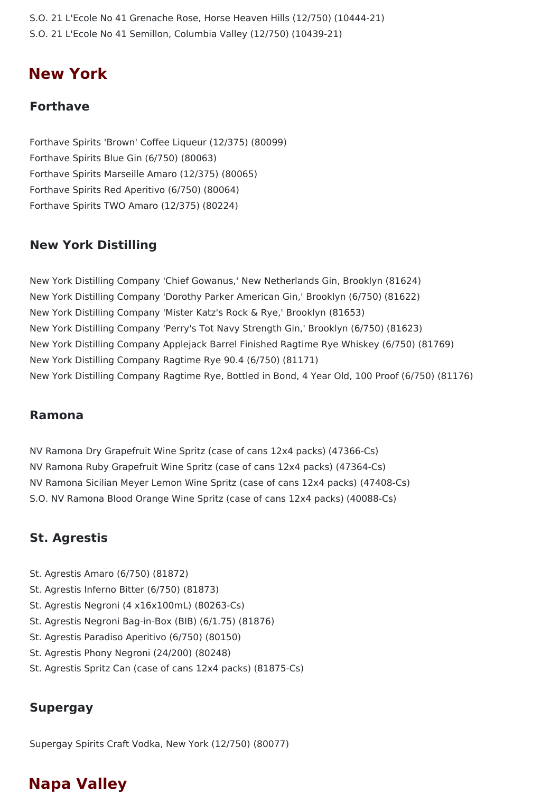S.O. 21 L'Ecole No 41 Grenache Rose, Horse Heaven Hills (12/750) (10444-21) S.O. 21 L'Ecole No 41 Semillon, Columbia Valley (12/750) (10439-21)

## **New York**

#### **Forthave**

Forthave Spirits 'Brown' Coffee Liqueur (12/375) (80099) Forthave Spirits Blue Gin (6/750) (80063) Forthave Spirits Marseille Amaro (12/375) (80065) Forthave Spirits Red Aperitivo (6/750) (80064) Forthave Spirits TWO Amaro (12/375) (80224)

#### **New York Distilling**

New York Distilling Company 'Chief Gowanus,' New Netherlands Gin, Brooklyn (81624) New York Distilling Company 'Dorothy Parker American Gin,' Brooklyn (6/750) (81622) New York Distilling Company 'Mister Katz's Rock & Rye,' Brooklyn (81653) New York Distilling Company 'Perry's Tot Navy Strength Gin,' Brooklyn (6/750) (81623) New York Distilling Company Applejack Barrel Finished Ragtime Rye Whiskey (6/750) (81769) New York Distilling Company Ragtime Rye 90.4 (6/750) (81171) New York Distilling Company Ragtime Rye, Bottled in Bond, 4 Year Old, 100 Proof (6/750) (81176)

#### **Ramona**

NV Ramona Dry Grapefruit Wine Spritz (case of cans 12x4 packs) (47366-Cs) NV Ramona Ruby Grapefruit Wine Spritz (case of cans 12x4 packs) (47364-Cs) NV Ramona Sicilian Meyer Lemon Wine Spritz (case of cans 12x4 packs) (47408-Cs) S.O. NV Ramona Blood Orange Wine Spritz (case of cans 12x4 packs) (40088-Cs)

### **St. Agrestis**

- St. Agrestis Amaro (6/750) (81872)
- St. Agrestis Inferno Bitter (6/750) (81873)
- St. Agrestis Negroni (4 x16x100mL) (80263-Cs)
- St. Agrestis Negroni Bag-in-Box (BIB) (6/1.75) (81876)
- St. Agrestis Paradiso Aperitivo (6/750) (80150)
- St. Agrestis Phony Negroni (24/200) (80248)
- St. Agrestis Spritz Can (case of cans 12x4 packs) (81875-Cs)

#### **Supergay**

Supergay Spirits Craft Vodka, New York (12/750) (80077)

## **Napa Valley**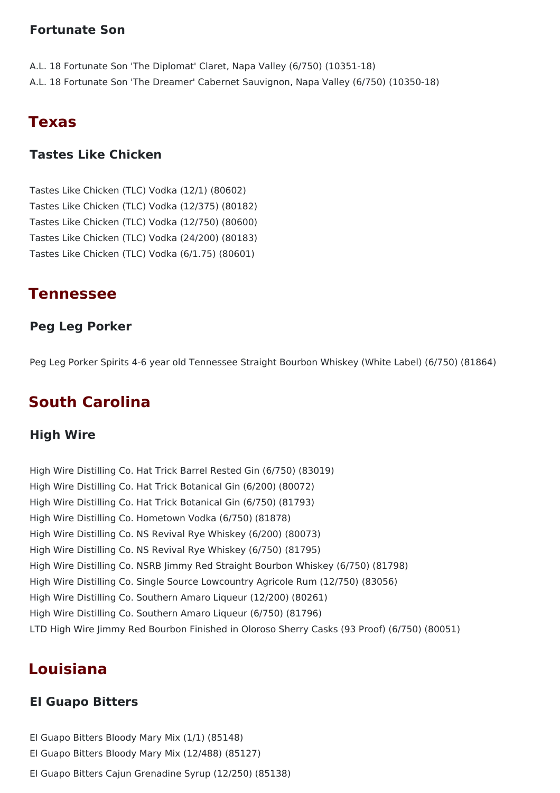### **Fortunate Son**

- A.L. 18 Fortunate Son 'The Diplomat' Claret, Napa Valley (6/750) (10351-18)
- A.L. 18 Fortunate Son 'The Dreamer' Cabernet Sauvignon, Napa Valley (6/750) (10350-18)

## **Texas**

## **Tastes Like Chicken**

Tastes Like Chicken (TLC) Vodka (12/1) (80602) Tastes Like Chicken (TLC) Vodka (12/375) (80182) Tastes Like Chicken (TLC) Vodka (12/750) (80600) Tastes Like Chicken (TLC) Vodka (24/200) (80183) Tastes Like Chicken (TLC) Vodka (6/1.75) (80601)

## **Tennessee**

### **Peg Leg Porker**

Peg Leg Porker Spirits 4-6 year old Tennessee Straight Bourbon Whiskey (White Label) (6/750) (81864)

## **South Carolina**

### **High Wire**

High Wire Distilling Co. Hat Trick Barrel Rested Gin (6/750) (83019) High Wire Distilling Co. Hat Trick Botanical Gin (6/200) (80072) High Wire Distilling Co. Hat Trick Botanical Gin (6/750) (81793) High Wire Distilling Co. Hometown Vodka (6/750) (81878) High Wire Distilling Co. NS Revival Rye Whiskey (6/200) (80073) High Wire Distilling Co. NS Revival Rye Whiskey (6/750) (81795) High Wire Distilling Co. NSRB Jimmy Red Straight Bourbon Whiskey (6/750) (81798) High Wire Distilling Co. Single Source Lowcountry Agricole Rum (12/750) (83056) High Wire Distilling Co. Southern Amaro Liqueur (12/200) (80261) High Wire Distilling Co. Southern Amaro Liqueur (6/750) (81796) LTD High Wire Jimmy Red Bourbon Finished in Oloroso Sherry Casks (93 Proof) (6/750) (80051)

## **Louisiana**

### **El Guapo Bitters**

El Guapo Bitters Bloody Mary Mix (1/1) (85148) El Guapo Bitters Bloody Mary Mix (12/488) (85127) El Guapo Bitters Cajun Grenadine Syrup (12/250) (85138)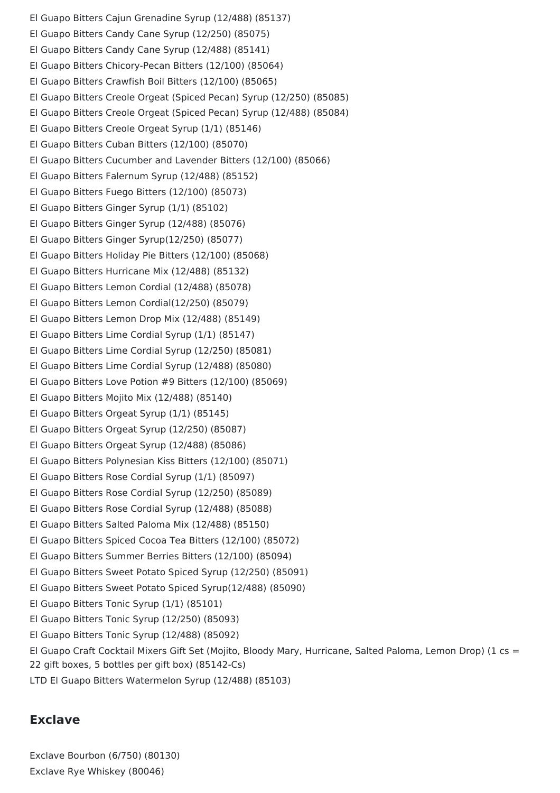El Guapo Bitters Cajun Grenadine Syrup (12/488) (85137) El Guapo Bitters Candy Cane Syrup (12/250) (85075) El Guapo Bitters Candy Cane Syrup (12/488) (85141) El Guapo Bitters Chicory-Pecan Bitters (12/100) (85064) El Guapo Bitters Crawfish Boil Bitters (12/100) (85065) El Guapo Bitters Creole Orgeat (Spiced Pecan) Syrup (12/250) (85085) El Guapo Bitters Creole Orgeat (Spiced Pecan) Syrup (12/488) (85084) El Guapo Bitters Creole Orgeat Syrup (1/1) (85146) El Guapo Bitters Cuban Bitters (12/100) (85070) El Guapo Bitters Cucumber and Lavender Bitters (12/100) (85066) El Guapo Bitters Falernum Syrup (12/488) (85152) El Guapo Bitters Fuego Bitters (12/100) (85073) El Guapo Bitters Ginger Syrup (1/1) (85102) El Guapo Bitters Ginger Syrup (12/488) (85076) El Guapo Bitters Ginger Syrup(12/250) (85077) El Guapo Bitters Holiday Pie Bitters (12/100) (85068) El Guapo Bitters Hurricane Mix (12/488) (85132) El Guapo Bitters Lemon Cordial (12/488) (85078) El Guapo Bitters Lemon Cordial(12/250) (85079) El Guapo Bitters Lemon Drop Mix (12/488) (85149) El Guapo Bitters Lime Cordial Syrup (1/1) (85147) El Guapo Bitters Lime Cordial Syrup (12/250) (85081) El Guapo Bitters Lime Cordial Syrup (12/488) (85080) El Guapo Bitters Love Potion #9 Bitters (12/100) (85069) El Guapo Bitters Mojito Mix (12/488) (85140) El Guapo Bitters Orgeat Syrup (1/1) (85145) El Guapo Bitters Orgeat Syrup (12/250) (85087) El Guapo Bitters Orgeat Syrup (12/488) (85086) El Guapo Bitters Polynesian Kiss Bitters (12/100) (85071) El Guapo Bitters Rose Cordial Syrup (1/1) (85097) El Guapo Bitters Rose Cordial Syrup (12/250) (85089) El Guapo Bitters Rose Cordial Syrup (12/488) (85088) El Guapo Bitters Salted Paloma Mix (12/488) (85150) El Guapo Bitters Spiced Cocoa Tea Bitters (12/100) (85072) El Guapo Bitters Summer Berries Bitters (12/100) (85094) El Guapo Bitters Sweet Potato Spiced Syrup (12/250) (85091) El Guapo Bitters Sweet Potato Spiced Syrup(12/488) (85090) El Guapo Bitters Tonic Syrup (1/1) (85101) El Guapo Bitters Tonic Syrup (12/250) (85093) El Guapo Bitters Tonic Syrup (12/488) (85092) El Guapo Craft Cocktail Mixers Gift Set (Mojito, Bloody Mary, Hurricane, Salted Paloma, Lemon Drop) (1 cs = 22 gift boxes, 5 bottles per gift box) (85142-Cs) LTD El Guapo Bitters Watermelon Syrup (12/488) (85103)

#### **Exclave**

Exclave Bourbon (6/750) (80130) Exclave Rye Whiskey (80046)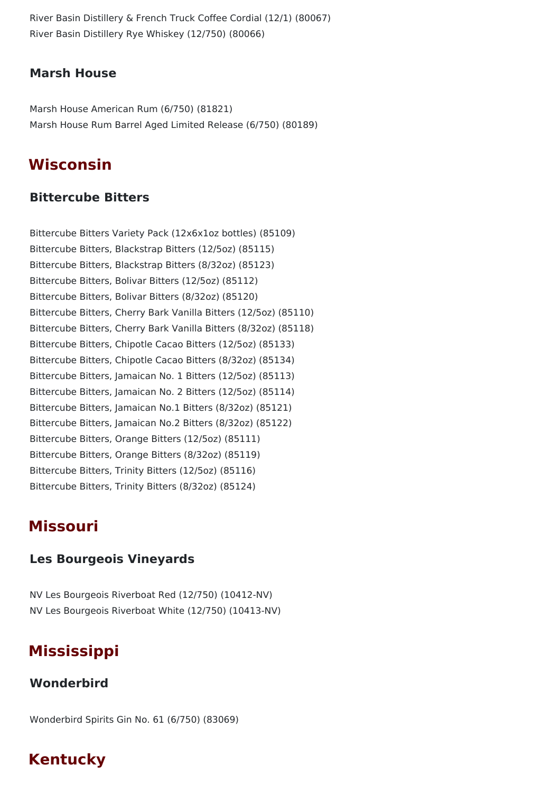River Basin Distillery & French Truck Coffee Cordial (12/1) (80067) River Basin Distillery Rye Whiskey (12/750) (80066)

#### **Marsh House**

Marsh House American Rum (6/750) (81821) Marsh House Rum Barrel Aged Limited Release (6/750) (80189)

## **Wisconsin**

#### **Bittercube Bitters**

Bittercube Bitters Variety Pack (12x6x1oz bottles) (85109) Bittercube Bitters, Blackstrap Bitters (12/5oz) (85115) Bittercube Bitters, Blackstrap Bitters (8/32oz) (85123) Bittercube Bitters, Bolivar Bitters (12/5oz) (85112) Bittercube Bitters, Bolivar Bitters (8/32oz) (85120) Bittercube Bitters, Cherry Bark Vanilla Bitters (12/5oz) (85110) Bittercube Bitters, Cherry Bark Vanilla Bitters (8/32oz) (85118) Bittercube Bitters, Chipotle Cacao Bitters (12/5oz) (85133) Bittercube Bitters, Chipotle Cacao Bitters (8/32oz) (85134) Bittercube Bitters, Jamaican No. 1 Bitters (12/5oz) (85113) Bittercube Bitters, Jamaican No. 2 Bitters (12/5oz) (85114) Bittercube Bitters, Jamaican No.1 Bitters (8/32oz) (85121) Bittercube Bitters, Jamaican No.2 Bitters (8/32oz) (85122) Bittercube Bitters, Orange Bitters (12/5oz) (85111) Bittercube Bitters, Orange Bitters (8/32oz) (85119) Bittercube Bitters, Trinity Bitters (12/5oz) (85116) Bittercube Bitters, Trinity Bitters (8/32oz) (85124)

## **Missouri**

#### **Les Bourgeois Vineyards**

NV Les Bourgeois Riverboat Red (12/750) (10412-NV) NV Les Bourgeois Riverboat White (12/750) (10413-NV)

## **Mississippi**

### **Wonderbird**

Wonderbird Spirits Gin No. 61 (6/750) (83069)

## **Kentucky**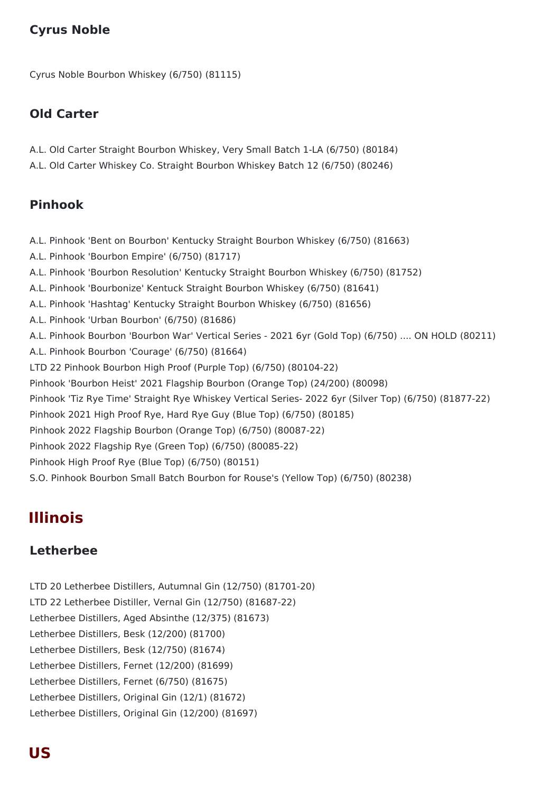## **Cyrus Noble**

Cyrus Noble Bourbon Whiskey (6/750) (81115)

#### **Old Carter**

- A.L. Old Carter Straight Bourbon Whiskey, Very Small Batch 1-LA (6/750) (80184)
- A.L. Old Carter Whiskey Co. Straight Bourbon Whiskey Batch 12 (6/750) (80246)

### **Pinhook**

- A.L. Pinhook 'Bent on Bourbon' Kentucky Straight Bourbon Whiskey (6/750) (81663)
- A.L. Pinhook 'Bourbon Empire' (6/750) (81717)
- A.L. Pinhook 'Bourbon Resolution' Kentucky Straight Bourbon Whiskey (6/750) (81752)
- A.L. Pinhook 'Bourbonize' Kentuck Straight Bourbon Whiskey (6/750) (81641)
- A.L. Pinhook 'Hashtag' Kentucky Straight Bourbon Whiskey (6/750) (81656)
- A.L. Pinhook 'Urban Bourbon' (6/750) (81686)
- A.L. Pinhook Bourbon 'Bourbon War' Vertical Series 2021 6yr (Gold Top) (6/750) .... ON HOLD (80211)
- A.L. Pinhook Bourbon 'Courage' (6/750) (81664)
- LTD 22 Pinhook Bourbon High Proof (Purple Top) (6/750) (80104-22)
- Pinhook 'Bourbon Heist' 2021 Flagship Bourbon (Orange Top) (24/200) (80098)
- Pinhook 'Tiz Rye Time' Straight Rye Whiskey Vertical Series- 2022 6yr (Silver Top) (6/750) (81877-22)
- Pinhook 2021 High Proof Rye, Hard Rye Guy (Blue Top) (6/750) (80185)
- Pinhook 2022 Flagship Bourbon (Orange Top) (6/750) (80087-22)
- Pinhook 2022 Flagship Rye (Green Top) (6/750) (80085-22)
- Pinhook High Proof Rye (Blue Top) (6/750) (80151)
- S.O. Pinhook Bourbon Small Batch Bourbon for Rouse's (Yellow Top) (6/750) (80238)

## **Illinois**

### **Letherbee**

LTD 20 Letherbee Distillers, Autumnal Gin (12/750) (81701-20) LTD 22 Letherbee Distiller, Vernal Gin (12/750) (81687-22) Letherbee Distillers, Aged Absinthe (12/375) (81673) Letherbee Distillers, Besk (12/200) (81700) Letherbee Distillers, Besk (12/750) (81674) Letherbee Distillers, Fernet (12/200) (81699) Letherbee Distillers, Fernet (6/750) (81675) Letherbee Distillers, Original Gin (12/1) (81672) Letherbee Distillers, Original Gin (12/200) (81697)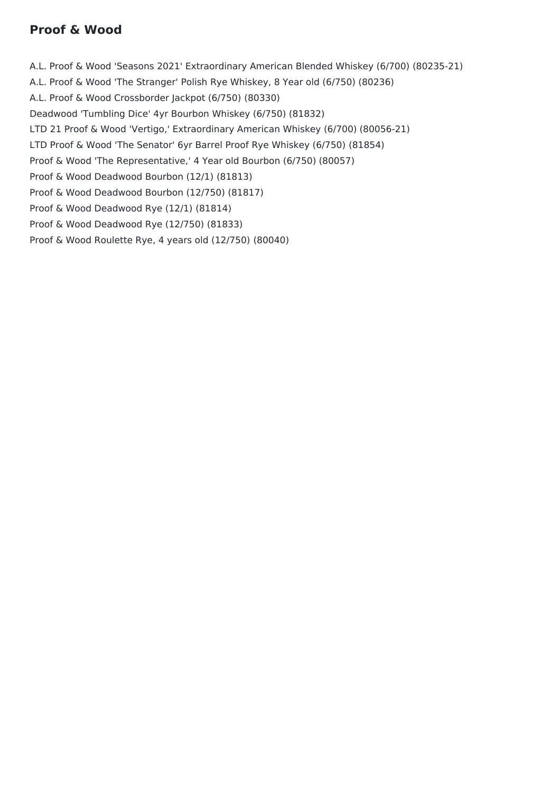## **Proof & Wood**

A.L. Proof & Wood 'Seasons 2021' Extraordinary American Blended Whiskey (6/700) (80235-21) A.L. Proof & Wood 'The Stranger' Polish Rye Whiskey, 8 Year old (6/750) (80236) A.L. Proof & Wood Crossborder Jackpot (6/750) (80330) Deadwood 'Tumbling Dice' 4yr Bourbon Whiskey (6/750) (81832) LTD 21 Proof & Wood 'Vertigo,' Extraordinary American Whiskey (6/700) (80056-21) LTD Proof & Wood 'The Senator' 6yr Barrel Proof Rye Whiskey (6/750) (81854) Proof & Wood 'The Representative,' 4 Year old Bourbon (6/750) (80057) Proof & Wood Deadwood Bourbon (12/1) (81813) Proof & Wood Deadwood Bourbon (12/750) (81817) Proof & Wood Deadwood Rye (12/1) (81814) Proof & Wood Deadwood Rye (12/750) (81833) Proof & Wood Roulette Rye, 4 years old (12/750) (80040)